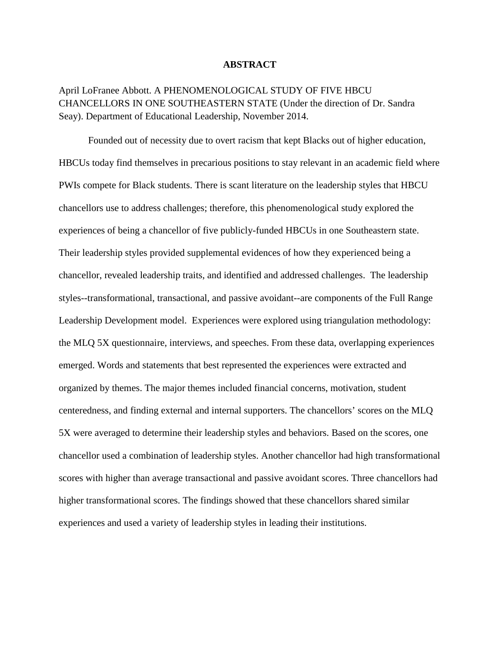# **ABSTRACT**

April LoFranee Abbott. A PHENOMENOLOGICAL STUDY OF FIVE HBCU CHANCELLORS IN ONE SOUTHEASTERN STATE (Under the direction of Dr. Sandra Seay). Department of Educational Leadership, November 2014.

Founded out of necessity due to overt racism that kept Blacks out of higher education, HBCUs today find themselves in precarious positions to stay relevant in an academic field where PWIs compete for Black students. There is scant literature on the leadership styles that HBCU chancellors use to address challenges; therefore, this phenomenological study explored the experiences of being a chancellor of five publicly-funded HBCUs in one Southeastern state. Their leadership styles provided supplemental evidences of how they experienced being a chancellor, revealed leadership traits, and identified and addressed challenges. The leadership styles--transformational, transactional, and passive avoidant--are components of the Full Range Leadership Development model. Experiences were explored using triangulation methodology: the MLQ 5X questionnaire, interviews, and speeches. From these data, overlapping experiences emerged. Words and statements that best represented the experiences were extracted and organized by themes. The major themes included financial concerns, motivation, student centeredness, and finding external and internal supporters. The chancellors' scores on the MLQ 5X were averaged to determine their leadership styles and behaviors. Based on the scores, one chancellor used a combination of leadership styles. Another chancellor had high transformational scores with higher than average transactional and passive avoidant scores. Three chancellors had higher transformational scores. The findings showed that these chancellors shared similar experiences and used a variety of leadership styles in leading their institutions.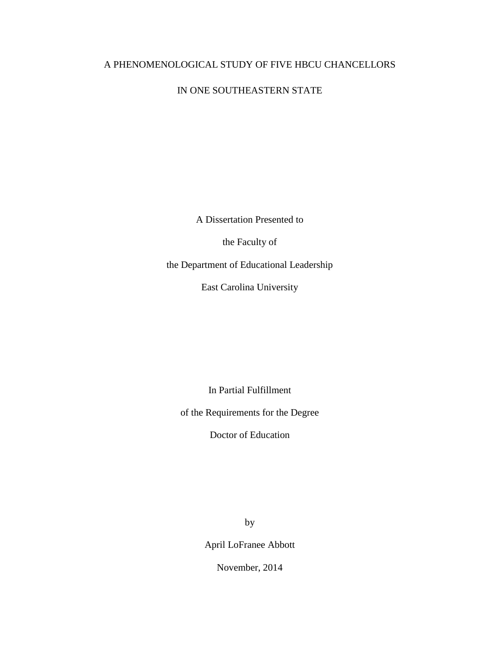# A PHENOMENOLOGICAL STUDY OF FIVE HBCU CHANCELLORS

# IN ONE SOUTHEASTERN STATE

A Dissertation Presented to

the Faculty of

the Department of Educational Leadership

East Carolina University

In Partial Fulfillment

of the Requirements for the Degree

Doctor of Education

by

April LoFranee Abbott

November, 2014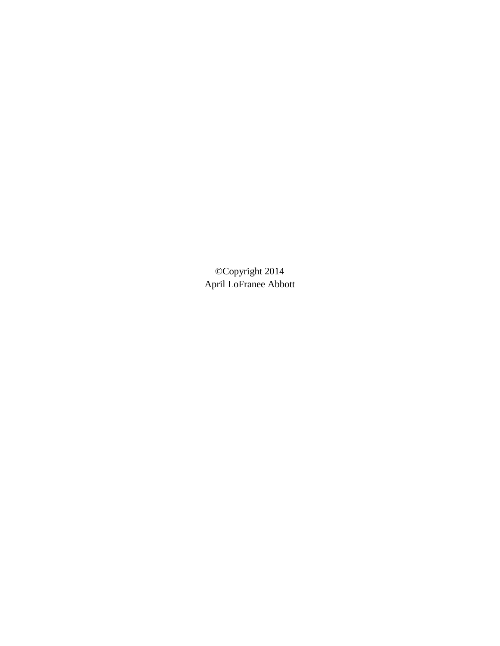©Copyright 2014 April LoFranee Abbott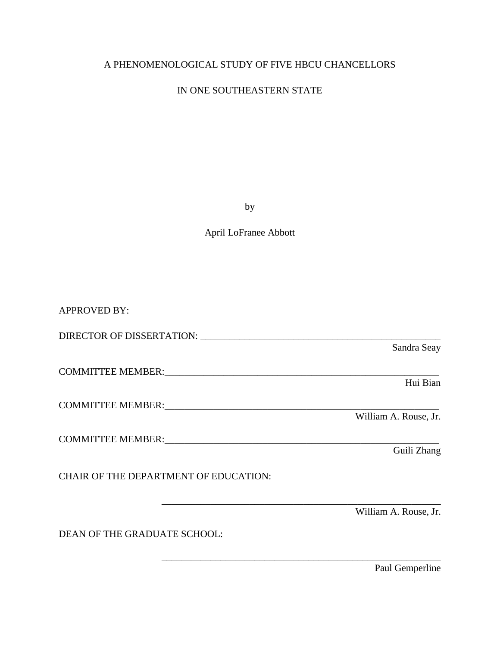# A PHENOMENOLOGICAL STUDY OF FIVE HBCU CHANCELLORS

# IN ONE SOUTHEASTERN STATE

by

# April LoFranee Abbott

APPROVED BY: DIRECTOR OF DISSERTATION: \_\_\_\_\_\_\_\_\_\_\_\_\_\_\_\_\_\_\_\_\_\_\_\_\_\_\_\_\_\_\_\_\_\_\_\_\_\_\_\_\_\_\_\_\_\_\_\_\_ Sandra Seay COMMITTEE MEMBER:<br>Hui Bian Hui Bian COMMITTEE MEMBER:\_\_\_\_\_\_\_\_\_\_\_\_\_\_\_\_\_\_\_\_\_\_\_\_\_\_\_\_\_\_\_\_\_\_\_\_\_\_\_\_\_\_\_\_\_\_\_\_\_\_\_\_\_\_\_\_ William A. Rouse, Jr. COMMITTEE MEMBER:\_\_\_\_\_\_\_\_\_\_\_\_\_\_\_\_\_\_\_\_\_\_\_\_\_\_\_\_\_\_\_\_\_\_\_\_\_\_\_\_\_\_\_\_\_\_\_\_\_\_\_\_\_\_\_\_ Guili Zhang CHAIR OF THE DEPARTMENT OF EDUCATION: \_\_\_\_\_\_\_\_\_\_\_\_\_\_\_\_\_\_\_\_\_\_\_\_\_\_\_\_\_\_\_\_\_\_\_\_\_\_\_\_\_\_\_\_\_\_\_\_\_\_\_\_\_\_\_\_\_ William A. Rouse, Jr. DEAN OF THE GRADUATE SCHOOL:

\_\_\_\_\_\_\_\_\_\_\_\_\_\_\_\_\_\_\_\_\_\_\_\_\_\_\_\_\_\_\_\_\_\_\_\_\_\_\_\_\_\_\_\_\_\_\_\_\_\_\_\_\_\_\_\_\_

Paul Gemperline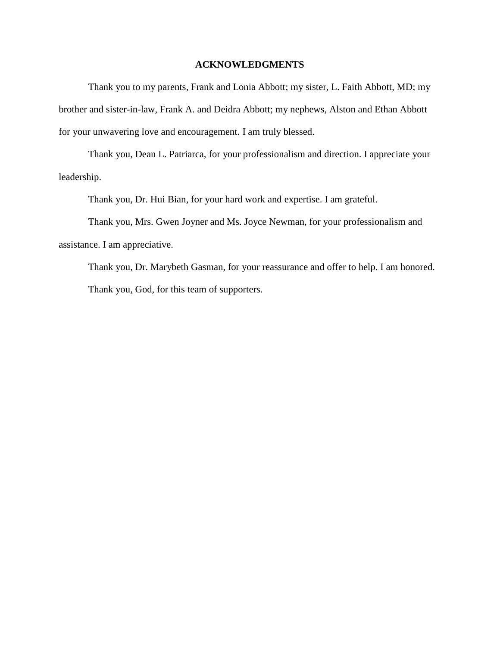# **ACKNOWLEDGMENTS**

Thank you to my parents, Frank and Lonia Abbott; my sister, L. Faith Abbott, MD; my brother and sister-in-law, Frank A. and Deidra Abbott; my nephews, Alston and Ethan Abbott for your unwavering love and encouragement. I am truly blessed.

Thank you, Dean L. Patriarca, for your professionalism and direction. I appreciate your leadership.

Thank you, Dr. Hui Bian, for your hard work and expertise. I am grateful.

Thank you, Mrs. Gwen Joyner and Ms. Joyce Newman, for your professionalism and assistance. I am appreciative.

Thank you, Dr. Marybeth Gasman, for your reassurance and offer to help. I am honored. Thank you, God, for this team of supporters.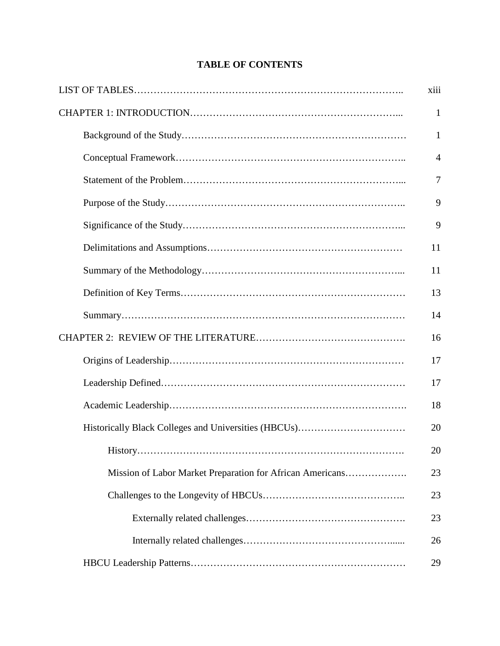|  |                                                           | xiii           |
|--|-----------------------------------------------------------|----------------|
|  |                                                           | 1              |
|  |                                                           | 1              |
|  |                                                           | $\overline{4}$ |
|  |                                                           | $\overline{7}$ |
|  |                                                           | 9              |
|  |                                                           | 9              |
|  |                                                           | 11             |
|  |                                                           | 11             |
|  |                                                           | 13             |
|  |                                                           | 14             |
|  |                                                           | 16             |
|  |                                                           | 17             |
|  |                                                           | 17             |
|  |                                                           | 18             |
|  |                                                           | 20             |
|  |                                                           | 20             |
|  | Mission of Labor Market Preparation for African Americans | 23             |
|  |                                                           | 23             |
|  |                                                           | 23             |
|  |                                                           | 26             |
|  |                                                           | 29             |

# **TABLE OF CONTENTS**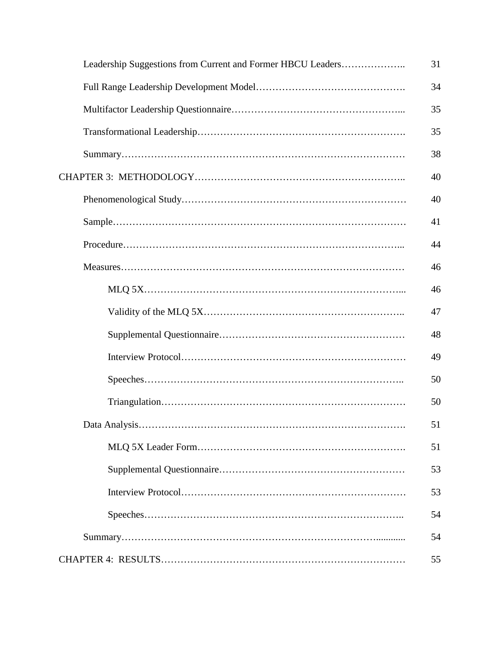| Leadership Suggestions from Current and Former HBCU Leaders | 31 |
|-------------------------------------------------------------|----|
|                                                             | 34 |
|                                                             | 35 |
|                                                             | 35 |
|                                                             | 38 |
|                                                             | 40 |
|                                                             | 40 |
|                                                             | 41 |
|                                                             | 44 |
|                                                             | 46 |
|                                                             | 46 |
|                                                             | 47 |
|                                                             | 48 |
|                                                             | 49 |
|                                                             | 50 |
|                                                             | 50 |
|                                                             | 51 |
|                                                             | 51 |
|                                                             | 53 |
|                                                             | 53 |
|                                                             | 54 |
|                                                             | 54 |
|                                                             | 55 |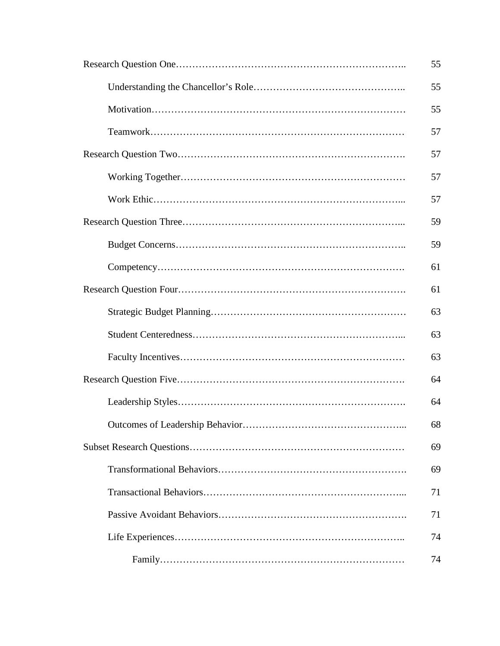| 55 |
|----|
| 55 |
| 55 |
| 57 |
| 57 |
| 57 |
| 57 |
| 59 |
| 59 |
| 61 |
| 61 |
| 63 |
| 63 |
| 63 |
| 64 |
| 64 |
| 68 |
| 69 |
| 69 |
| 71 |
| 71 |
| 74 |
| 74 |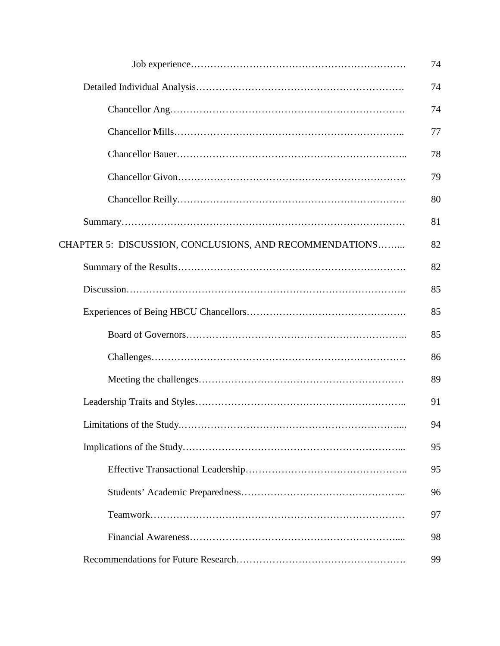|                                                         | 74 |
|---------------------------------------------------------|----|
|                                                         | 74 |
|                                                         | 74 |
|                                                         | 77 |
|                                                         | 78 |
|                                                         | 79 |
|                                                         | 80 |
|                                                         | 81 |
| CHAPTER 5: DISCUSSION, CONCLUSIONS, AND RECOMMENDATIONS | 82 |
|                                                         | 82 |
|                                                         | 85 |
|                                                         | 85 |
|                                                         | 85 |
|                                                         | 86 |
|                                                         | 89 |
|                                                         | 91 |
|                                                         | 94 |
|                                                         | 95 |
|                                                         | 95 |
|                                                         | 96 |
|                                                         | 97 |
|                                                         | 98 |
|                                                         | 99 |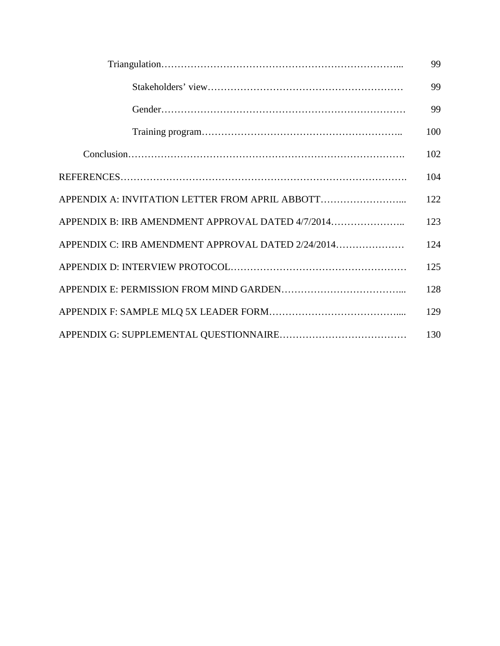|                                                    | 99  |
|----------------------------------------------------|-----|
|                                                    | 99  |
|                                                    | 99  |
|                                                    | 100 |
|                                                    | 102 |
|                                                    | 104 |
|                                                    | 122 |
| APPENDIX B: IRB AMENDMENT APPROVAL DATED 4/7/2014  | 123 |
| APPENDIX C: IRB AMENDMENT APPROVAL DATED 2/24/2014 | 124 |
|                                                    | 125 |
|                                                    | 128 |
|                                                    | 129 |
|                                                    | 130 |
|                                                    |     |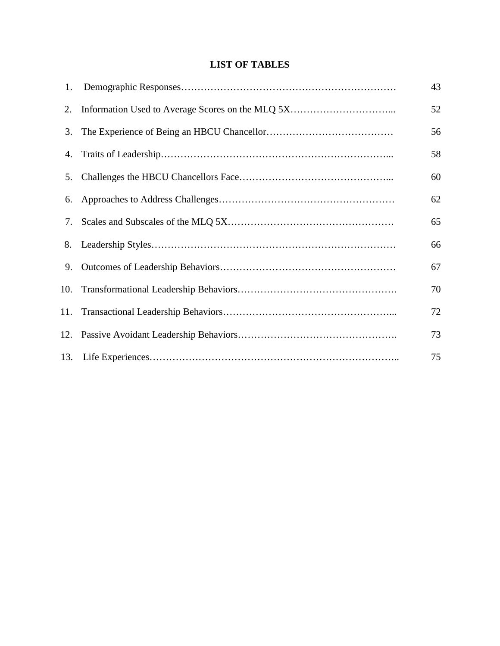# **LIST OF TABLES**

| 1.  | 43 |
|-----|----|
| 2.  | 52 |
| 3.  | 56 |
|     | 58 |
| 5.  | 60 |
| 6.  | 62 |
| 7.  | 65 |
| 8.  | 66 |
| 9.  | 67 |
| 10. | 70 |
|     | 72 |
|     | 73 |
|     | 75 |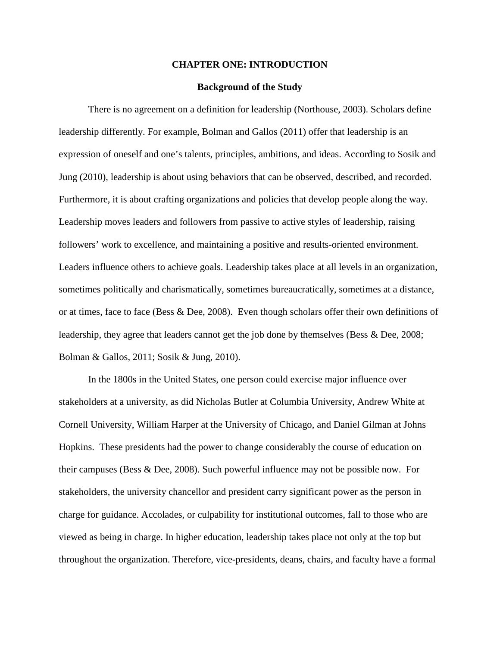### **CHAPTER ONE: INTRODUCTION**

## **Background of the Study**

There is no agreement on a definition for leadership (Northouse, 2003). Scholars define leadership differently. For example, Bolman and Gallos (2011) offer that leadership is an expression of oneself and one's talents, principles, ambitions, and ideas. According to Sosik and Jung (2010), leadership is about using behaviors that can be observed, described, and recorded. Furthermore, it is about crafting organizations and policies that develop people along the way. Leadership moves leaders and followers from passive to active styles of leadership, raising followers' work to excellence, and maintaining a positive and results-oriented environment. Leaders influence others to achieve goals. Leadership takes place at all levels in an organization, sometimes politically and charismatically, sometimes bureaucratically, sometimes at a distance, or at times, face to face (Bess & Dee, 2008). Even though scholars offer their own definitions of leadership, they agree that leaders cannot get the job done by themselves (Bess & Dee, 2008; Bolman & Gallos, 2011; Sosik & Jung, 2010).

In the 1800s in the United States, one person could exercise major influence over stakeholders at a university, as did Nicholas Butler at Columbia University, Andrew White at Cornell University, William Harper at the University of Chicago, and Daniel Gilman at Johns Hopkins. These presidents had the power to change considerably the course of education on their campuses (Bess & Dee, 2008). Such powerful influence may not be possible now. For stakeholders, the university chancellor and president carry significant power as the person in charge for guidance. Accolades, or culpability for institutional outcomes, fall to those who are viewed as being in charge. In higher education, leadership takes place not only at the top but throughout the organization. Therefore, vice-presidents, deans, chairs, and faculty have a formal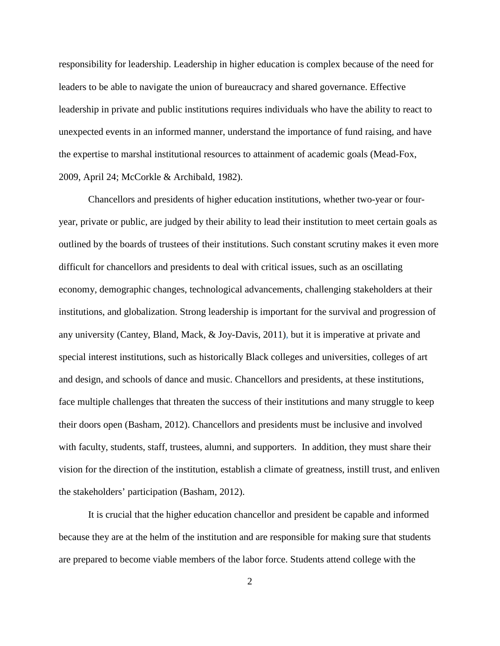responsibility for leadership. Leadership in higher education is complex because of the need for leaders to be able to navigate the union of bureaucracy and shared governance. Effective leadership in private and public institutions requires individuals who have the ability to react to unexpected events in an informed manner, understand the importance of fund raising, and have the expertise to marshal institutional resources to attainment of academic goals (Mead-Fox, 2009, April 24; McCorkle & Archibald, 1982).

Chancellors and presidents of higher education institutions, whether two-year or fouryear, private or public, are judged by their ability to lead their institution to meet certain goals as outlined by the boards of trustees of their institutions. Such constant scrutiny makes it even more difficult for chancellors and presidents to deal with critical issues, such as an oscillating economy, demographic changes, technological advancements, challenging stakeholders at their institutions, and globalization. Strong leadership is important for the survival and progression of any university (Cantey, Bland, Mack, & Joy-Davis, 2011), but it is imperative at private and special interest institutions, such as historically Black colleges and universities, colleges of art and design, and schools of dance and music. Chancellors and presidents, at these institutions, face multiple challenges that threaten the success of their institutions and many struggle to keep their doors open (Basham, 2012). Chancellors and presidents must be inclusive and involved with faculty, students, staff, trustees, alumni, and supporters. In addition, they must share their vision for the direction of the institution, establish a climate of greatness, instill trust, and enliven the stakeholders' participation (Basham, 2012).

It is crucial that the higher education chancellor and president be capable and informed because they are at the helm of the institution and are responsible for making sure that students are prepared to become viable members of the labor force. Students attend college with the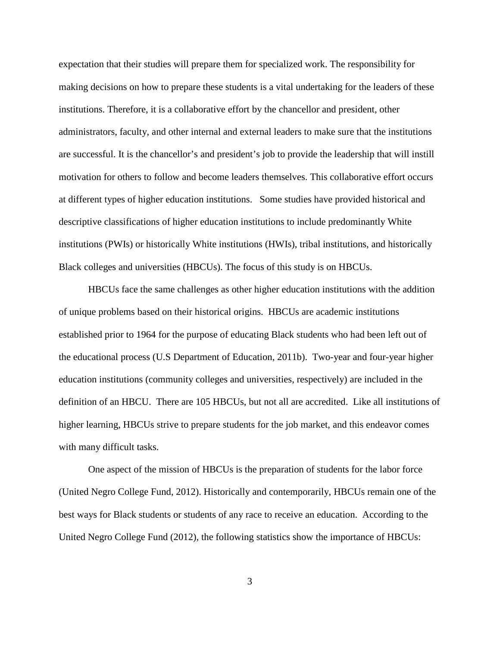expectation that their studies will prepare them for specialized work. The responsibility for making decisions on how to prepare these students is a vital undertaking for the leaders of these institutions. Therefore, it is a collaborative effort by the chancellor and president, other administrators, faculty, and other internal and external leaders to make sure that the institutions are successful. It is the chancellor's and president's job to provide the leadership that will instill motivation for others to follow and become leaders themselves. This collaborative effort occurs at different types of higher education institutions. Some studies have provided historical and descriptive classifications of higher education institutions to include predominantly White institutions (PWIs) or historically White institutions (HWIs), tribal institutions, and historically Black colleges and universities (HBCUs). The focus of this study is on HBCUs.

HBCUs face the same challenges as other higher education institutions with the addition of unique problems based on their historical origins. HBCUs are academic institutions established prior to 1964 for the purpose of educating Black students who had been left out of the educational process (U.S Department of Education, 2011b). Two-year and four-year higher education institutions (community colleges and universities, respectively) are included in the definition of an HBCU. There are 105 HBCUs, but not all are accredited. Like all institutions of higher learning, HBCUs strive to prepare students for the job market, and this endeavor comes with many difficult tasks.

One aspect of the mission of HBCUs is the preparation of students for the labor force (United Negro College Fund, 2012). Historically and contemporarily, HBCUs remain one of the best ways for Black students or students of any race to receive an education. According to the United Negro College Fund (2012), the following statistics show the importance of HBCUs:

3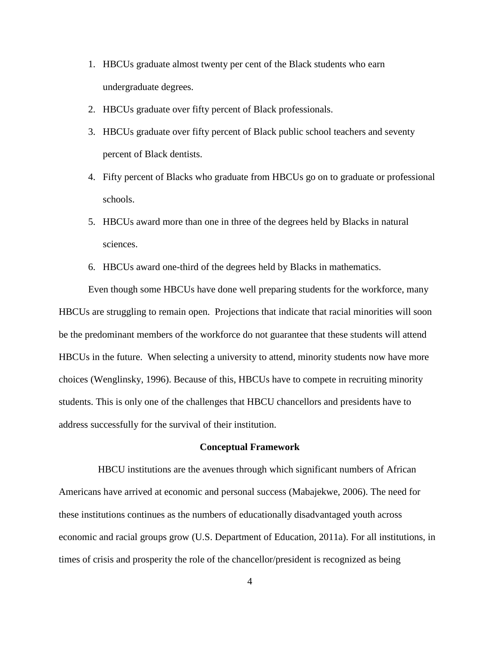- 1. HBCUs graduate almost twenty per cent of the Black students who earn undergraduate degrees.
- 2. HBCUs graduate over fifty percent of Black professionals.
- 3. HBCUs graduate over fifty percent of Black public school teachers and seventy percent of Black dentists.
- 4. Fifty percent of Blacks who graduate from HBCUs go on to graduate or professional schools.
- 5. HBCUs award more than one in three of the degrees held by Blacks in natural sciences.
- 6. HBCUs award one-third of the degrees held by Blacks in mathematics.

Even though some HBCUs have done well preparing students for the workforce, many HBCUs are struggling to remain open. Projections that indicate that racial minorities will soon be the predominant members of the workforce do not guarantee that these students will attend HBCUs in the future. When selecting a university to attend, minority students now have more choices (Wenglinsky, 1996). Because of this, HBCUs have to compete in recruiting minority students. This is only one of the challenges that HBCU chancellors and presidents have to address successfully for the survival of their institution.

### **Conceptual Framework**

 HBCU institutions are the avenues through which significant numbers of African Americans have arrived at economic and personal success (Mabajekwe, 2006). The need for these institutions continues as the numbers of educationally disadvantaged youth across economic and racial groups grow (U.S. Department of Education, 2011a). For all institutions, in times of crisis and prosperity the role of the chancellor/president is recognized as being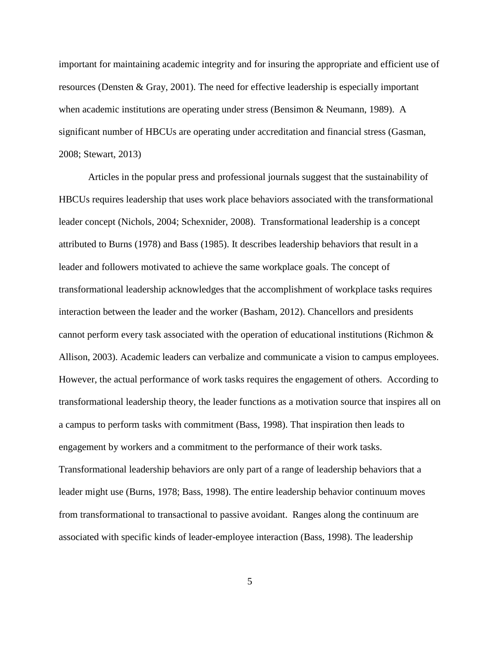important for maintaining academic integrity and for insuring the appropriate and efficient use of resources (Densten & Gray, 2001). The need for effective leadership is especially important when academic institutions are operating under stress (Bensimon & Neumann, 1989). A significant number of HBCUs are operating under accreditation and financial stress (Gasman, 2008; Stewart, 2013)

Articles in the popular press and professional journals suggest that the sustainability of HBCUs requires leadership that uses work place behaviors associated with the transformational leader concept (Nichols, 2004; Schexnider, 2008). Transformational leadership is a concept attributed to Burns (1978) and Bass (1985). It describes leadership behaviors that result in a leader and followers motivated to achieve the same workplace goals. The concept of transformational leadership acknowledges that the accomplishment of workplace tasks requires interaction between the leader and the worker (Basham, 2012). Chancellors and presidents cannot perform every task associated with the operation of educational institutions (Richmon & Allison, 2003). Academic leaders can verbalize and communicate a vision to campus employees. However, the actual performance of work tasks requires the engagement of others. According to transformational leadership theory, the leader functions as a motivation source that inspires all on a campus to perform tasks with commitment (Bass, 1998). That inspiration then leads to engagement by workers and a commitment to the performance of their work tasks. Transformational leadership behaviors are only part of a range of leadership behaviors that a leader might use (Burns, 1978; Bass, 1998). The entire leadership behavior continuum moves from transformational to transactional to passive avoidant. Ranges along the continuum are associated with specific kinds of leader-employee interaction (Bass, 1998). The leadership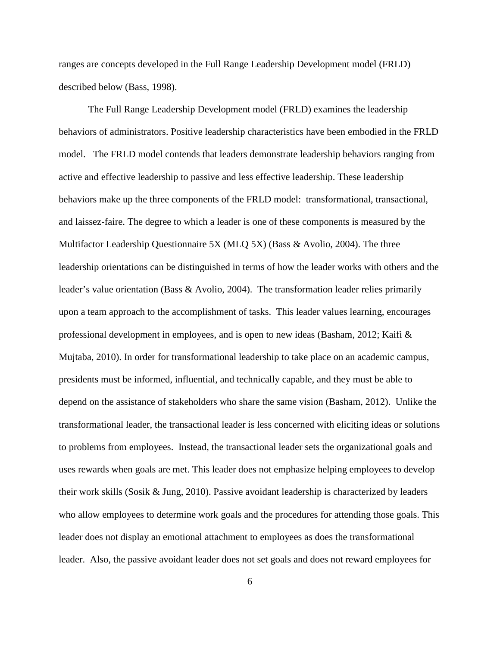ranges are concepts developed in the Full Range Leadership Development model (FRLD) described below (Bass, 1998).

The Full Range Leadership Development model (FRLD) examines the leadership behaviors of administrators. Positive leadership characteristics have been embodied in the FRLD model. The FRLD model contends that leaders demonstrate leadership behaviors ranging from active and effective leadership to passive and less effective leadership. These leadership behaviors make up the three components of the FRLD model: transformational, transactional, and laissez-faire. The degree to which a leader is one of these components is measured by the Multifactor Leadership Questionnaire 5X (MLQ 5X) (Bass & Avolio, 2004). The three leadership orientations can be distinguished in terms of how the leader works with others and the leader's value orientation (Bass & Avolio, 2004). The transformation leader relies primarily upon a team approach to the accomplishment of tasks. This leader values learning, encourages professional development in employees, and is open to new ideas (Basham, 2012; Kaifi & Mujtaba, 2010). In order for transformational leadership to take place on an academic campus, presidents must be informed, influential, and technically capable, and they must be able to depend on the assistance of stakeholders who share the same vision (Basham, 2012). Unlike the transformational leader, the transactional leader is less concerned with eliciting ideas or solutions to problems from employees. Instead, the transactional leader sets the organizational goals and uses rewards when goals are met. This leader does not emphasize helping employees to develop their work skills (Sosik & Jung, 2010). Passive avoidant leadership is characterized by leaders who allow employees to determine work goals and the procedures for attending those goals. This leader does not display an emotional attachment to employees as does the transformational leader. Also, the passive avoidant leader does not set goals and does not reward employees for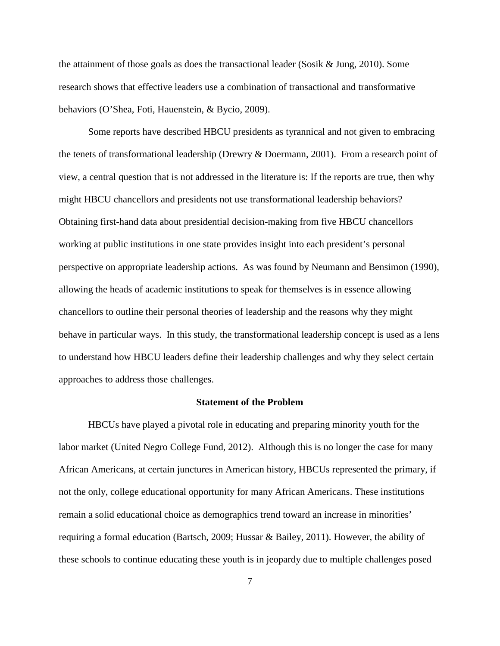the attainment of those goals as does the transactional leader (Sosik & Jung, 2010). Some research shows that effective leaders use a combination of transactional and transformative behaviors (O'Shea, Foti, Hauenstein, & Bycio, 2009).

Some reports have described HBCU presidents as tyrannical and not given to embracing the tenets of transformational leadership (Drewry & Doermann, 2001). From a research point of view, a central question that is not addressed in the literature is: If the reports are true, then why might HBCU chancellors and presidents not use transformational leadership behaviors? Obtaining first-hand data about presidential decision-making from five HBCU chancellors working at public institutions in one state provides insight into each president's personal perspective on appropriate leadership actions. As was found by Neumann and Bensimon (1990), allowing the heads of academic institutions to speak for themselves is in essence allowing chancellors to outline their personal theories of leadership and the reasons why they might behave in particular ways. In this study, the transformational leadership concept is used as a lens to understand how HBCU leaders define their leadership challenges and why they select certain approaches to address those challenges.

# **Statement of the Problem**

HBCUs have played a pivotal role in educating and preparing minority youth for the labor market (United Negro College Fund, 2012). Although this is no longer the case for many African Americans, at certain junctures in American history, HBCUs represented the primary, if not the only, college educational opportunity for many African Americans. These institutions remain a solid educational choice as demographics trend toward an increase in minorities' requiring a formal education (Bartsch, 2009; Hussar & Bailey, 2011). However, the ability of these schools to continue educating these youth is in jeopardy due to multiple challenges posed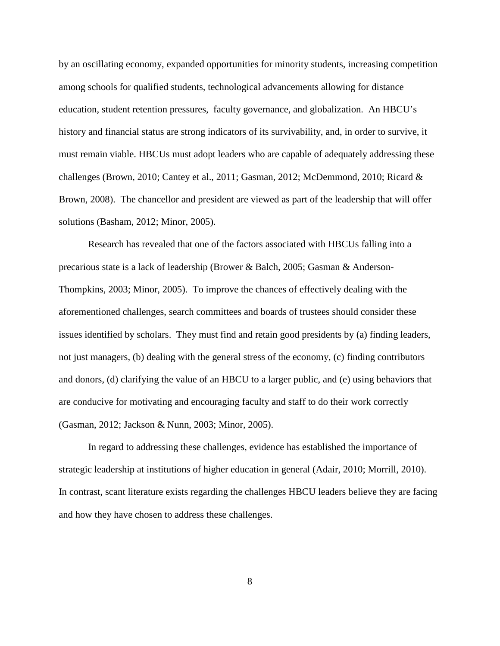by an oscillating economy, expanded opportunities for minority students, increasing competition among schools for qualified students, technological advancements allowing for distance education, student retention pressures, faculty governance, and globalization. An HBCU's history and financial status are strong indicators of its survivability, and, in order to survive, it must remain viable. HBCUs must adopt leaders who are capable of adequately addressing these challenges (Brown, 2010; Cantey et al., 2011; Gasman, 2012; McDemmond, 2010; Ricard & Brown, 2008). The chancellor and president are viewed as part of the leadership that will offer solutions (Basham, 2012; Minor, 2005).

Research has revealed that one of the factors associated with HBCUs falling into a precarious state is a lack of leadership (Brower & Balch, 2005; Gasman & Anderson-Thompkins, 2003; Minor, 2005). To improve the chances of effectively dealing with the aforementioned challenges, search committees and boards of trustees should consider these issues identified by scholars. They must find and retain good presidents by (a) finding leaders, not just managers, (b) dealing with the general stress of the economy, (c) finding contributors and donors, (d) clarifying the value of an HBCU to a larger public, and (e) using behaviors that are conducive for motivating and encouraging faculty and staff to do their work correctly (Gasman, 2012; Jackson & Nunn, 2003; Minor, 2005).

In regard to addressing these challenges, evidence has established the importance of strategic leadership at institutions of higher education in general (Adair, 2010; Morrill, 2010). In contrast, scant literature exists regarding the challenges HBCU leaders believe they are facing and how they have chosen to address these challenges.

8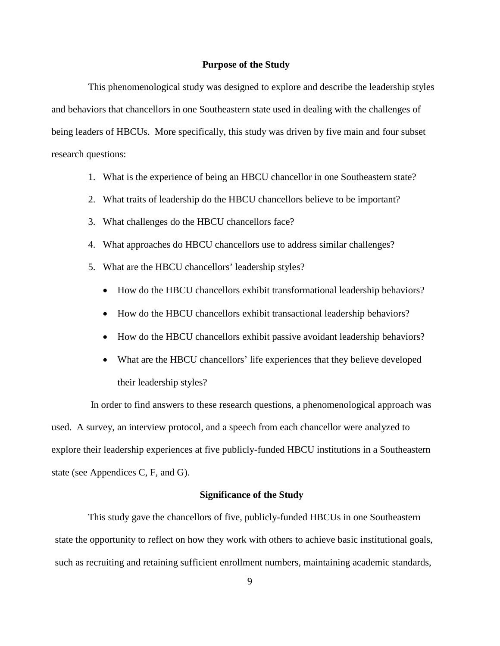## **Purpose of the Study**

This phenomenological study was designed to explore and describe the leadership styles and behaviors that chancellors in one Southeastern state used in dealing with the challenges of being leaders of HBCUs. More specifically, this study was driven by five main and four subset research questions:

- 1. What is the experience of being an HBCU chancellor in one Southeastern state?
- 2. What traits of leadership do the HBCU chancellors believe to be important?
- 3. What challenges do the HBCU chancellors face?
- 4. What approaches do HBCU chancellors use to address similar challenges?
- 5. What are the HBCU chancellors' leadership styles?
	- How do the HBCU chancellors exhibit transformational leadership behaviors?
	- How do the HBCU chancellors exhibit transactional leadership behaviors?
	- How do the HBCU chancellors exhibit passive avoidant leadership behaviors?
	- What are the HBCU chancellors' life experiences that they believe developed their leadership styles?

 In order to find answers to these research questions, a phenomenological approach was used. A survey, an interview protocol, and a speech from each chancellor were analyzed to explore their leadership experiences at five publicly-funded HBCU institutions in a Southeastern state (see Appendices C, F, and G).

# **Significance of the Study**

This study gave the chancellors of five, publicly-funded HBCUs in one Southeastern state the opportunity to reflect on how they work with others to achieve basic institutional goals, such as recruiting and retaining sufficient enrollment numbers, maintaining academic standards,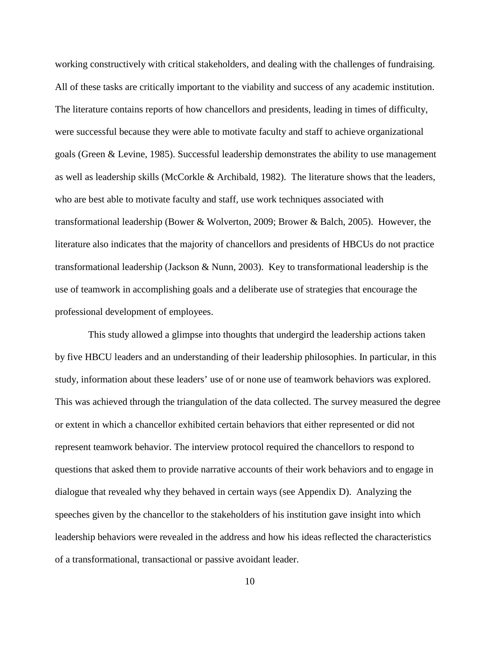working constructively with critical stakeholders, and dealing with the challenges of fundraising. All of these tasks are critically important to the viability and success of any academic institution. The literature contains reports of how chancellors and presidents, leading in times of difficulty, were successful because they were able to motivate faculty and staff to achieve organizational goals (Green & Levine, 1985). Successful leadership demonstrates the ability to use management as well as leadership skills (McCorkle & Archibald, 1982). The literature shows that the leaders, who are best able to motivate faculty and staff, use work techniques associated with transformational leadership (Bower & Wolverton, 2009; Brower & Balch, 2005). However, the literature also indicates that the majority of chancellors and presidents of HBCUs do not practice transformational leadership (Jackson & Nunn, 2003). Key to transformational leadership is the use of teamwork in accomplishing goals and a deliberate use of strategies that encourage the professional development of employees.

This study allowed a glimpse into thoughts that undergird the leadership actions taken by five HBCU leaders and an understanding of their leadership philosophies. In particular, in this study, information about these leaders' use of or none use of teamwork behaviors was explored. This was achieved through the triangulation of the data collected. The survey measured the degree or extent in which a chancellor exhibited certain behaviors that either represented or did not represent teamwork behavior. The interview protocol required the chancellors to respond to questions that asked them to provide narrative accounts of their work behaviors and to engage in dialogue that revealed why they behaved in certain ways (see Appendix D). Analyzing the speeches given by the chancellor to the stakeholders of his institution gave insight into which leadership behaviors were revealed in the address and how his ideas reflected the characteristics of a transformational, transactional or passive avoidant leader.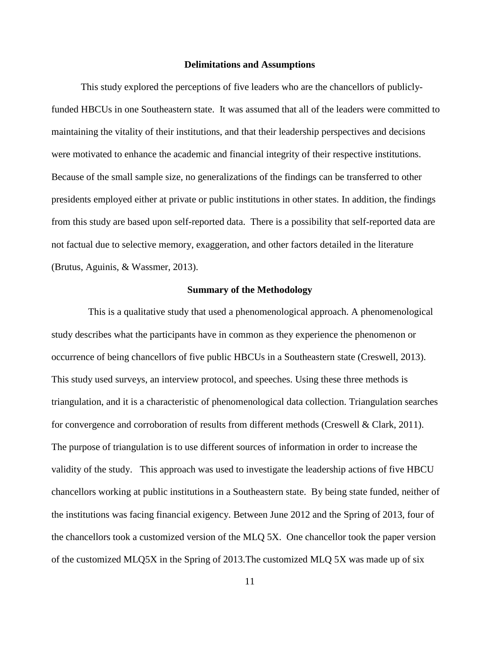#### **Delimitations and Assumptions**

This study explored the perceptions of five leaders who are the chancellors of publiclyfunded HBCUs in one Southeastern state. It was assumed that all of the leaders were committed to maintaining the vitality of their institutions, and that their leadership perspectives and decisions were motivated to enhance the academic and financial integrity of their respective institutions. Because of the small sample size, no generalizations of the findings can be transferred to other presidents employed either at private or public institutions in other states. In addition, the findings from this study are based upon self-reported data. There is a possibility that self-reported data are not factual due to selective memory, exaggeration, and other factors detailed in the literature (Brutus, Aguinis, & Wassmer, 2013).

## **Summary of the Methodology**

This is a qualitative study that used a phenomenological approach. A phenomenological study describes what the participants have in common as they experience the phenomenon or occurrence of being chancellors of five public HBCUs in a Southeastern state (Creswell, 2013). This study used surveys, an interview protocol, and speeches. Using these three methods is triangulation, and it is a characteristic of phenomenological data collection. Triangulation searches for convergence and corroboration of results from different methods (Creswell & Clark, 2011). The purpose of triangulation is to use different sources of information in order to increase the validity of the study. This approach was used to investigate the leadership actions of five HBCU chancellors working at public institutions in a Southeastern state. By being state funded, neither of the institutions was facing financial exigency. Between June 2012 and the Spring of 2013, four of the chancellors took a customized version of the MLQ 5X. One chancellor took the paper version of the customized MLQ5X in the Spring of 2013.The customized MLQ 5X was made up of six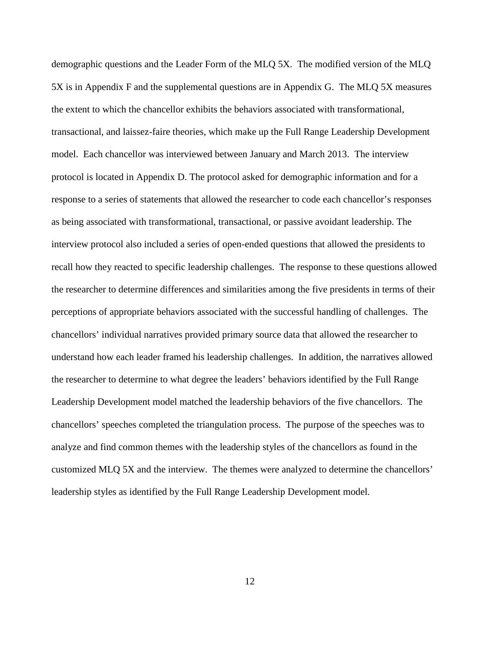demographic questions and the Leader Form of the MLQ 5X. The modified version of the MLQ 5X is in Appendix F and the supplemental questions are in Appendix G. The MLQ 5X measures the extent to which the chancellor exhibits the behaviors associated with transformational, transactional, and laissez-faire theories, which make up the Full Range Leadership Development model. Each chancellor was interviewed between January and March 2013. The interview protocol is located in Appendix D. The protocol asked for demographic information and for a response to a series of statements that allowed the researcher to code each chancellor's responses as being associated with transformational, transactional, or passive avoidant leadership. The interview protocol also included a series of open-ended questions that allowed the presidents to recall how they reacted to specific leadership challenges. The response to these questions allowed the researcher to determine differences and similarities among the five presidents in terms of their perceptions of appropriate behaviors associated with the successful handling of challenges. The chancellors' individual narratives provided primary source data that allowed the researcher to understand how each leader framed his leadership challenges. In addition, the narratives allowed the researcher to determine to what degree the leaders' behaviors identified by the Full Range Leadership Development model matched the leadership behaviors of the five chancellors. The chancellors' speeches completed the triangulation process. The purpose of the speeches was to analyze and find common themes with the leadership styles of the chancellors as found in the customized MLQ 5X and the interview. The themes were analyzed to determine the chancellors' leadership styles as identified by the Full Range Leadership Development model.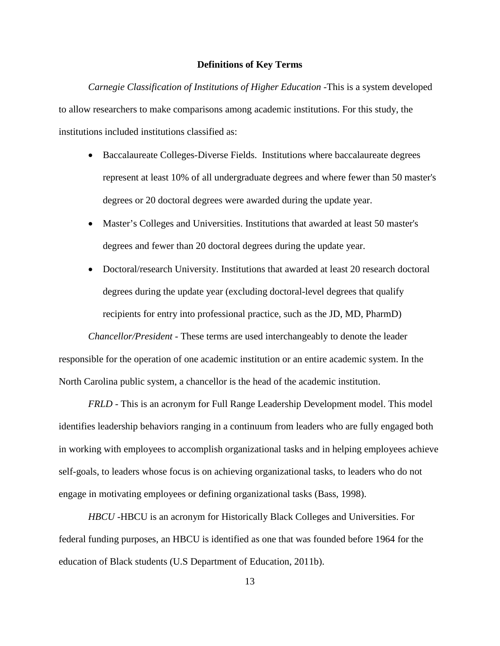## **Definitions of Key Terms**

*Carnegie Classification of Institutions of Higher Education -*This is a system developed to allow researchers to make comparisons among academic institutions. For this study, the institutions included institutions classified as:

- Baccalaureate Colleges-Diverse Fields. Institutions where baccalaureate degrees represent at least 10% of all undergraduate degrees and where fewer than 50 master's degrees or 20 doctoral degrees were awarded during the update year.
- Master's Colleges and Universities. Institutions that awarded at least 50 master's degrees and fewer than 20 doctoral degrees during the update year.
- Doctoral/research University. Institutions that awarded at least 20 research doctoral degrees during the update year (excluding doctoral-level degrees that qualify recipients for entry into professional practice, such as the JD, MD, PharmD)

*Chancellor/President -* These terms are used interchangeably to denote the leader responsible for the operation of one academic institution or an entire academic system. In the North Carolina public system, a chancellor is the head of the academic institution.

*FRLD -* This is an acronym for Full Range Leadership Development model. This model identifies leadership behaviors ranging in a continuum from leaders who are fully engaged both in working with employees to accomplish organizational tasks and in helping employees achieve self-goals, to leaders whose focus is on achieving organizational tasks, to leaders who do not engage in motivating employees or defining organizational tasks (Bass, 1998).

*HBCU -*HBCU is an acronym for Historically Black Colleges and Universities. For federal funding purposes, an HBCU is identified as one that was founded before 1964 for the education of Black students (U.S Department of Education, 2011b).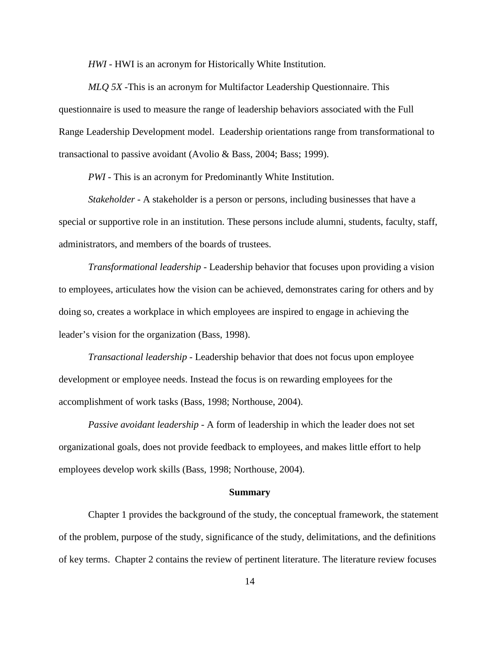*HWI -* HWI is an acronym for Historically White Institution.

*MLQ 5X -*This is an acronym for Multifactor Leadership Questionnaire. This questionnaire is used to measure the range of leadership behaviors associated with the Full Range Leadership Development model. Leadership orientations range from transformational to transactional to passive avoidant (Avolio & Bass, 2004; Bass; 1999).

*PWI -* This is an acronym for Predominantly White Institution.

*Stakeholder -* A stakeholder is a person or persons, including businesses that have a special or supportive role in an institution. These persons include alumni, students, faculty, staff, administrators, and members of the boards of trustees.

*Transformational leadership -* Leadership behavior that focuses upon providing a vision to employees, articulates how the vision can be achieved, demonstrates caring for others and by doing so, creates a workplace in which employees are inspired to engage in achieving the leader's vision for the organization (Bass, 1998).

*Transactional leadership -* Leadership behavior that does not focus upon employee development or employee needs. Instead the focus is on rewarding employees for the accomplishment of work tasks (Bass, 1998; Northouse, 2004).

*Passive avoidant leadership -* A form of leadership in which the leader does not set organizational goals, does not provide feedback to employees, and makes little effort to help employees develop work skills (Bass, 1998; Northouse, 2004).

#### **Summary**

Chapter 1 provides the background of the study, the conceptual framework, the statement of the problem, purpose of the study, significance of the study, delimitations, and the definitions of key terms. Chapter 2 contains the review of pertinent literature. The literature review focuses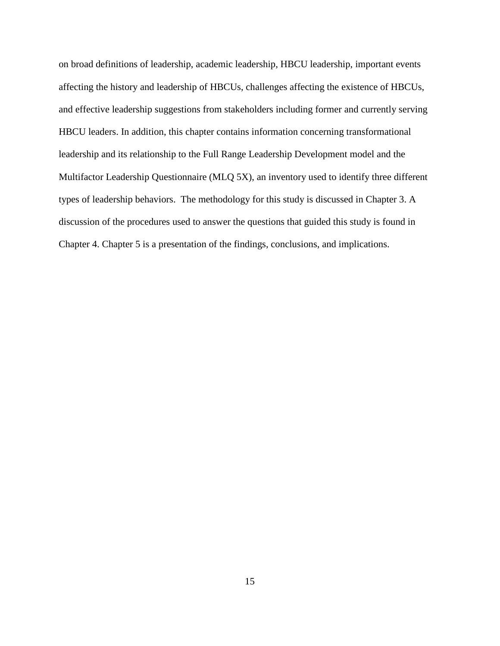on broad definitions of leadership, academic leadership, HBCU leadership, important events affecting the history and leadership of HBCUs, challenges affecting the existence of HBCUs, and effective leadership suggestions from stakeholders including former and currently serving HBCU leaders. In addition, this chapter contains information concerning transformational leadership and its relationship to the Full Range Leadership Development model and the Multifactor Leadership Questionnaire (MLQ 5X), an inventory used to identify three different types of leadership behaviors. The methodology for this study is discussed in Chapter 3. A discussion of the procedures used to answer the questions that guided this study is found in Chapter 4. Chapter 5 is a presentation of the findings, conclusions, and implications.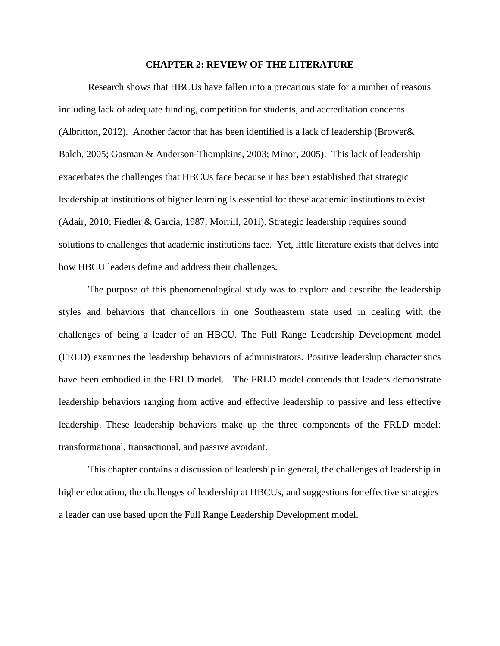### **CHAPTER 2: REVIEW OF THE LITERATURE**

Research shows that HBCUs have fallen into a precarious state for a number of reasons including lack of adequate funding, competition for students, and accreditation concerns (Albritton, 2012). Another factor that has been identified is a lack of leadership (Brower& Balch, 2005; Gasman & Anderson-Thompkins, 2003; Minor, 2005). This lack of leadership exacerbates the challenges that HBCUs face because it has been established that strategic leadership at institutions of higher learning is essential for these academic institutions to exist (Adair, 2010; Fiedler & Garcia, 1987; Morrill, 201l). Strategic leadership requires sound solutions to challenges that academic institutions face. Yet, little literature exists that delves into how HBCU leaders define and address their challenges.

The purpose of this phenomenological study was to explore and describe the leadership styles and behaviors that chancellors in one Southeastern state used in dealing with the challenges of being a leader of an HBCU. The Full Range Leadership Development model (FRLD) examines the leadership behaviors of administrators. Positive leadership characteristics have been embodied in the FRLD model. The FRLD model contends that leaders demonstrate leadership behaviors ranging from active and effective leadership to passive and less effective leadership. These leadership behaviors make up the three components of the FRLD model: transformational, transactional, and passive avoidant.

This chapter contains a discussion of leadership in general, the challenges of leadership in higher education, the challenges of leadership at HBCUs, and suggestions for effective strategies a leader can use based upon the Full Range Leadership Development model.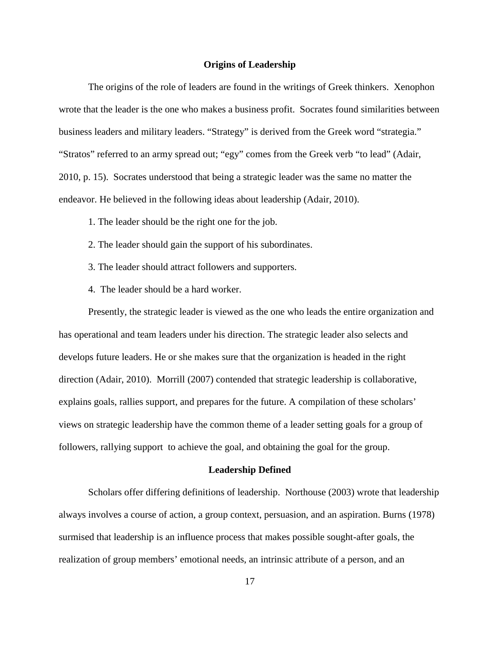### **Origins of Leadership**

The origins of the role of leaders are found in the writings of Greek thinkers. Xenophon wrote that the leader is the one who makes a business profit. Socrates found similarities between business leaders and military leaders. "Strategy" is derived from the Greek word "strategia." "Stratos" referred to an army spread out; "egy" comes from the Greek verb "to lead" (Adair, 2010, p. 15). Socrates understood that being a strategic leader was the same no matter the endeavor. He believed in the following ideas about leadership (Adair, 2010).

- 1. The leader should be the right one for the job.
- 2. The leader should gain the support of his subordinates.
- 3. The leader should attract followers and supporters.
- 4. The leader should be a hard worker.

Presently, the strategic leader is viewed as the one who leads the entire organization and has operational and team leaders under his direction. The strategic leader also selects and develops future leaders. He or she makes sure that the organization is headed in the right direction (Adair, 2010). Morrill (2007) contended that strategic leadership is collaborative, explains goals, rallies support, and prepares for the future. A compilation of these scholars' views on strategic leadership have the common theme of a leader setting goals for a group of followers, rallying support to achieve the goal, and obtaining the goal for the group.

### **Leadership Defined**

Scholars offer differing definitions of leadership. Northouse (2003) wrote that leadership always involves a course of action, a group context, persuasion, and an aspiration. Burns (1978) surmised that leadership is an influence process that makes possible sought-after goals, the realization of group members' emotional needs, an intrinsic attribute of a person, and an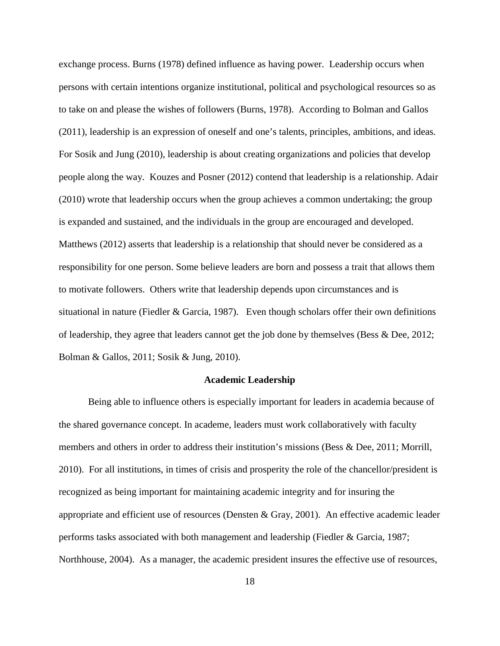exchange process. Burns (1978) defined influence as having power. Leadership occurs when persons with certain intentions organize institutional, political and psychological resources so as to take on and please the wishes of followers (Burns, 1978). According to Bolman and Gallos (2011), leadership is an expression of oneself and one's talents, principles, ambitions, and ideas. For Sosik and Jung (2010), leadership is about creating organizations and policies that develop people along the way. Kouzes and Posner (2012) contend that leadership is a relationship. Adair (2010) wrote that leadership occurs when the group achieves a common undertaking; the group is expanded and sustained, and the individuals in the group are encouraged and developed. Matthews (2012) asserts that leadership is a relationship that should never be considered as a responsibility for one person. Some believe leaders are born and possess a trait that allows them to motivate followers. Others write that leadership depends upon circumstances and is situational in nature (Fiedler  $&$  Garcia, 1987). Even though scholars offer their own definitions of leadership, they agree that leaders cannot get the job done by themselves (Bess & Dee, 2012; Bolman & Gallos, 2011; Sosik & Jung, 2010).

## **Academic Leadership**

Being able to influence others is especially important for leaders in academia because of the shared governance concept. In academe, leaders must work collaboratively with faculty members and others in order to address their institution's missions (Bess & Dee, 2011; Morrill, 2010). For all institutions, in times of crisis and prosperity the role of the chancellor/president is recognized as being important for maintaining academic integrity and for insuring the appropriate and efficient use of resources (Densten & Gray, 2001). An effective academic leader performs tasks associated with both management and leadership (Fiedler & Garcia, 1987; Northhouse, 2004). As a manager, the academic president insures the effective use of resources,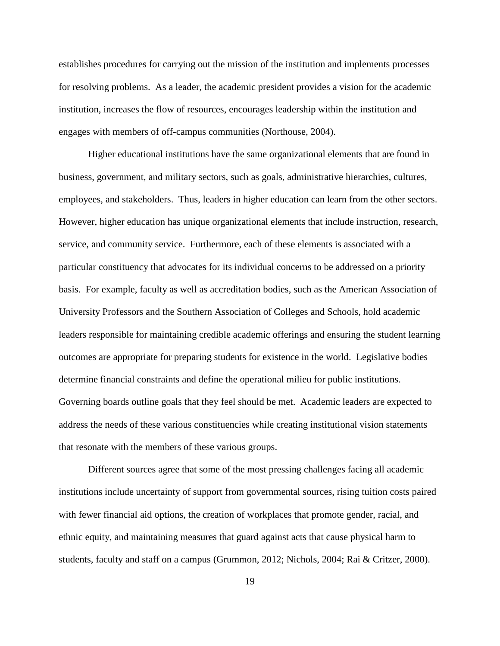establishes procedures for carrying out the mission of the institution and implements processes for resolving problems. As a leader, the academic president provides a vision for the academic institution, increases the flow of resources, encourages leadership within the institution and engages with members of off-campus communities (Northouse, 2004).

Higher educational institutions have the same organizational elements that are found in business, government, and military sectors, such as goals, administrative hierarchies, cultures, employees, and stakeholders. Thus, leaders in higher education can learn from the other sectors. However, higher education has unique organizational elements that include instruction, research, service, and community service. Furthermore, each of these elements is associated with a particular constituency that advocates for its individual concerns to be addressed on a priority basis. For example, faculty as well as accreditation bodies, such as the American Association of University Professors and the Southern Association of Colleges and Schools, hold academic leaders responsible for maintaining credible academic offerings and ensuring the student learning outcomes are appropriate for preparing students for existence in the world. Legislative bodies determine financial constraints and define the operational milieu for public institutions. Governing boards outline goals that they feel should be met. Academic leaders are expected to address the needs of these various constituencies while creating institutional vision statements that resonate with the members of these various groups.

Different sources agree that some of the most pressing challenges facing all academic institutions include uncertainty of support from governmental sources, rising tuition costs paired with fewer financial aid options, the creation of workplaces that promote gender, racial, and ethnic equity, and maintaining measures that guard against acts that cause physical harm to students, faculty and staff on a campus (Grummon, 2012; Nichols, 2004; Rai & Critzer, 2000).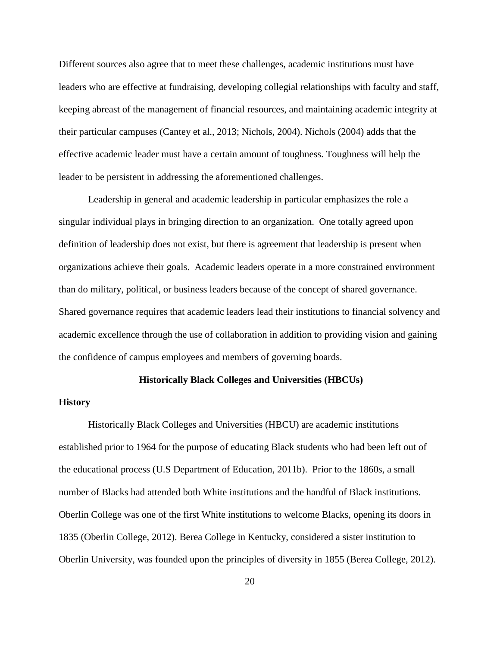Different sources also agree that to meet these challenges, academic institutions must have leaders who are effective at fundraising, developing collegial relationships with faculty and staff, keeping abreast of the management of financial resources, and maintaining academic integrity at their particular campuses (Cantey et al., 2013; Nichols, 2004). Nichols (2004) adds that the effective academic leader must have a certain amount of toughness. Toughness will help the leader to be persistent in addressing the aforementioned challenges.

Leadership in general and academic leadership in particular emphasizes the role a singular individual plays in bringing direction to an organization. One totally agreed upon definition of leadership does not exist, but there is agreement that leadership is present when organizations achieve their goals. Academic leaders operate in a more constrained environment than do military, political, or business leaders because of the concept of shared governance. Shared governance requires that academic leaders lead their institutions to financial solvency and academic excellence through the use of collaboration in addition to providing vision and gaining the confidence of campus employees and members of governing boards.

## **Historically Black Colleges and Universities (HBCUs)**

### **History**

Historically Black Colleges and Universities (HBCU) are academic institutions established prior to 1964 for the purpose of educating Black students who had been left out of the educational process (U.S Department of Education, 2011b). Prior to the 1860s, a small number of Blacks had attended both White institutions and the handful of Black institutions. Oberlin College was one of the first White institutions to welcome Blacks, opening its doors in 1835 (Oberlin College, 2012). Berea College in Kentucky, considered a sister institution to Oberlin University, was founded upon the principles of diversity in 1855 (Berea College, 2012).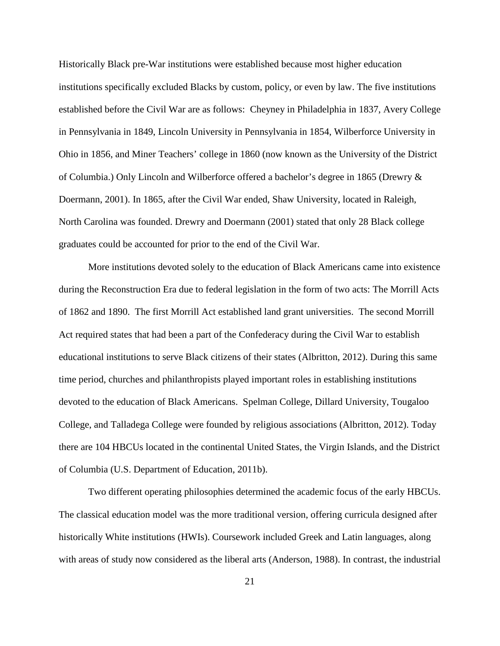Historically Black pre-War institutions were established because most higher education institutions specifically excluded Blacks by custom, policy, or even by law. The five institutions established before the Civil War are as follows: Cheyney in Philadelphia in 1837, Avery College in Pennsylvania in 1849, Lincoln University in Pennsylvania in 1854, Wilberforce University in Ohio in 1856, and Miner Teachers' college in 1860 (now known as the University of the District of Columbia.) Only Lincoln and Wilberforce offered a bachelor's degree in 1865 (Drewry & Doermann, 2001). In 1865, after the Civil War ended, Shaw University, located in Raleigh, North Carolina was founded. Drewry and Doermann (2001) stated that only 28 Black college graduates could be accounted for prior to the end of the Civil War.

More institutions devoted solely to the education of Black Americans came into existence during the Reconstruction Era due to federal legislation in the form of two acts: The Morrill Acts of 1862 and 1890. The first Morrill Act established land grant universities. The second Morrill Act required states that had been a part of the Confederacy during the Civil War to establish educational institutions to serve Black citizens of their states (Albritton, 2012). During this same time period, churches and philanthropists played important roles in establishing institutions devoted to the education of Black Americans. Spelman College, Dillard University, Tougaloo College, and Talladega College were founded by religious associations (Albritton, 2012). Today there are 104 HBCUs located in the continental United States, the Virgin Islands, and the District of Columbia (U.S. Department of Education, 2011b).

Two different operating philosophies determined the academic focus of the early HBCUs. The classical education model was the more traditional version, offering curricula designed after historically White institutions (HWIs). Coursework included Greek and Latin languages, along with areas of study now considered as the liberal arts (Anderson, 1988). In contrast, the industrial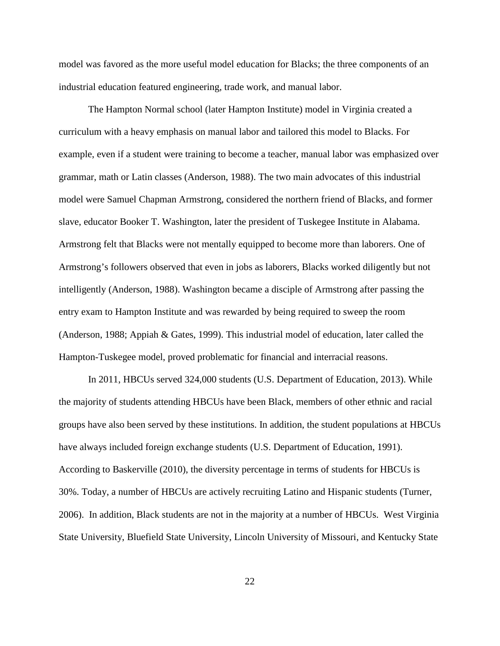model was favored as the more useful model education for Blacks; the three components of an industrial education featured engineering, trade work, and manual labor.

The Hampton Normal school (later Hampton Institute) model in Virginia created a curriculum with a heavy emphasis on manual labor and tailored this model to Blacks. For example, even if a student were training to become a teacher, manual labor was emphasized over grammar, math or Latin classes (Anderson, 1988). The two main advocates of this industrial model were Samuel Chapman Armstrong, considered the northern friend of Blacks, and former slave, educator Booker T. Washington, later the president of Tuskegee Institute in Alabama. Armstrong felt that Blacks were not mentally equipped to become more than laborers. One of Armstrong's followers observed that even in jobs as laborers, Blacks worked diligently but not intelligently (Anderson, 1988). Washington became a disciple of Armstrong after passing the entry exam to Hampton Institute and was rewarded by being required to sweep the room (Anderson, 1988; Appiah & Gates, 1999). This industrial model of education, later called the Hampton-Tuskegee model, proved problematic for financial and interracial reasons.

In 2011, HBCUs served 324,000 students (U.S. Department of Education, 2013). While the majority of students attending HBCUs have been Black, members of other ethnic and racial groups have also been served by these institutions. In addition, the student populations at HBCUs have always included foreign exchange students (U.S. Department of Education, 1991). According to Baskerville (2010), the diversity percentage in terms of students for HBCUs is 30%. Today, a number of HBCUs are actively recruiting Latino and Hispanic students (Turner, 2006). In addition, Black students are not in the majority at a number of HBCUs. West Virginia State University, Bluefield State University, Lincoln University of Missouri, and Kentucky State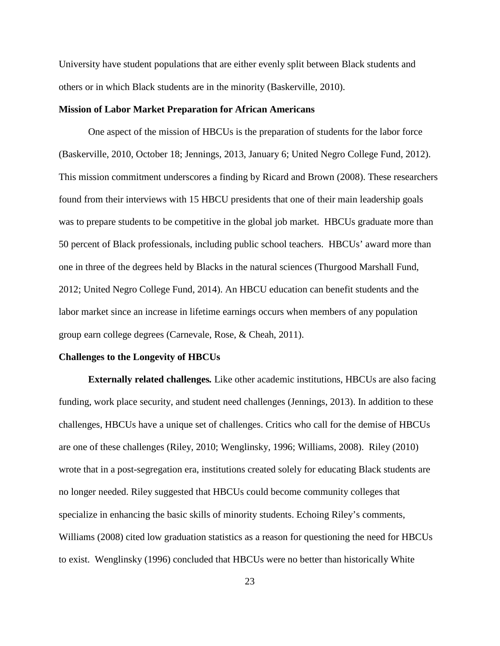University have student populations that are either evenly split between Black students and others or in which Black students are in the minority (Baskerville, 2010).

## **Mission of Labor Market Preparation for African Americans**

One aspect of the mission of HBCUs is the preparation of students for the labor force (Baskerville, 2010, October 18; Jennings, 2013, January 6; United Negro College Fund, 2012). This mission commitment underscores a finding by Ricard and Brown (2008). These researchers found from their interviews with 15 HBCU presidents that one of their main leadership goals was to prepare students to be competitive in the global job market. HBCUs graduate more than 50 percent of Black professionals, including public school teachers. HBCUs' award more than one in three of the degrees held by Blacks in the natural sciences (Thurgood Marshall Fund, 2012; United Negro College Fund, 2014). An HBCU education can benefit students and the labor market since an increase in lifetime earnings occurs when members of any population group earn college degrees (Carnevale, Rose, & Cheah, 2011).

## **Challenges to the Longevity of HBCUs**

**Externally related challenges***.* Like other academic institutions, HBCUs are also facing funding, work place security, and student need challenges (Jennings, 2013). In addition to these challenges, HBCUs have a unique set of challenges. Critics who call for the demise of HBCUs are one of these challenges (Riley, 2010; Wenglinsky, 1996; Williams, 2008). Riley (2010) wrote that in a post-segregation era, institutions created solely for educating Black students are no longer needed. Riley suggested that HBCUs could become community colleges that specialize in enhancing the basic skills of minority students. Echoing Riley's comments, Williams (2008) cited low graduation statistics as a reason for questioning the need for HBCUs to exist. Wenglinsky (1996) concluded that HBCUs were no better than historically White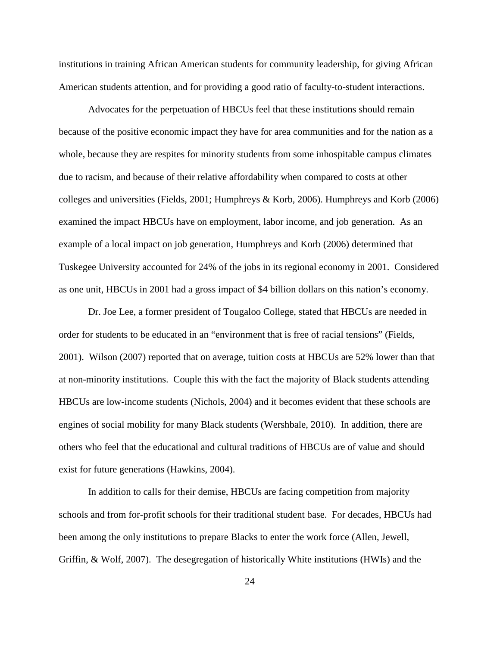institutions in training African American students for community leadership, for giving African American students attention, and for providing a good ratio of faculty-to-student interactions.

Advocates for the perpetuation of HBCUs feel that these institutions should remain because of the positive economic impact they have for area communities and for the nation as a whole, because they are respites for minority students from some inhospitable campus climates due to racism, and because of their relative affordability when compared to costs at other colleges and universities (Fields, 2001; Humphreys & Korb, 2006). Humphreys and Korb (2006) examined the impact HBCUs have on employment, labor income, and job generation. As an example of a local impact on job generation, Humphreys and Korb (2006) determined that Tuskegee University accounted for 24% of the jobs in its regional economy in 2001. Considered as one unit, HBCUs in 2001 had a gross impact of \$4 billion dollars on this nation's economy.

Dr. Joe Lee, a former president of Tougaloo College, stated that HBCUs are needed in order for students to be educated in an "environment that is free of racial tensions" (Fields, 2001). Wilson (2007) reported that on average, tuition costs at HBCUs are 52% lower than that at non-minority institutions. Couple this with the fact the majority of Black students attending HBCUs are low-income students (Nichols, 2004) and it becomes evident that these schools are engines of social mobility for many Black students (Wershbale, 2010). In addition, there are others who feel that the educational and cultural traditions of HBCUs are of value and should exist for future generations (Hawkins, 2004).

In addition to calls for their demise, HBCUs are facing competition from majority schools and from for-profit schools for their traditional student base. For decades, HBCUs had been among the only institutions to prepare Blacks to enter the work force (Allen, Jewell, Griffin, & Wolf, 2007). The desegregation of historically White institutions (HWIs) and the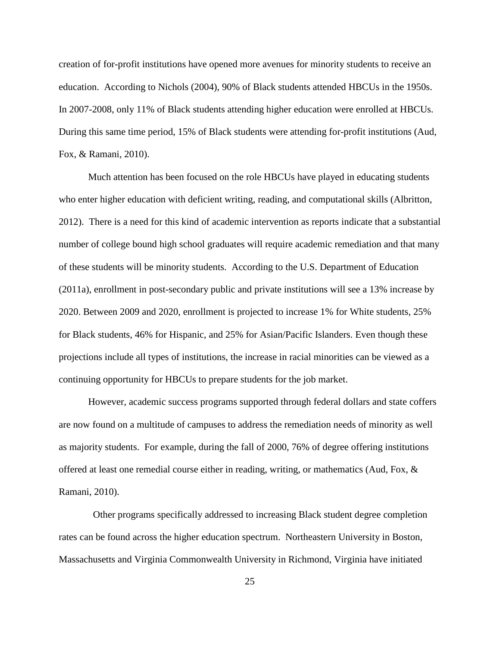creation of for-profit institutions have opened more avenues for minority students to receive an education. According to Nichols (2004), 90% of Black students attended HBCUs in the 1950s. In 2007-2008, only 11% of Black students attending higher education were enrolled at HBCUs. During this same time period, 15% of Black students were attending for-profit institutions (Aud, Fox, & Ramani, 2010).

Much attention has been focused on the role HBCUs have played in educating students who enter higher education with deficient writing, reading, and computational skills (Albritton, 2012). There is a need for this kind of academic intervention as reports indicate that a substantial number of college bound high school graduates will require academic remediation and that many of these students will be minority students. According to the U.S. Department of Education (2011a), enrollment in post-secondary public and private institutions will see a 13% increase by 2020. Between 2009 and 2020, enrollment is projected to increase 1% for White students, 25% for Black students, 46% for Hispanic, and 25% for Asian/Pacific Islanders. Even though these projections include all types of institutions, the increase in racial minorities can be viewed as a continuing opportunity for HBCUs to prepare students for the job market.

However, academic success programs supported through federal dollars and state coffers are now found on a multitude of campuses to address the remediation needs of minority as well as majority students. For example, during the fall of 2000, 76% of degree offering institutions offered at least one remedial course either in reading, writing, or mathematics (Aud, Fox, & Ramani, 2010).

Other programs specifically addressed to increasing Black student degree completion rates can be found across the higher education spectrum. Northeastern University in Boston, Massachusetts and Virginia Commonwealth University in Richmond, Virginia have initiated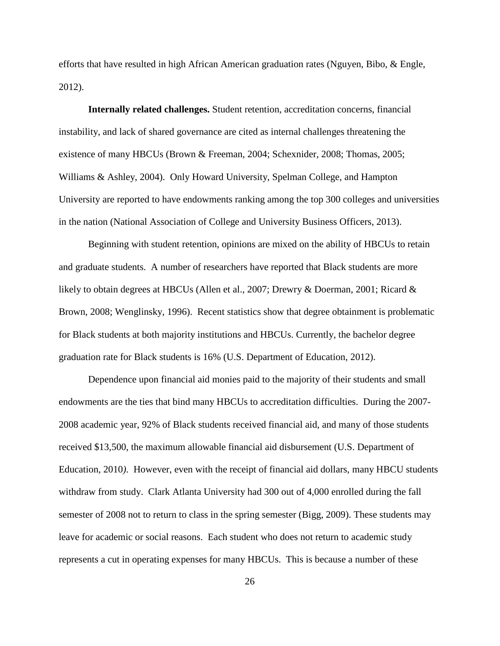efforts that have resulted in high African American graduation rates (Nguyen, Bibo, & Engle, 2012).

**Internally related challenges.** Student retention, accreditation concerns, financial instability, and lack of shared governance are cited as internal challenges threatening the existence of many HBCUs (Brown & Freeman, 2004; Schexnider, 2008; Thomas, 2005; Williams & Ashley, 2004). Only Howard University, Spelman College, and Hampton University are reported to have endowments ranking among the top 300 colleges and universities in the nation (National Association of College and University Business Officers, 2013).

Beginning with student retention, opinions are mixed on the ability of HBCUs to retain and graduate students. A number of researchers have reported that Black students are more likely to obtain degrees at HBCUs (Allen et al., 2007; Drewry & Doerman, 2001; Ricard & Brown, 2008; Wenglinsky, 1996). Recent statistics show that degree obtainment is problematic for Black students at both majority institutions and HBCUs. Currently, the bachelor degree graduation rate for Black students is 16% (U.S. Department of Education, 2012).

Dependence upon financial aid monies paid to the majority of their students and small endowments are the ties that bind many HBCUs to accreditation difficulties. During the 2007- 2008 academic year, 92% of Black students received financial aid, and many of those students received \$13,500, the maximum allowable financial aid disbursement (U.S. Department of Education, 2010*)*. However, even with the receipt of financial aid dollars, many HBCU students withdraw from study. Clark Atlanta University had 300 out of 4,000 enrolled during the fall semester of 2008 not to return to class in the spring semester (Bigg, 2009). These students may leave for academic or social reasons. Each student who does not return to academic study represents a cut in operating expenses for many HBCUs. This is because a number of these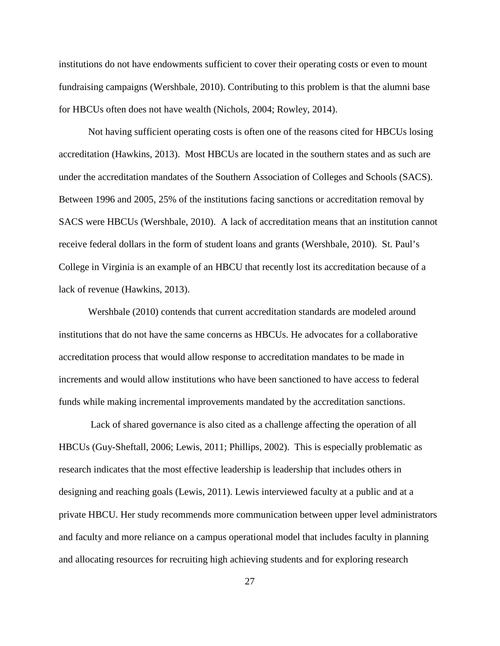institutions do not have endowments sufficient to cover their operating costs or even to mount fundraising campaigns (Wershbale, 2010). Contributing to this problem is that the alumni base for HBCUs often does not have wealth (Nichols, 2004; Rowley, 2014).

Not having sufficient operating costs is often one of the reasons cited for HBCUs losing accreditation (Hawkins, 2013). Most HBCUs are located in the southern states and as such are under the accreditation mandates of the Southern Association of Colleges and Schools (SACS). Between 1996 and 2005, 25% of the institutions facing sanctions or accreditation removal by SACS were HBCUs (Wershbale, 2010). A lack of accreditation means that an institution cannot receive federal dollars in the form of student loans and grants (Wershbale, 2010). St. Paul's College in Virginia is an example of an HBCU that recently lost its accreditation because of a lack of revenue (Hawkins, 2013).

Wershbale (2010) contends that current accreditation standards are modeled around institutions that do not have the same concerns as HBCUs. He advocates for a collaborative accreditation process that would allow response to accreditation mandates to be made in increments and would allow institutions who have been sanctioned to have access to federal funds while making incremental improvements mandated by the accreditation sanctions.

Lack of shared governance is also cited as a challenge affecting the operation of all HBCUs (Guy-Sheftall, 2006; Lewis, 2011; Phillips, 2002). This is especially problematic as research indicates that the most effective leadership is leadership that includes others in designing and reaching goals (Lewis, 2011). Lewis interviewed faculty at a public and at a private HBCU. Her study recommends more communication between upper level administrators and faculty and more reliance on a campus operational model that includes faculty in planning and allocating resources for recruiting high achieving students and for exploring research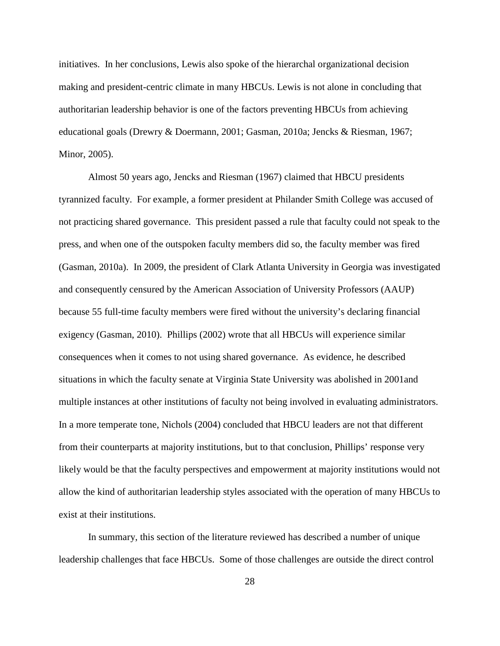initiatives. In her conclusions, Lewis also spoke of the hierarchal organizational decision making and president-centric climate in many HBCUs. Lewis is not alone in concluding that authoritarian leadership behavior is one of the factors preventing HBCUs from achieving educational goals (Drewry & Doermann, 2001; Gasman, 2010a; Jencks & Riesman, 1967; Minor, 2005).

Almost 50 years ago, Jencks and Riesman (1967) claimed that HBCU presidents tyrannized faculty. For example, a former president at Philander Smith College was accused of not practicing shared governance. This president passed a rule that faculty could not speak to the press, and when one of the outspoken faculty members did so, the faculty member was fired (Gasman, 2010a). In 2009, the president of Clark Atlanta University in Georgia was investigated and consequently censured by the American Association of University Professors (AAUP) because 55 full-time faculty members were fired without the university's declaring financial exigency (Gasman, 2010). Phillips (2002) wrote that all HBCUs will experience similar consequences when it comes to not using shared governance. As evidence, he described situations in which the faculty senate at Virginia State University was abolished in 2001and multiple instances at other institutions of faculty not being involved in evaluating administrators. In a more temperate tone, Nichols (2004) concluded that HBCU leaders are not that different from their counterparts at majority institutions, but to that conclusion, Phillips' response very likely would be that the faculty perspectives and empowerment at majority institutions would not allow the kind of authoritarian leadership styles associated with the operation of many HBCUs to exist at their institutions.

In summary, this section of the literature reviewed has described a number of unique leadership challenges that face HBCUs. Some of those challenges are outside the direct control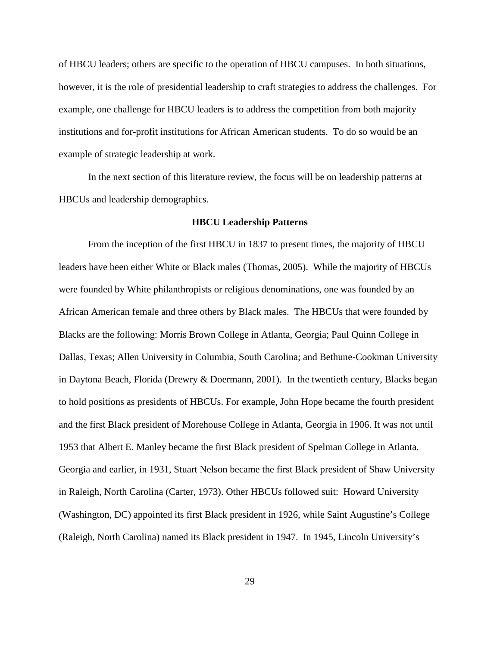of HBCU leaders; others are specific to the operation of HBCU campuses. In both situations, however, it is the role of presidential leadership to craft strategies to address the challenges. For example, one challenge for HBCU leaders is to address the competition from both majority institutions and for-profit institutions for African American students. To do so would be an example of strategic leadership at work.

In the next section of this literature review, the focus will be on leadership patterns at HBCUs and leadership demographics.

#### **HBCU Leadership Patterns**

From the inception of the first HBCU in 1837 to present times, the majority of HBCU leaders have been either White or Black males (Thomas, 2005). While the majority of HBCUs were founded by White philanthropists or religious denominations, one was founded by an African American female and three others by Black males. The HBCUs that were founded by Blacks are the following: Morris Brown College in Atlanta, Georgia; Paul Quinn College in Dallas, Texas; Allen University in Columbia, South Carolina; and Bethune-Cookman University in Daytona Beach, Florida (Drewry & Doermann, 2001). In the twentieth century, Blacks began to hold positions as presidents of HBCUs. For example, John Hope became the fourth president and the first Black president of Morehouse College in Atlanta, Georgia in 1906. It was not until 1953 that Albert E. Manley became the first Black president of Spelman College in Atlanta, Georgia and earlier, in 1931, Stuart Nelson became the first Black president of Shaw University in Raleigh, North Carolina (Carter, 1973). Other HBCUs followed suit: Howard University (Washington, DC) appointed its first Black president in 1926, while Saint Augustine's College (Raleigh, North Carolina) named its Black president in 1947. In 1945, Lincoln University's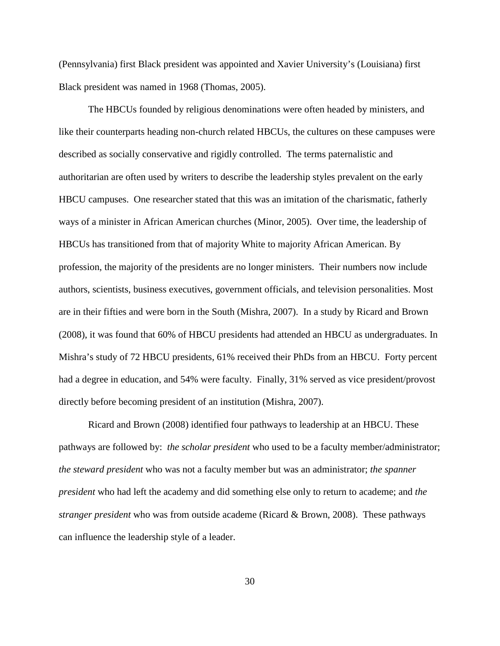(Pennsylvania) first Black president was appointed and Xavier University's (Louisiana) first Black president was named in 1968 (Thomas, 2005).

The HBCUs founded by religious denominations were often headed by ministers, and like their counterparts heading non-church related HBCUs, the cultures on these campuses were described as socially conservative and rigidly controlled. The terms paternalistic and authoritarian are often used by writers to describe the leadership styles prevalent on the early HBCU campuses. One researcher stated that this was an imitation of the charismatic, fatherly ways of a minister in African American churches (Minor, 2005). Over time, the leadership of HBCUs has transitioned from that of majority White to majority African American. By profession, the majority of the presidents are no longer ministers. Their numbers now include authors, scientists, business executives, government officials, and television personalities. Most are in their fifties and were born in the South (Mishra, 2007). In a study by Ricard and Brown (2008), it was found that 60% of HBCU presidents had attended an HBCU as undergraduates. In Mishra's study of 72 HBCU presidents, 61% received their PhDs from an HBCU. Forty percent had a degree in education, and 54% were faculty. Finally, 31% served as vice president/provost directly before becoming president of an institution (Mishra, 2007).

Ricard and Brown (2008) identified four pathways to leadership at an HBCU. These pathways are followed by: *the scholar president* who used to be a faculty member/administrator; *the steward president* who was not a faculty member but was an administrator; *the spanner president* who had left the academy and did something else only to return to academe; and *the stranger president* who was from outside academe (Ricard & Brown, 2008). These pathways can influence the leadership style of a leader.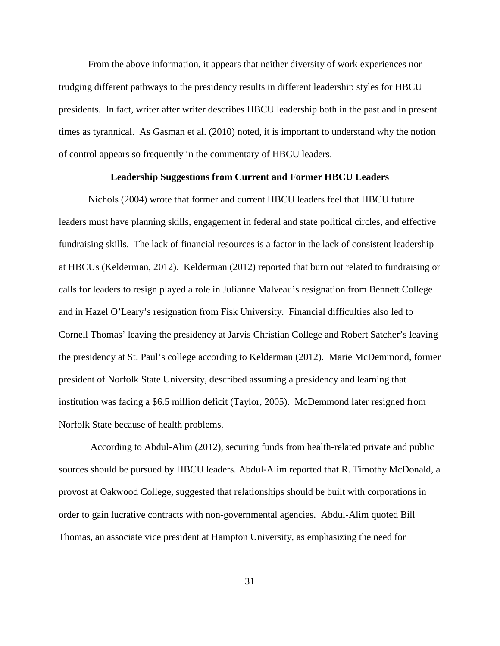From the above information, it appears that neither diversity of work experiences nor trudging different pathways to the presidency results in different leadership styles for HBCU presidents. In fact, writer after writer describes HBCU leadership both in the past and in present times as tyrannical. As Gasman et al. (2010) noted, it is important to understand why the notion of control appears so frequently in the commentary of HBCU leaders.

#### **Leadership Suggestions from Current and Former HBCU Leaders**

Nichols (2004) wrote that former and current HBCU leaders feel that HBCU future leaders must have planning skills, engagement in federal and state political circles, and effective fundraising skills. The lack of financial resources is a factor in the lack of consistent leadership at HBCUs (Kelderman, 2012). Kelderman (2012) reported that burn out related to fundraising or calls for leaders to resign played a role in Julianne Malveau's resignation from Bennett College and in Hazel O'Leary's resignation from Fisk University. Financial difficulties also led to Cornell Thomas' leaving the presidency at Jarvis Christian College and Robert Satcher's leaving the presidency at St. Paul's college according to Kelderman (2012). Marie McDemmond, former president of Norfolk State University, described assuming a presidency and learning that institution was facing a \$6.5 million deficit (Taylor, 2005). McDemmond later resigned from Norfolk State because of health problems.

According to Abdul-Alim (2012), securing funds from health-related private and public sources should be pursued by HBCU leaders. Abdul-Alim reported that R. Timothy McDonald, a provost at Oakwood College, suggested that relationships should be built with corporations in order to gain lucrative contracts with non-governmental agencies. Abdul-Alim quoted Bill Thomas, an associate vice president at Hampton University, as emphasizing the need for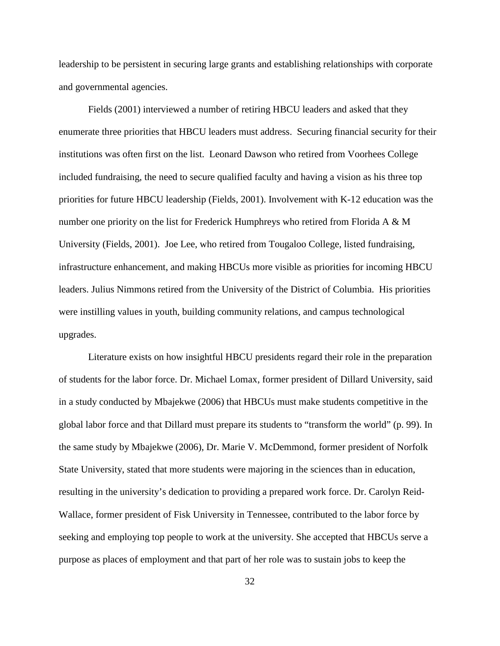leadership to be persistent in securing large grants and establishing relationships with corporate and governmental agencies.

Fields (2001) interviewed a number of retiring HBCU leaders and asked that they enumerate three priorities that HBCU leaders must address. Securing financial security for their institutions was often first on the list. Leonard Dawson who retired from Voorhees College included fundraising, the need to secure qualified faculty and having a vision as his three top priorities for future HBCU leadership (Fields, 2001). Involvement with K-12 education was the number one priority on the list for Frederick Humphreys who retired from Florida A & M University (Fields, 2001). Joe Lee, who retired from Tougaloo College, listed fundraising, infrastructure enhancement, and making HBCUs more visible as priorities for incoming HBCU leaders. Julius Nimmons retired from the University of the District of Columbia. His priorities were instilling values in youth, building community relations, and campus technological upgrades.

Literature exists on how insightful HBCU presidents regard their role in the preparation of students for the labor force. Dr. Michael Lomax, former president of Dillard University, said in a study conducted by Mbajekwe (2006) that HBCUs must make students competitive in the global labor force and that Dillard must prepare its students to "transform the world" (p. 99). In the same study by Mbajekwe (2006), Dr. Marie V. McDemmond, former president of Norfolk State University, stated that more students were majoring in the sciences than in education, resulting in the university's dedication to providing a prepared work force. Dr. Carolyn Reid-Wallace, former president of Fisk University in Tennessee, contributed to the labor force by seeking and employing top people to work at the university. She accepted that HBCUs serve a purpose as places of employment and that part of her role was to sustain jobs to keep the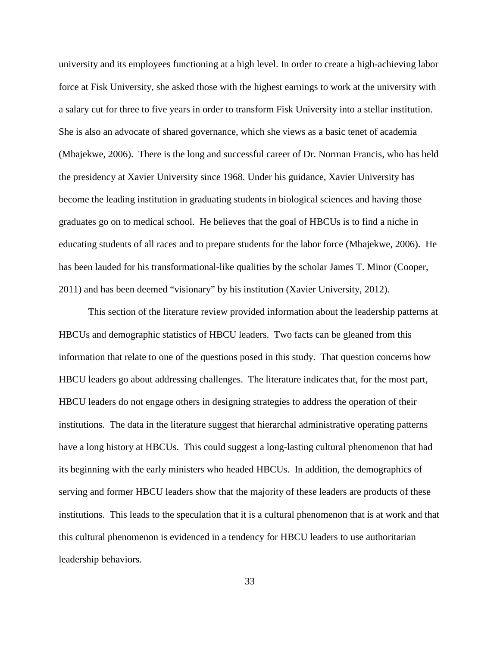university and its employees functioning at a high level. In order to create a high-achieving labor force at Fisk University, she asked those with the highest earnings to work at the university with a salary cut for three to five years in order to transform Fisk University into a stellar institution. She is also an advocate of shared governance, which she views as a basic tenet of academia (Mbajekwe, 2006). There is the long and successful career of Dr. Norman Francis, who has held the presidency at Xavier University since 1968. Under his guidance, Xavier University has become the leading institution in graduating students in biological sciences and having those graduates go on to medical school. He believes that the goal of HBCUs is to find a niche in educating students of all races and to prepare students for the labor force (Mbajekwe, 2006). He has been lauded for his transformational-like qualities by the scholar James T. Minor (Cooper, 2011) and has been deemed "visionary" by his institution (Xavier University, 2012).

This section of the literature review provided information about the leadership patterns at HBCUs and demographic statistics of HBCU leaders. Two facts can be gleaned from this information that relate to one of the questions posed in this study. That question concerns how HBCU leaders go about addressing challenges. The literature indicates that, for the most part, HBCU leaders do not engage others in designing strategies to address the operation of their institutions. The data in the literature suggest that hierarchal administrative operating patterns have a long history at HBCUs. This could suggest a long-lasting cultural phenomenon that had its beginning with the early ministers who headed HBCUs. In addition, the demographics of serving and former HBCU leaders show that the majority of these leaders are products of these institutions. This leads to the speculation that it is a cultural phenomenon that is at work and that this cultural phenomenon is evidenced in a tendency for HBCU leaders to use authoritarian leadership behaviors.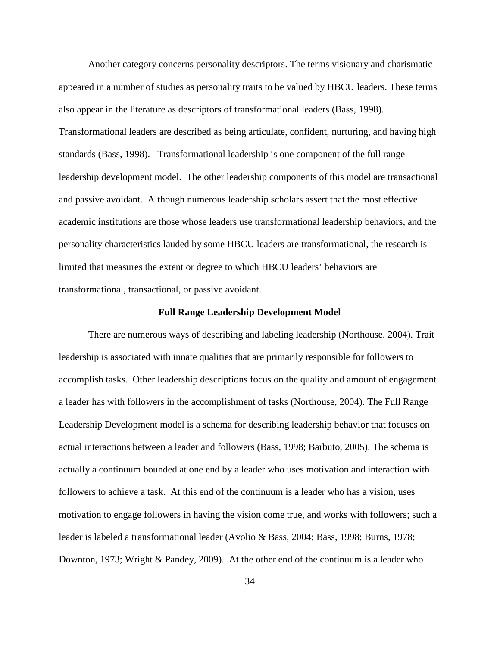Another category concerns personality descriptors. The terms visionary and charismatic appeared in a number of studies as personality traits to be valued by HBCU leaders. These terms also appear in the literature as descriptors of transformational leaders (Bass, 1998). Transformational leaders are described as being articulate, confident, nurturing, and having high standards (Bass, 1998). Transformational leadership is one component of the full range leadership development model. The other leadership components of this model are transactional and passive avoidant. Although numerous leadership scholars assert that the most effective academic institutions are those whose leaders use transformational leadership behaviors, and the personality characteristics lauded by some HBCU leaders are transformational, the research is limited that measures the extent or degree to which HBCU leaders' behaviors are transformational, transactional, or passive avoidant.

#### **Full Range Leadership Development Model**

There are numerous ways of describing and labeling leadership (Northouse, 2004). Trait leadership is associated with innate qualities that are primarily responsible for followers to accomplish tasks. Other leadership descriptions focus on the quality and amount of engagement a leader has with followers in the accomplishment of tasks (Northouse, 2004). The Full Range Leadership Development model is a schema for describing leadership behavior that focuses on actual interactions between a leader and followers (Bass, 1998; Barbuto, 2005). The schema is actually a continuum bounded at one end by a leader who uses motivation and interaction with followers to achieve a task. At this end of the continuum is a leader who has a vision, uses motivation to engage followers in having the vision come true, and works with followers; such a leader is labeled a transformational leader (Avolio & Bass, 2004; Bass, 1998; Burns, 1978; Downton, 1973; Wright & Pandey, 2009). At the other end of the continuum is a leader who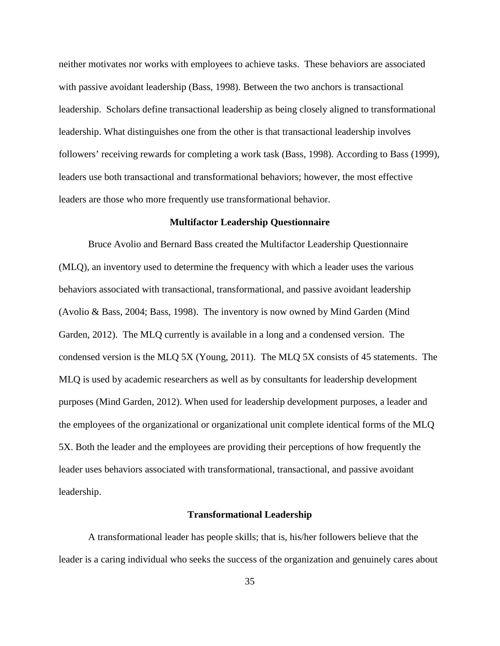neither motivates nor works with employees to achieve tasks. These behaviors are associated with passive avoidant leadership (Bass, 1998). Between the two anchors is transactional leadership. Scholars define transactional leadership as being closely aligned to transformational leadership. What distinguishes one from the other is that transactional leadership involves followers' receiving rewards for completing a work task (Bass, 1998). According to Bass (1999), leaders use both transactional and transformational behaviors; however, the most effective leaders are those who more frequently use transformational behavior.

#### **Multifactor Leadership Questionnaire**

Bruce Avolio and Bernard Bass created the Multifactor Leadership Questionnaire (MLQ), an inventory used to determine the frequency with which a leader uses the various behaviors associated with transactional, transformational, and passive avoidant leadership (Avolio & Bass, 2004; Bass, 1998). The inventory is now owned by Mind Garden (Mind Garden, 2012). The MLQ currently is available in a long and a condensed version. The condensed version is the MLQ 5X (Young, 2011). The MLQ 5X consists of 45 statements. The MLQ is used by academic researchers as well as by consultants for leadership development purposes (Mind Garden, 2012). When used for leadership development purposes, a leader and the employees of the organizational or organizational unit complete identical forms of the MLQ 5X. Both the leader and the employees are providing their perceptions of how frequently the leader uses behaviors associated with transformational, transactional, and passive avoidant leadership.

#### **Transformational Leadership**

A transformational leader has people skills; that is, his/her followers believe that the leader is a caring individual who seeks the success of the organization and genuinely cares about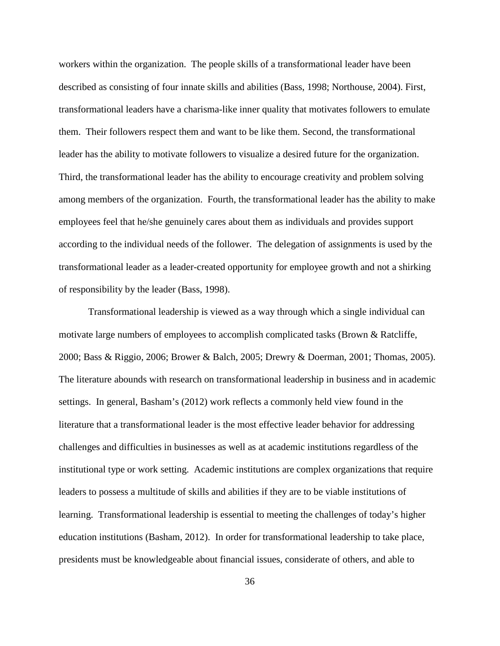workers within the organization. The people skills of a transformational leader have been described as consisting of four innate skills and abilities (Bass, 1998; Northouse, 2004). First, transformational leaders have a charisma-like inner quality that motivates followers to emulate them. Their followers respect them and want to be like them. Second, the transformational leader has the ability to motivate followers to visualize a desired future for the organization. Third, the transformational leader has the ability to encourage creativity and problem solving among members of the organization. Fourth, the transformational leader has the ability to make employees feel that he/she genuinely cares about them as individuals and provides support according to the individual needs of the follower. The delegation of assignments is used by the transformational leader as a leader-created opportunity for employee growth and not a shirking of responsibility by the leader (Bass, 1998).

Transformational leadership is viewed as a way through which a single individual can motivate large numbers of employees to accomplish complicated tasks (Brown & Ratcliffe, 2000; Bass & Riggio, 2006; Brower & Balch, 2005; Drewry & Doerman, 2001; Thomas, 2005). The literature abounds with research on transformational leadership in business and in academic settings. In general, Basham's (2012) work reflects a commonly held view found in the literature that a transformational leader is the most effective leader behavior for addressing challenges and difficulties in businesses as well as at academic institutions regardless of the institutional type or work setting. Academic institutions are complex organizations that require leaders to possess a multitude of skills and abilities if they are to be viable institutions of learning. Transformational leadership is essential to meeting the challenges of today's higher education institutions (Basham, 2012). In order for transformational leadership to take place, presidents must be knowledgeable about financial issues, considerate of others, and able to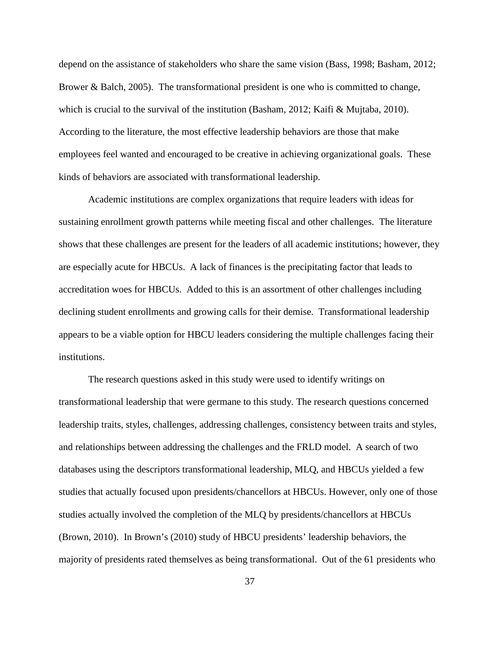depend on the assistance of stakeholders who share the same vision (Bass, 1998; Basham, 2012; Brower & Balch, 2005). The transformational president is one who is committed to change, which is crucial to the survival of the institution (Basham, 2012; Kaifi & Mujtaba, 2010). According to the literature, the most effective leadership behaviors are those that make employees feel wanted and encouraged to be creative in achieving organizational goals. These kinds of behaviors are associated with transformational leadership.

Academic institutions are complex organizations that require leaders with ideas for sustaining enrollment growth patterns while meeting fiscal and other challenges. The literature shows that these challenges are present for the leaders of all academic institutions; however, they are especially acute for HBCUs. A lack of finances is the precipitating factor that leads to accreditation woes for HBCUs. Added to this is an assortment of other challenges including declining student enrollments and growing calls for their demise. Transformational leadership appears to be a viable option for HBCU leaders considering the multiple challenges facing their institutions.

The research questions asked in this study were used to identify writings on transformational leadership that were germane to this study. The research questions concerned leadership traits, styles, challenges, addressing challenges, consistency between traits and styles, and relationships between addressing the challenges and the FRLD model. A search of two databases using the descriptors transformational leadership, MLQ, and HBCUs yielded a few studies that actually focused upon presidents/chancellors at HBCUs. However, only one of those studies actually involved the completion of the MLQ by presidents/chancellors at HBCUs (Brown, 2010). In Brown's (2010) study of HBCU presidents' leadership behaviors, the majority of presidents rated themselves as being transformational. Out of the 61 presidents who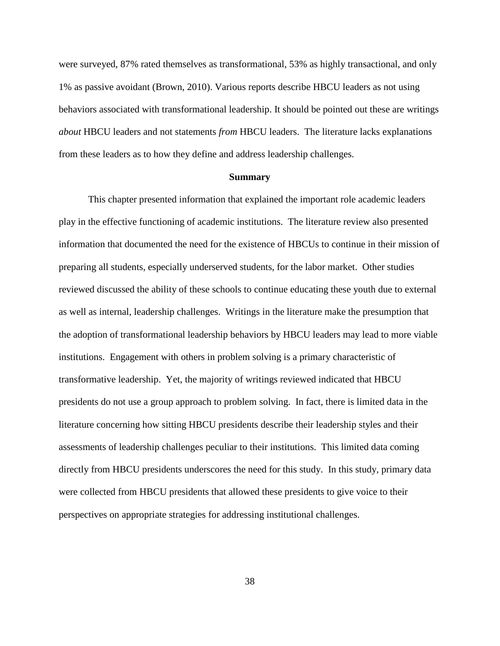were surveyed, 87% rated themselves as transformational, 53% as highly transactional, and only 1% as passive avoidant (Brown, 2010). Various reports describe HBCU leaders as not using behaviors associated with transformational leadership. It should be pointed out these are writings *about* HBCU leaders and not statements *from* HBCU leaders. The literature lacks explanations from these leaders as to how they define and address leadership challenges.

#### **Summary**

This chapter presented information that explained the important role academic leaders play in the effective functioning of academic institutions. The literature review also presented information that documented the need for the existence of HBCUs to continue in their mission of preparing all students, especially underserved students, for the labor market. Other studies reviewed discussed the ability of these schools to continue educating these youth due to external as well as internal, leadership challenges. Writings in the literature make the presumption that the adoption of transformational leadership behaviors by HBCU leaders may lead to more viable institutions. Engagement with others in problem solving is a primary characteristic of transformative leadership. Yet, the majority of writings reviewed indicated that HBCU presidents do not use a group approach to problem solving. In fact, there is limited data in the literature concerning how sitting HBCU presidents describe their leadership styles and their assessments of leadership challenges peculiar to their institutions. This limited data coming directly from HBCU presidents underscores the need for this study. In this study, primary data were collected from HBCU presidents that allowed these presidents to give voice to their perspectives on appropriate strategies for addressing institutional challenges.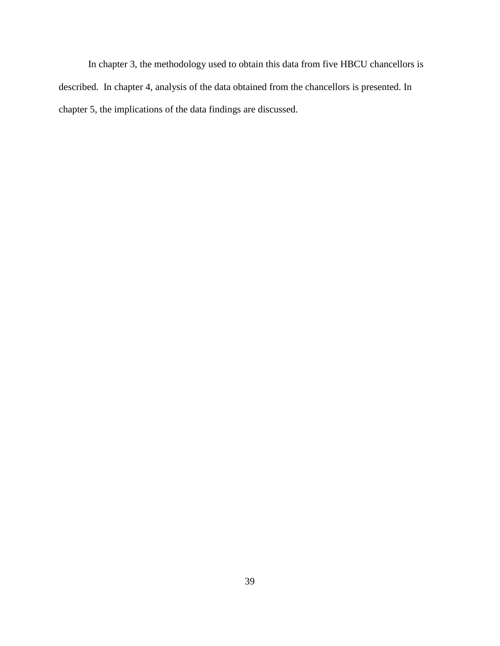In chapter 3, the methodology used to obtain this data from five HBCU chancellors is described. In chapter 4, analysis of the data obtained from the chancellors is presented. In chapter 5, the implications of the data findings are discussed.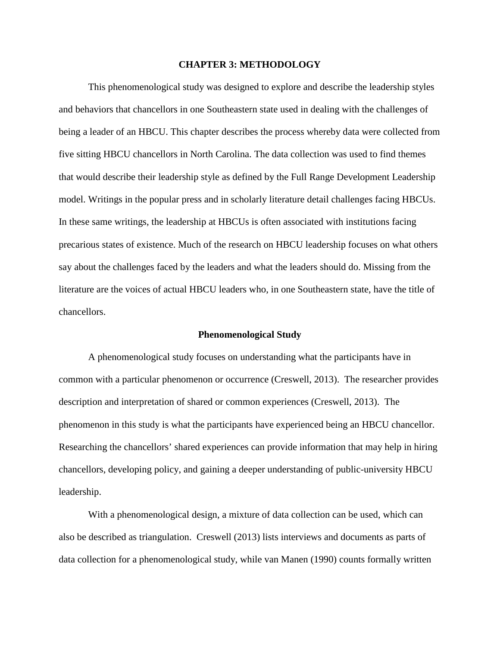#### **CHAPTER 3: METHODOLOGY**

This phenomenological study was designed to explore and describe the leadership styles and behaviors that chancellors in one Southeastern state used in dealing with the challenges of being a leader of an HBCU. This chapter describes the process whereby data were collected from five sitting HBCU chancellors in North Carolina. The data collection was used to find themes that would describe their leadership style as defined by the Full Range Development Leadership model. Writings in the popular press and in scholarly literature detail challenges facing HBCUs. In these same writings, the leadership at HBCUs is often associated with institutions facing precarious states of existence. Much of the research on HBCU leadership focuses on what others say about the challenges faced by the leaders and what the leaders should do. Missing from the literature are the voices of actual HBCU leaders who, in one Southeastern state, have the title of chancellors.

#### **Phenomenological Study**

A phenomenological study focuses on understanding what the participants have in common with a particular phenomenon or occurrence (Creswell, 2013). The researcher provides description and interpretation of shared or common experiences (Creswell, 2013). The phenomenon in this study is what the participants have experienced being an HBCU chancellor. Researching the chancellors' shared experiences can provide information that may help in hiring chancellors, developing policy, and gaining a deeper understanding of public-university HBCU leadership.

With a phenomenological design, a mixture of data collection can be used, which can also be described as triangulation. Creswell (2013) lists interviews and documents as parts of data collection for a phenomenological study, while van Manen (1990) counts formally written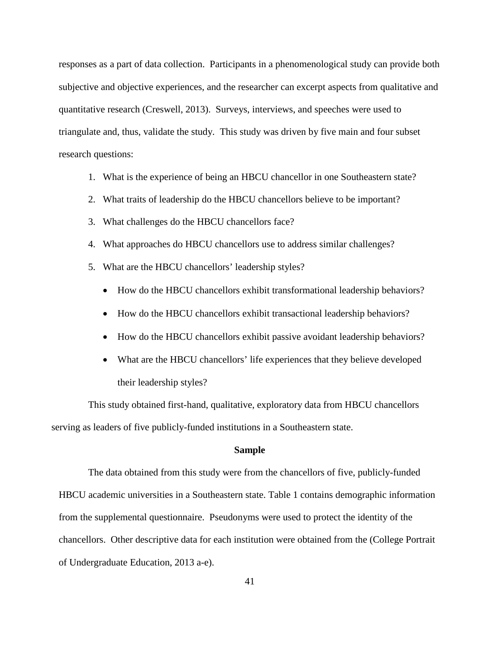responses as a part of data collection. Participants in a phenomenological study can provide both subjective and objective experiences, and the researcher can excerpt aspects from qualitative and quantitative research (Creswell, 2013). Surveys, interviews, and speeches were used to triangulate and, thus, validate the study. This study was driven by five main and four subset research questions:

- 1. What is the experience of being an HBCU chancellor in one Southeastern state?
- 2. What traits of leadership do the HBCU chancellors believe to be important?
- 3. What challenges do the HBCU chancellors face?
- 4. What approaches do HBCU chancellors use to address similar challenges?
- 5. What are the HBCU chancellors' leadership styles?
	- How do the HBCU chancellors exhibit transformational leadership behaviors?
	- How do the HBCU chancellors exhibit transactional leadership behaviors?
	- How do the HBCU chancellors exhibit passive avoidant leadership behaviors?
	- What are the HBCU chancellors' life experiences that they believe developed their leadership styles?

This study obtained first-hand, qualitative, exploratory data from HBCU chancellors serving as leaders of five publicly-funded institutions in a Southeastern state.

#### **Sample**

The data obtained from this study were from the chancellors of five, publicly-funded HBCU academic universities in a Southeastern state. Table 1 contains demographic information from the supplemental questionnaire. Pseudonyms were used to protect the identity of the chancellors. Other descriptive data for each institution were obtained from the (College Portrait of Undergraduate Education, 2013 a-e).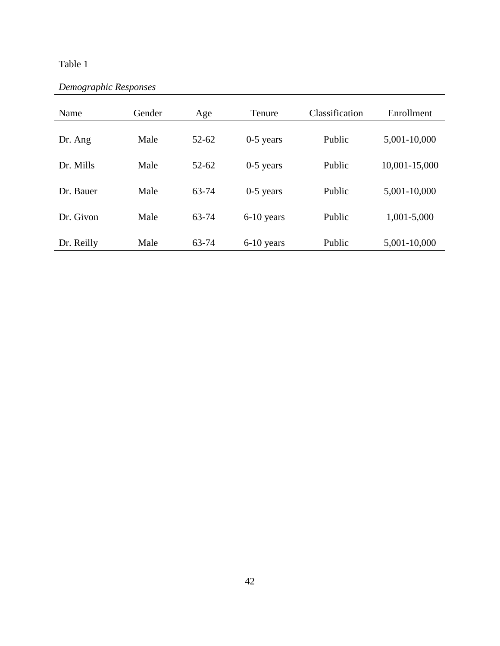# Table 1

| Demographic Responses |  |
|-----------------------|--|
|-----------------------|--|

| Name       | Gender | Age       | Tenure       | Classification | Enrollment    |
|------------|--------|-----------|--------------|----------------|---------------|
| Dr. Ang    | Male   | $52 - 62$ | $0-5$ years  | Public         | 5,001-10,000  |
| Dr. Mills  | Male   | $52 - 62$ | $0-5$ years  | Public         | 10,001-15,000 |
| Dr. Bauer  | Male   | 63-74     | $0-5$ years  | Public         | 5,001-10,000  |
| Dr. Givon  | Male   | 63-74     | $6-10$ years | Public         | 1,001-5,000   |
| Dr. Reilly | Male   | 63-74     | 6-10 years   | Public         | 5,001-10,000  |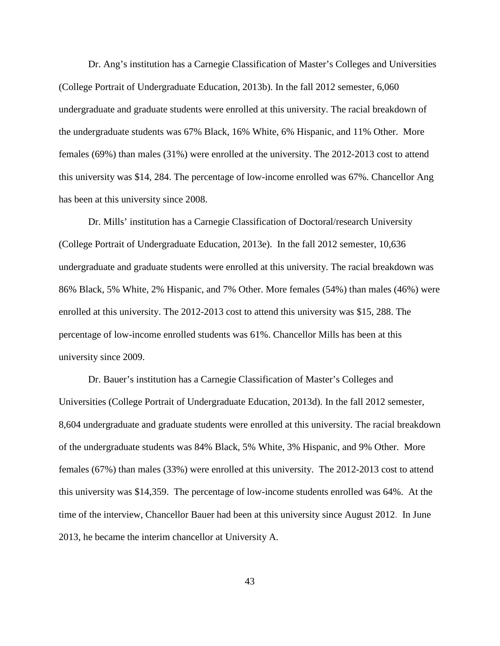Dr. Ang's institution has a Carnegie Classification of Master's Colleges and Universities (College Portrait of Undergraduate Education, 2013b). In the fall 2012 semester, 6,060 undergraduate and graduate students were enrolled at this university. The racial breakdown of the undergraduate students was 67% Black, 16% White, 6% Hispanic, and 11% Other. More females (69%) than males (31%) were enrolled at the university. The 2012-2013 cost to attend this university was \$14, 284. The percentage of low-income enrolled was 67%. Chancellor Ang has been at this university since 2008.

Dr. Mills' institution has a Carnegie Classification of Doctoral/research University (College Portrait of Undergraduate Education, 2013e). In the fall 2012 semester, 10,636 undergraduate and graduate students were enrolled at this university. The racial breakdown was 86% Black, 5% White, 2% Hispanic, and 7% Other. More females (54%) than males (46%) were enrolled at this university. The 2012-2013 cost to attend this university was \$15, 288. The percentage of low-income enrolled students was 61%. Chancellor Mills has been at this university since 2009.

Dr. Bauer's institution has a Carnegie Classification of Master's Colleges and Universities (College Portrait of Undergraduate Education, 2013d). In the fall 2012 semester, 8,604 undergraduate and graduate students were enrolled at this university. The racial breakdown of the undergraduate students was 84% Black, 5% White, 3% Hispanic, and 9% Other. More females (67%) than males (33%) were enrolled at this university. The 2012-2013 cost to attend this university was \$14,359. The percentage of low-income students enrolled was 64%. At the time of the interview, Chancellor Bauer had been at this university since August 2012. In June 2013, he became the interim chancellor at University A.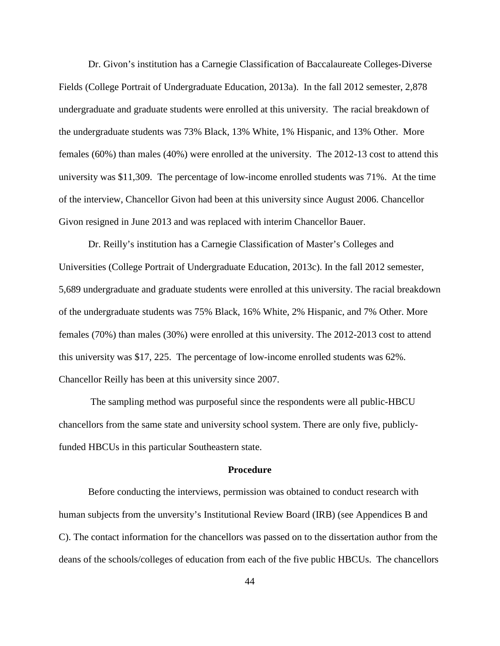Dr. Givon's institution has a Carnegie Classification of Baccalaureate Colleges-Diverse Fields (College Portrait of Undergraduate Education, 2013a). In the fall 2012 semester, 2,878 undergraduate and graduate students were enrolled at this university. The racial breakdown of the undergraduate students was 73% Black, 13% White, 1% Hispanic, and 13% Other. More females (60%) than males (40%) were enrolled at the university. The 2012-13 cost to attend this university was \$11,309. The percentage of low-income enrolled students was 71%. At the time of the interview, Chancellor Givon had been at this university since August 2006. Chancellor Givon resigned in June 2013 and was replaced with interim Chancellor Bauer.

Dr. Reilly's institution has a Carnegie Classification of Master's Colleges and Universities (College Portrait of Undergraduate Education, 2013c). In the fall 2012 semester, 5,689 undergraduate and graduate students were enrolled at this university. The racial breakdown of the undergraduate students was 75% Black, 16% White, 2% Hispanic, and 7% Other. More females (70%) than males (30%) were enrolled at this university. The 2012-2013 cost to attend this university was \$17, 225. The percentage of low-income enrolled students was 62%. Chancellor Reilly has been at this university since 2007.

The sampling method was purposeful since the respondents were all public-HBCU chancellors from the same state and university school system. There are only five, publiclyfunded HBCUs in this particular Southeastern state.

#### **Procedure**

Before conducting the interviews, permission was obtained to conduct research with human subjects from the unversity's Institutional Review Board (IRB) (see Appendices B and C). The contact information for the chancellors was passed on to the dissertation author from the deans of the schools/colleges of education from each of the five public HBCUs. The chancellors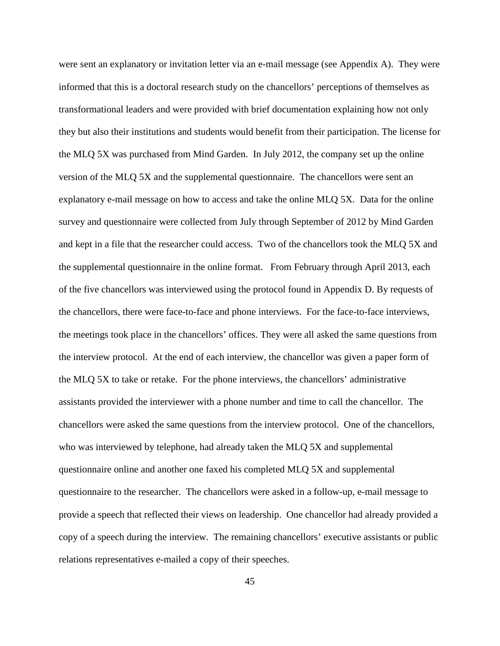were sent an explanatory or invitation letter via an e-mail message (see Appendix A). They were informed that this is a doctoral research study on the chancellors' perceptions of themselves as transformational leaders and were provided with brief documentation explaining how not only they but also their institutions and students would benefit from their participation. The license for the MLQ 5X was purchased from Mind Garden. In July 2012, the company set up the online version of the MLQ 5X and the supplemental questionnaire. The chancellors were sent an explanatory e-mail message on how to access and take the online MLQ 5X. Data for the online survey and questionnaire were collected from July through September of 2012 by Mind Garden and kept in a file that the researcher could access. Two of the chancellors took the MLQ 5X and the supplemental questionnaire in the online format. From February through April 2013, each of the five chancellors was interviewed using the protocol found in Appendix D. By requests of the chancellors, there were face-to-face and phone interviews. For the face-to-face interviews, the meetings took place in the chancellors' offices. They were all asked the same questions from the interview protocol. At the end of each interview, the chancellor was given a paper form of the MLQ 5X to take or retake. For the phone interviews, the chancellors' administrative assistants provided the interviewer with a phone number and time to call the chancellor. The chancellors were asked the same questions from the interview protocol. One of the chancellors, who was interviewed by telephone, had already taken the MLQ 5X and supplemental questionnaire online and another one faxed his completed MLQ 5X and supplemental questionnaire to the researcher. The chancellors were asked in a follow-up, e-mail message to provide a speech that reflected their views on leadership. One chancellor had already provided a copy of a speech during the interview. The remaining chancellors' executive assistants or public relations representatives e-mailed a copy of their speeches.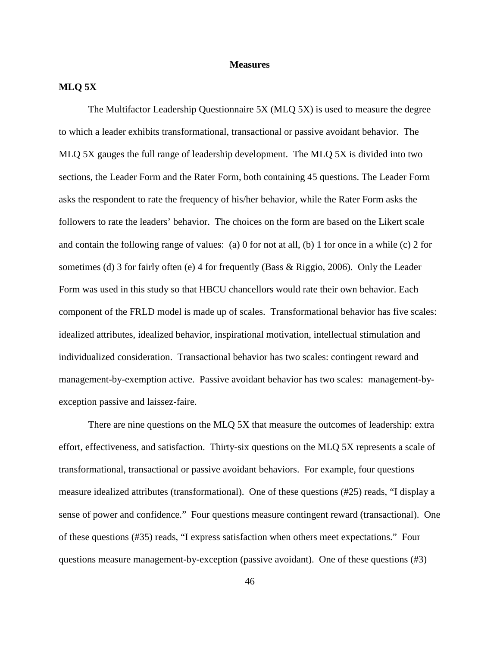#### **Measures**

#### **MLQ 5X**

The Multifactor Leadership Questionnaire 5X (MLQ 5X) is used to measure the degree to which a leader exhibits transformational, transactional or passive avoidant behavior. The MLQ 5X gauges the full range of leadership development. The MLQ 5X is divided into two sections, the Leader Form and the Rater Form, both containing 45 questions. The Leader Form asks the respondent to rate the frequency of his/her behavior, while the Rater Form asks the followers to rate the leaders' behavior. The choices on the form are based on the Likert scale and contain the following range of values: (a) 0 for not at all, (b) 1 for once in a while (c) 2 for sometimes (d) 3 for fairly often (e) 4 for frequently (Bass & Riggio, 2006). Only the Leader Form was used in this study so that HBCU chancellors would rate their own behavior. Each component of the FRLD model is made up of scales. Transformational behavior has five scales: idealized attributes, idealized behavior, inspirational motivation, intellectual stimulation and individualized consideration. Transactional behavior has two scales: contingent reward and management-by-exemption active. Passive avoidant behavior has two scales: management-byexception passive and laissez-faire.

There are nine questions on the MLQ 5X that measure the outcomes of leadership: extra effort, effectiveness, and satisfaction. Thirty-six questions on the MLQ 5X represents a scale of transformational, transactional or passive avoidant behaviors. For example, four questions measure idealized attributes (transformational). One of these questions (#25) reads, "I display a sense of power and confidence." Four questions measure contingent reward (transactional). One of these questions (#35) reads, "I express satisfaction when others meet expectations." Four questions measure management-by-exception (passive avoidant). One of these questions (#3)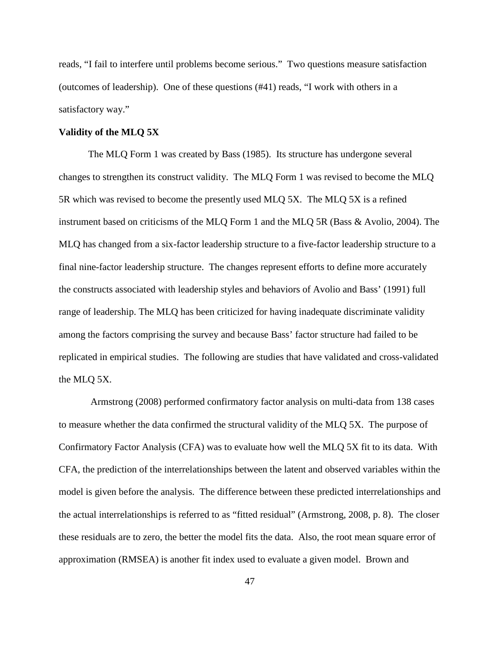reads, "I fail to interfere until problems become serious." Two questions measure satisfaction (outcomes of leadership). One of these questions (#41) reads, "I work with others in a satisfactory way."

#### **Validity of the MLQ 5X**

The MLQ Form 1 was created by Bass (1985). Its structure has undergone several changes to strengthen its construct validity. The MLQ Form 1 was revised to become the MLQ 5R which was revised to become the presently used MLQ 5X. The MLQ 5X is a refined instrument based on criticisms of the MLQ Form 1 and the MLQ 5R (Bass & Avolio, 2004). The MLQ has changed from a six-factor leadership structure to a five-factor leadership structure to a final nine-factor leadership structure. The changes represent efforts to define more accurately the constructs associated with leadership styles and behaviors of Avolio and Bass' (1991) full range of leadership. The MLQ has been criticized for having inadequate discriminate validity among the factors comprising the survey and because Bass' factor structure had failed to be replicated in empirical studies. The following are studies that have validated and cross-validated the MLQ 5X.

Armstrong (2008) performed confirmatory factor analysis on multi-data from 138 cases to measure whether the data confirmed the structural validity of the MLQ 5X. The purpose of Confirmatory Factor Analysis (CFA) was to evaluate how well the MLQ 5X fit to its data. With CFA, the prediction of the interrelationships between the latent and observed variables within the model is given before the analysis. The difference between these predicted interrelationships and the actual interrelationships is referred to as "fitted residual" (Armstrong, 2008, p. 8). The closer these residuals are to zero, the better the model fits the data. Also, the root mean square error of approximation (RMSEA) is another fit index used to evaluate a given model. Brown and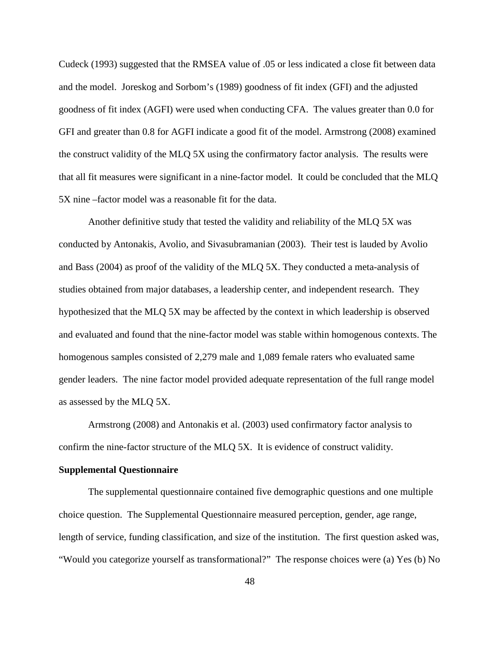Cudeck (1993) suggested that the RMSEA value of .05 or less indicated a close fit between data and the model. Joreskog and Sorbom's (1989) goodness of fit index (GFI) and the adjusted goodness of fit index (AGFI) were used when conducting CFA. The values greater than 0.0 for GFI and greater than 0.8 for AGFI indicate a good fit of the model. Armstrong (2008) examined the construct validity of the MLQ 5X using the confirmatory factor analysis. The results were that all fit measures were significant in a nine-factor model. It could be concluded that the MLQ 5X nine –factor model was a reasonable fit for the data.

Another definitive study that tested the validity and reliability of the MLQ 5X was conducted by Antonakis, Avolio, and Sivasubramanian (2003). Their test is lauded by Avolio and Bass (2004) as proof of the validity of the MLQ 5X. They conducted a meta-analysis of studies obtained from major databases, a leadership center, and independent research. They hypothesized that the MLQ 5X may be affected by the context in which leadership is observed and evaluated and found that the nine-factor model was stable within homogenous contexts. The homogenous samples consisted of 2,279 male and 1,089 female raters who evaluated same gender leaders. The nine factor model provided adequate representation of the full range model as assessed by the MLQ 5X.

Armstrong (2008) and Antonakis et al. (2003) used confirmatory factor analysis to confirm the nine-factor structure of the MLQ 5X. It is evidence of construct validity.

#### **Supplemental Questionnaire**

The supplemental questionnaire contained five demographic questions and one multiple choice question. The Supplemental Questionnaire measured perception, gender, age range, length of service, funding classification, and size of the institution. The first question asked was, "Would you categorize yourself as transformational?" The response choices were (a) Yes (b) No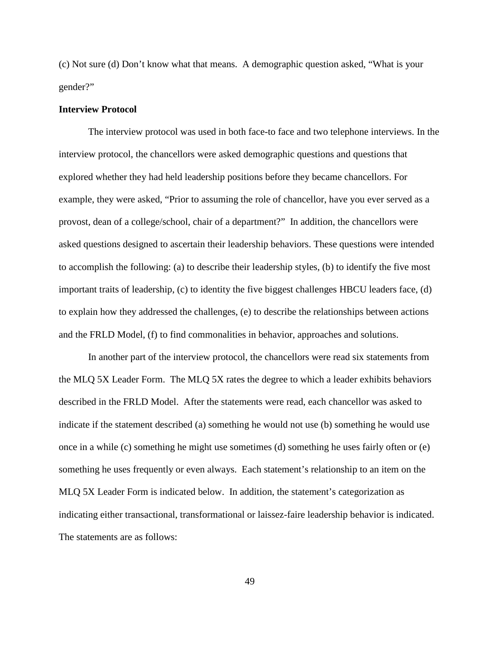(c) Not sure (d) Don't know what that means. A demographic question asked, "What is your gender?"

#### **Interview Protocol**

The interview protocol was used in both face-to face and two telephone interviews. In the interview protocol, the chancellors were asked demographic questions and questions that explored whether they had held leadership positions before they became chancellors. For example, they were asked, "Prior to assuming the role of chancellor, have you ever served as a provost, dean of a college/school, chair of a department?" In addition, the chancellors were asked questions designed to ascertain their leadership behaviors. These questions were intended to accomplish the following: (a) to describe their leadership styles, (b) to identify the five most important traits of leadership, (c) to identity the five biggest challenges HBCU leaders face, (d) to explain how they addressed the challenges, (e) to describe the relationships between actions and the FRLD Model, (f) to find commonalities in behavior, approaches and solutions.

In another part of the interview protocol, the chancellors were read six statements from the MLQ 5X Leader Form. The MLQ 5X rates the degree to which a leader exhibits behaviors described in the FRLD Model. After the statements were read, each chancellor was asked to indicate if the statement described (a) something he would not use (b) something he would use once in a while (c) something he might use sometimes (d) something he uses fairly often or (e) something he uses frequently or even always. Each statement's relationship to an item on the MLQ 5X Leader Form is indicated below. In addition, the statement's categorization as indicating either transactional, transformational or laissez-faire leadership behavior is indicated. The statements are as follows: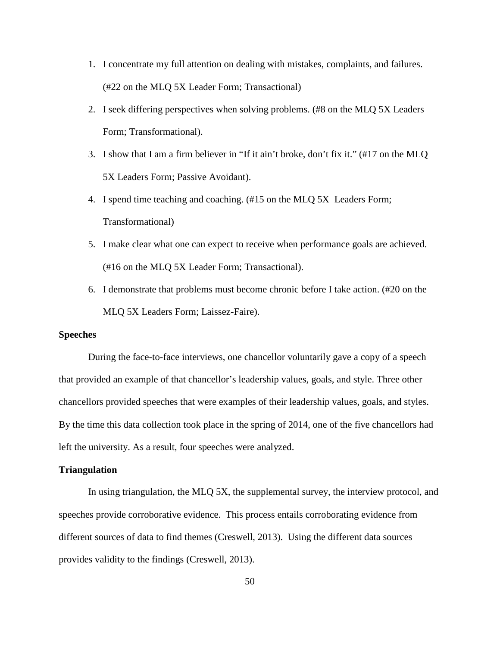- 1. I concentrate my full attention on dealing with mistakes, complaints, and failures. (#22 on the MLQ 5X Leader Form; Transactional)
- 2. I seek differing perspectives when solving problems. (#8 on the MLQ 5X Leaders Form; Transformational).
- 3. I show that I am a firm believer in "If it ain't broke, don't fix it." (#17 on the MLQ 5X Leaders Form; Passive Avoidant).
- 4. I spend time teaching and coaching. (#15 on the MLQ 5X Leaders Form; Transformational)
- 5. I make clear what one can expect to receive when performance goals are achieved. (#16 on the MLQ 5X Leader Form; Transactional).
- 6. I demonstrate that problems must become chronic before I take action. (#20 on the MLQ 5X Leaders Form; Laissez-Faire).

#### **Speeches**

During the face-to-face interviews, one chancellor voluntarily gave a copy of a speech that provided an example of that chancellor's leadership values, goals, and style. Three other chancellors provided speeches that were examples of their leadership values, goals, and styles. By the time this data collection took place in the spring of 2014, one of the five chancellors had left the university. As a result, four speeches were analyzed.

#### **Triangulation**

In using triangulation, the MLQ 5X, the supplemental survey, the interview protocol, and speeches provide corroborative evidence. This process entails corroborating evidence from different sources of data to find themes (Creswell, 2013). Using the different data sources provides validity to the findings (Creswell, 2013).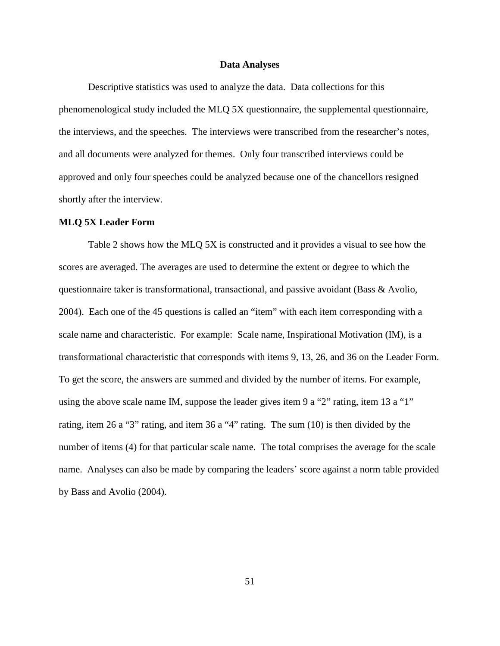#### **Data Analyses**

Descriptive statistics was used to analyze the data. Data collections for this phenomenological study included the MLQ 5X questionnaire, the supplemental questionnaire, the interviews, and the speeches. The interviews were transcribed from the researcher's notes, and all documents were analyzed for themes. Only four transcribed interviews could be approved and only four speeches could be analyzed because one of the chancellors resigned shortly after the interview.

#### **MLQ 5X Leader Form**

 Table 2 shows how the MLQ 5X is constructed and it provides a visual to see how the scores are averaged. The averages are used to determine the extent or degree to which the questionnaire taker is transformational, transactional, and passive avoidant (Bass & Avolio, 2004). Each one of the 45 questions is called an "item" with each item corresponding with a scale name and characteristic. For example: Scale name, Inspirational Motivation (IM), is a transformational characteristic that corresponds with items 9, 13, 26, and 36 on the Leader Form. To get the score, the answers are summed and divided by the number of items. For example, using the above scale name IM, suppose the leader gives item 9 a "2" rating, item 13 a "1" rating, item 26 a "3" rating, and item 36 a "4" rating. The sum (10) is then divided by the number of items (4) for that particular scale name. The total comprises the average for the scale name. Analyses can also be made by comparing the leaders' score against a norm table provided by Bass and Avolio (2004).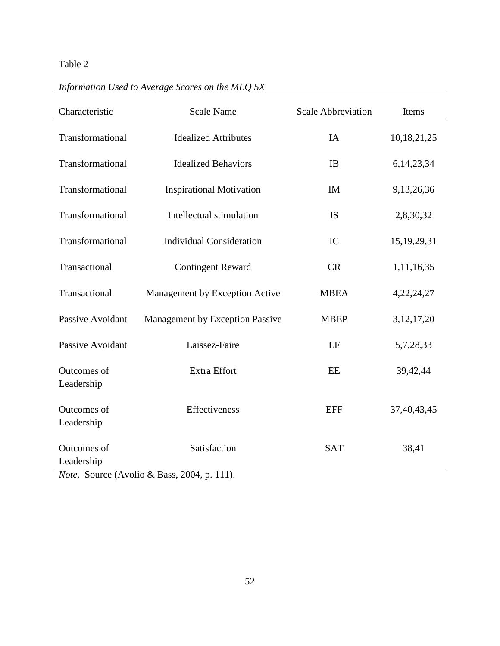# Table 2

| Information Used to Average Scores on the MLQ 5X |  |  |  |  |  |  |
|--------------------------------------------------|--|--|--|--|--|--|
|--------------------------------------------------|--|--|--|--|--|--|

| Characteristic            | <b>Scale Name</b>                      | <b>Scale Abbreviation</b> | Items          |
|---------------------------|----------------------------------------|---------------------------|----------------|
| Transformational          | <b>Idealized Attributes</b>            | <b>IA</b>                 | 10,18,21,25    |
| Transformational          | <b>Idealized Behaviors</b>             | IB                        | 6, 14, 23, 34  |
| Transformational          | <b>Inspirational Motivation</b>        | IM                        | 9,13,26,36     |
| Transformational          | Intellectual stimulation               | <b>IS</b>                 | 2,8,30,32      |
| Transformational          | <b>Individual Consideration</b>        | IC                        | 15, 19, 29, 31 |
| Transactional             | <b>Contingent Reward</b>               | CR                        | 1,11,16,35     |
| Transactional             | Management by Exception Active         | <b>MBEA</b>               | 4,22,24,27     |
| <b>Passive Avoidant</b>   | <b>Management by Exception Passive</b> | <b>MBEP</b>               | 3, 12, 17, 20  |
| Passive Avoidant          | Laissez-Faire                          | LF                        | 5,7,28,33      |
| Outcomes of<br>Leadership | Extra Effort                           | EE                        | 39,42,44       |
| Outcomes of<br>Leadership | Effectiveness                          | <b>EFF</b>                | 37,40,43,45    |
| Outcomes of<br>Leadership | Satisfaction                           | <b>SAT</b>                | 38,41          |

*Note*. Source (Avolio & Bass, 2004, p. 111).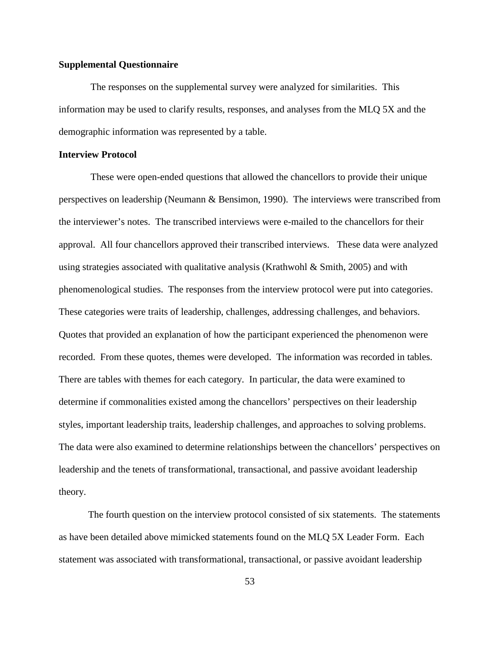#### **Supplemental Questionnaire**

The responses on the supplemental survey were analyzed for similarities. This information may be used to clarify results, responses, and analyses from the MLQ 5X and the demographic information was represented by a table.

#### **Interview Protocol**

These were open-ended questions that allowed the chancellors to provide their unique perspectives on leadership (Neumann & Bensimon, 1990). The interviews were transcribed from the interviewer's notes. The transcribed interviews were e-mailed to the chancellors for their approval. All four chancellors approved their transcribed interviews. These data were analyzed using strategies associated with qualitative analysis (Krathwohl  $\&$  Smith, 2005) and with phenomenological studies. The responses from the interview protocol were put into categories. These categories were traits of leadership, challenges, addressing challenges, and behaviors. Quotes that provided an explanation of how the participant experienced the phenomenon were recorded. From these quotes, themes were developed. The information was recorded in tables. There are tables with themes for each category. In particular, the data were examined to determine if commonalities existed among the chancellors' perspectives on their leadership styles, important leadership traits, leadership challenges, and approaches to solving problems. The data were also examined to determine relationships between the chancellors' perspectives on leadership and the tenets of transformational, transactional, and passive avoidant leadership theory.

The fourth question on the interview protocol consisted of six statements. The statements as have been detailed above mimicked statements found on the MLQ 5X Leader Form. Each statement was associated with transformational, transactional, or passive avoidant leadership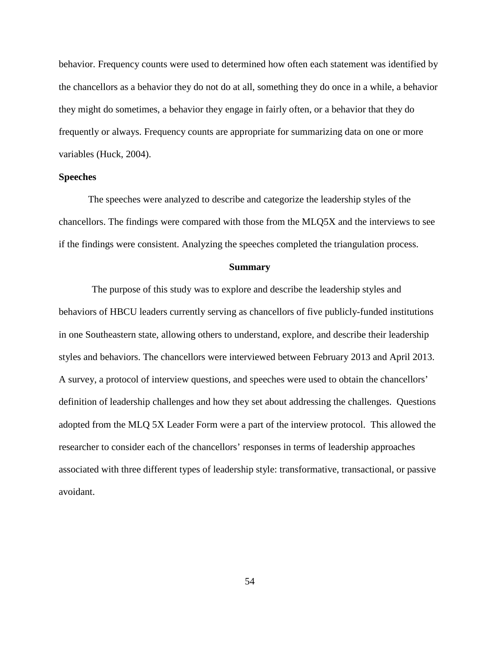behavior. Frequency counts were used to determined how often each statement was identified by the chancellors as a behavior they do not do at all, something they do once in a while, a behavior they might do sometimes, a behavior they engage in fairly often, or a behavior that they do frequently or always. Frequency counts are appropriate for summarizing data on one or more variables (Huck, 2004).

#### **Speeches**

The speeches were analyzed to describe and categorize the leadership styles of the chancellors. The findings were compared with those from the MLQ5X and the interviews to see if the findings were consistent. Analyzing the speeches completed the triangulation process.

#### **Summary**

The purpose of this study was to explore and describe the leadership styles and behaviors of HBCU leaders currently serving as chancellors of five publicly-funded institutions in one Southeastern state, allowing others to understand, explore, and describe their leadership styles and behaviors. The chancellors were interviewed between February 2013 and April 2013. A survey, a protocol of interview questions, and speeches were used to obtain the chancellors' definition of leadership challenges and how they set about addressing the challenges. Questions adopted from the MLQ 5X Leader Form were a part of the interview protocol. This allowed the researcher to consider each of the chancellors' responses in terms of leadership approaches associated with three different types of leadership style: transformative, transactional, or passive avoidant.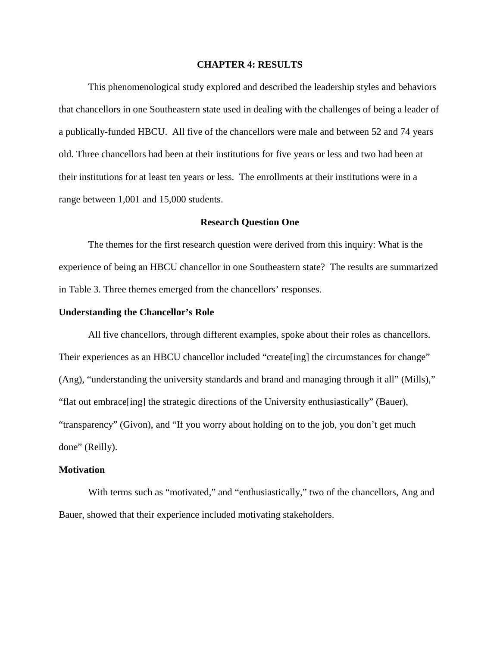#### **CHAPTER 4: RESULTS**

This phenomenological study explored and described the leadership styles and behaviors that chancellors in one Southeastern state used in dealing with the challenges of being a leader of a publically-funded HBCU. All five of the chancellors were male and between 52 and 74 years old. Three chancellors had been at their institutions for five years or less and two had been at their institutions for at least ten years or less. The enrollments at their institutions were in a range between 1,001 and 15,000 students.

#### **Research Question One**

The themes for the first research question were derived from this inquiry: What is the experience of being an HBCU chancellor in one Southeastern state? The results are summarized in Table 3. Three themes emerged from the chancellors' responses.

#### **Understanding the Chancellor's Role**

All five chancellors, through different examples, spoke about their roles as chancellors. Their experiences as an HBCU chancellor included "create[ing] the circumstances for change" (Ang), "understanding the university standards and brand and managing through it all" (Mills)," "flat out embrace[ing] the strategic directions of the University enthusiastically" (Bauer), "transparency" (Givon), and "If you worry about holding on to the job, you don't get much done" (Reilly).

#### **Motivation**

With terms such as "motivated," and "enthusiastically," two of the chancellors, Ang and Bauer, showed that their experience included motivating stakeholders.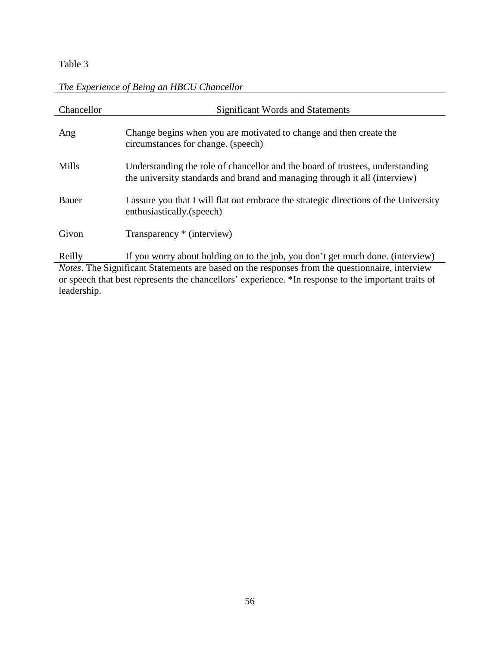### Table 3

leadership.

| Chancellor | <b>Significant Words and Statements</b>                                                                                                                     |
|------------|-------------------------------------------------------------------------------------------------------------------------------------------------------------|
| Ang        | Change begins when you are motivated to change and then create the<br>circumstances for change. (speech)                                                    |
| Mills      | Understanding the role of chancellor and the board of trustees, understanding<br>the university standards and brand and managing through it all (interview) |
| Bauer      | I assure you that I will flat out embrace the strategic directions of the University<br>enthusiastically.(speech)                                           |
| Givon      | Transparency * (interview)                                                                                                                                  |
| Reilly     | If you worry about holding on to the job, you don't get much done. (interview)                                                                              |
|            | <i>Notes</i> . The Significant Statements are based on the responses from the questionnaire, interview                                                      |
|            | or speech that best represents the chancellors' experience. *In response to the important traits of                                                         |

### *The Experience of Being an HBCU Chancellor*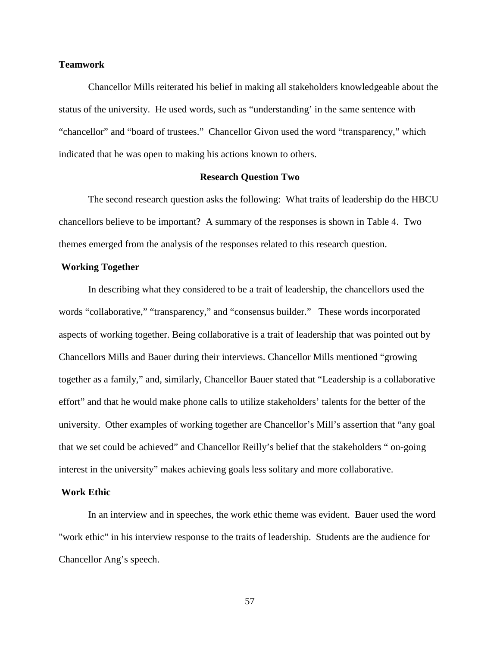#### **Teamwork**

Chancellor Mills reiterated his belief in making all stakeholders knowledgeable about the status of the university. He used words, such as "understanding' in the same sentence with "chancellor" and "board of trustees." Chancellor Givon used the word "transparency," which indicated that he was open to making his actions known to others.

#### **Research Question Two**

The second research question asks the following: What traits of leadership do the HBCU chancellors believe to be important? A summary of the responses is shown in Table 4. Two themes emerged from the analysis of the responses related to this research question.

#### **Working Together**

In describing what they considered to be a trait of leadership, the chancellors used the words "collaborative," "transparency," and "consensus builder." These words incorporated aspects of working together. Being collaborative is a trait of leadership that was pointed out by Chancellors Mills and Bauer during their interviews. Chancellor Mills mentioned "growing together as a family," and, similarly, Chancellor Bauer stated that "Leadership is a collaborative effort" and that he would make phone calls to utilize stakeholders' talents for the better of the university. Other examples of working together are Chancellor's Mill's assertion that "any goal that we set could be achieved" and Chancellor Reilly's belief that the stakeholders " on-going interest in the university" makes achieving goals less solitary and more collaborative.

#### **Work Ethic**

In an interview and in speeches, the work ethic theme was evident. Bauer used the word "work ethic" in his interview response to the traits of leadership. Students are the audience for Chancellor Ang's speech.

57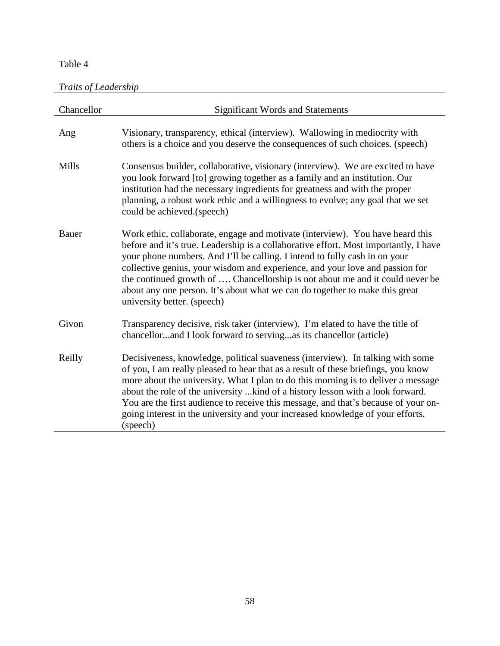### Table 4

*Traits of Leadership*

| Chancellor | <b>Significant Words and Statements</b>                                                                                                                                                                                                                                                                                                                                                                                                                                                                                            |
|------------|------------------------------------------------------------------------------------------------------------------------------------------------------------------------------------------------------------------------------------------------------------------------------------------------------------------------------------------------------------------------------------------------------------------------------------------------------------------------------------------------------------------------------------|
| Ang        | Visionary, transparency, ethical (interview). Wallowing in mediocrity with<br>others is a choice and you deserve the consequences of such choices. (speech)                                                                                                                                                                                                                                                                                                                                                                        |
| Mills      | Consensus builder, collaborative, visionary (interview). We are excited to have<br>you look forward [to] growing together as a family and an institution. Our<br>institution had the necessary ingredients for greatness and with the proper<br>planning, a robust work ethic and a willingness to evolve; any goal that we set<br>could be achieved.(speech)                                                                                                                                                                      |
| Bauer      | Work ethic, collaborate, engage and motivate (interview). You have heard this<br>before and it's true. Leadership is a collaborative effort. Most importantly, I have<br>your phone numbers. And I'll be calling. I intend to fully cash in on your<br>collective genius, your wisdom and experience, and your love and passion for<br>the continued growth of  Chancellorship is not about me and it could never be<br>about any one person. It's about what we can do together to make this great<br>university better. (speech) |
| Givon      | Transparency decisive, risk taker (interview). I'm elated to have the title of<br>chancellorand I look forward to servingas its chancellor (article)                                                                                                                                                                                                                                                                                                                                                                               |
| Reilly     | Decisiveness, knowledge, political suaveness (interview). In talking with some<br>of you, I am really pleased to hear that as a result of these briefings, you know<br>more about the university. What I plan to do this morning is to deliver a message<br>about the role of the university  kind of a history lesson with a look forward.<br>You are the first audience to receive this message, and that's because of your on-<br>going interest in the university and your increased knowledge of your efforts.<br>(speech)    |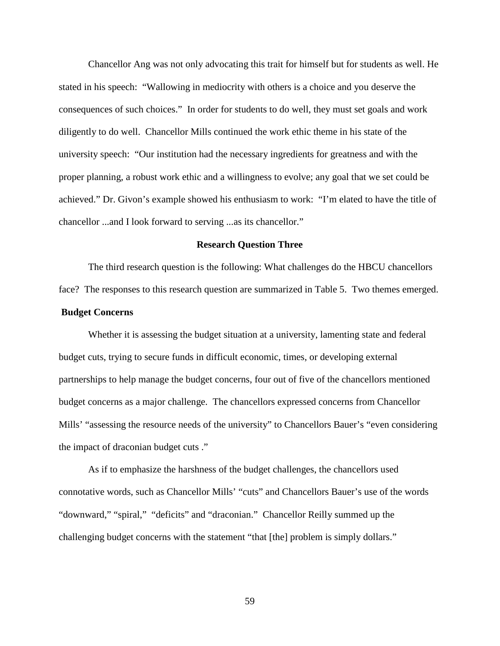Chancellor Ang was not only advocating this trait for himself but for students as well. He stated in his speech: "Wallowing in mediocrity with others is a choice and you deserve the consequences of such choices." In order for students to do well, they must set goals and work diligently to do well. Chancellor Mills continued the work ethic theme in his state of the university speech: "Our institution had the necessary ingredients for greatness and with the proper planning, a robust work ethic and a willingness to evolve; any goal that we set could be achieved." Dr. Givon's example showed his enthusiasm to work: "I'm elated to have the title of chancellor ...and I look forward to serving ...as its chancellor."

#### **Research Question Three**

The third research question is the following: What challenges do the HBCU chancellors face? The responses to this research question are summarized in Table 5. Two themes emerged.

#### **Budget Concerns**

Whether it is assessing the budget situation at a university, lamenting state and federal budget cuts, trying to secure funds in difficult economic, times, or developing external partnerships to help manage the budget concerns, four out of five of the chancellors mentioned budget concerns as a major challenge. The chancellors expressed concerns from Chancellor Mills' "assessing the resource needs of the university" to Chancellors Bauer's "even considering the impact of draconian budget cuts ."

As if to emphasize the harshness of the budget challenges, the chancellors used connotative words, such as Chancellor Mills' "cuts" and Chancellors Bauer's use of the words "downward," "spiral," "deficits" and "draconian." Chancellor Reilly summed up the challenging budget concerns with the statement "that [the] problem is simply dollars."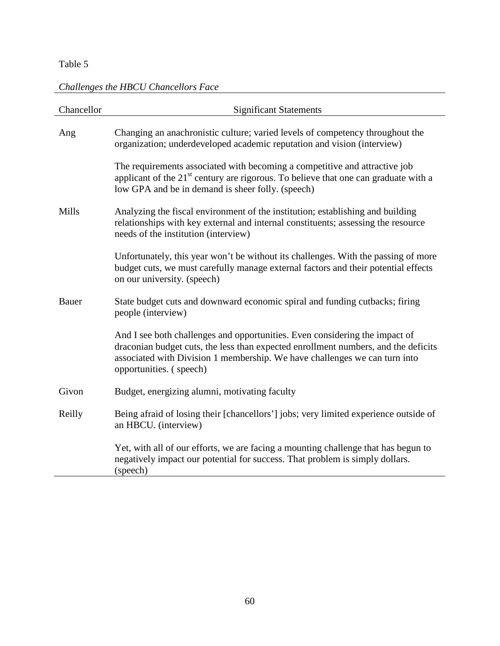### Table 5

# *Challenges the HBCU Chancellors Face*

| Chancellor | <b>Significant Statements</b>                                                                                                                                                                                                                                              |
|------------|----------------------------------------------------------------------------------------------------------------------------------------------------------------------------------------------------------------------------------------------------------------------------|
| Ang        | Changing an anachronistic culture; varied levels of competency throughout the<br>organization; underdeveloped academic reputation and vision (interview)                                                                                                                   |
|            | The requirements associated with becoming a competitive and attractive job<br>applicant of the $21st$ century are rigorous. To believe that one can graduate with a<br>low GPA and be in demand is sheer folly. (speech)                                                   |
| Mills      | Analyzing the fiscal environment of the institution; establishing and building<br>relationships with key external and internal constituents; assessing the resource<br>needs of the institution (interview)                                                                |
|            | Unfortunately, this year won't be without its challenges. With the passing of more<br>budget cuts, we must carefully manage external factors and their potential effects<br>on our university. (speech)                                                                    |
| Bauer      | State budget cuts and downward economic spiral and funding cutbacks; firing<br>people (interview)                                                                                                                                                                          |
|            | And I see both challenges and opportunities. Even considering the impact of<br>draconian budget cuts, the less than expected enrollment numbers, and the deficits<br>associated with Division 1 membership. We have challenges we can turn into<br>opportunities. (speech) |
| Givon      | Budget, energizing alumni, motivating faculty                                                                                                                                                                                                                              |
| Reilly     | Being afraid of losing their [chancellors'] jobs; very limited experience outside of<br>an HBCU. (interview)                                                                                                                                                               |
|            | Yet, with all of our efforts, we are facing a mounting challenge that has begun to<br>negatively impact our potential for success. That problem is simply dollars.<br>(speech)                                                                                             |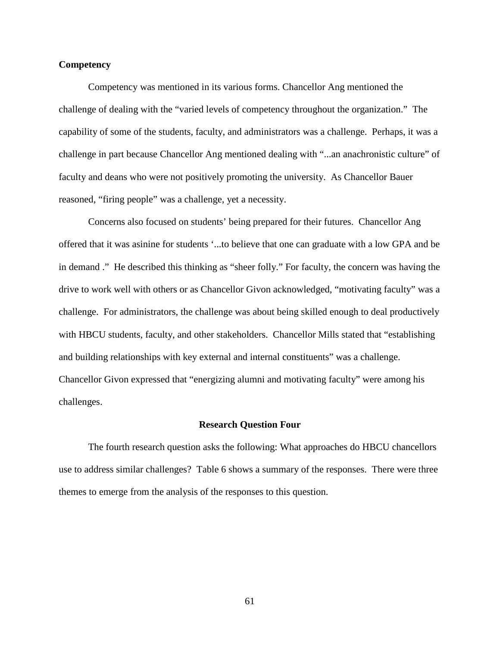## **Competency**

Competency was mentioned in its various forms. Chancellor Ang mentioned the challenge of dealing with the "varied levels of competency throughout the organization." The capability of some of the students, faculty, and administrators was a challenge. Perhaps, it was a challenge in part because Chancellor Ang mentioned dealing with "...an anachronistic culture" of faculty and deans who were not positively promoting the university. As Chancellor Bauer reasoned, "firing people" was a challenge, yet a necessity.

Concerns also focused on students' being prepared for their futures. Chancellor Ang offered that it was asinine for students '...to believe that one can graduate with a low GPA and be in demand ." He described this thinking as "sheer folly." For faculty, the concern was having the drive to work well with others or as Chancellor Givon acknowledged, "motivating faculty" was a challenge. For administrators, the challenge was about being skilled enough to deal productively with HBCU students, faculty, and other stakeholders. Chancellor Mills stated that "establishing and building relationships with key external and internal constituents" was a challenge. Chancellor Givon expressed that "energizing alumni and motivating faculty" were among his challenges.

## **Research Question Four**

The fourth research question asks the following: What approaches do HBCU chancellors use to address similar challenges? Table 6 shows a summary of the responses. There were three themes to emerge from the analysis of the responses to this question.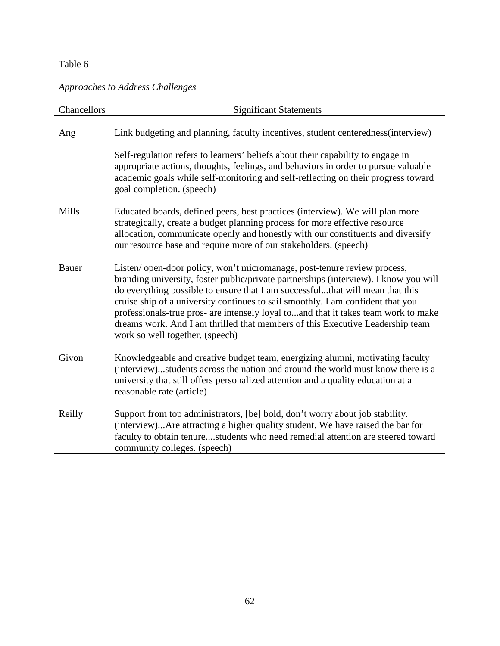# *Approaches to Address Challenges*

| Chancellors  | <b>Significant Statements</b>                                                                                                                                                                                                                                                                                                                                                                                                                                                                                                                 |
|--------------|-----------------------------------------------------------------------------------------------------------------------------------------------------------------------------------------------------------------------------------------------------------------------------------------------------------------------------------------------------------------------------------------------------------------------------------------------------------------------------------------------------------------------------------------------|
| Ang          | Link budgeting and planning, faculty incentives, student centeredness (interview)                                                                                                                                                                                                                                                                                                                                                                                                                                                             |
|              | Self-regulation refers to learners' beliefs about their capability to engage in<br>appropriate actions, thoughts, feelings, and behaviors in order to pursue valuable<br>academic goals while self-monitoring and self-reflecting on their progress toward<br>goal completion. (speech)                                                                                                                                                                                                                                                       |
| Mills        | Educated boards, defined peers, best practices (interview). We will plan more<br>strategically, create a budget planning process for more effective resource<br>allocation, communicate openly and honestly with our constituents and diversify<br>our resource base and require more of our stakeholders. (speech)                                                                                                                                                                                                                           |
| <b>Bauer</b> | Listen/open-door policy, won't micromanage, post-tenure review process,<br>branding university, foster public/private partnerships (interview). I know you will<br>do everything possible to ensure that I am successfulthat will mean that this<br>cruise ship of a university continues to sail smoothly. I am confident that you<br>professionals-true pros- are intensely loyal toand that it takes team work to make<br>dreams work. And I am thrilled that members of this Executive Leadership team<br>work so well together. (speech) |
| Givon        | Knowledgeable and creative budget team, energizing alumni, motivating faculty<br>(interview)students across the nation and around the world must know there is a<br>university that still offers personalized attention and a quality education at a<br>reasonable rate (article)                                                                                                                                                                                                                                                             |
| Reilly       | Support from top administrators, [be] bold, don't worry about job stability.<br>(interview)Are attracting a higher quality student. We have raised the bar for<br>faculty to obtain tenurestudents who need remedial attention are steered toward<br>community colleges. (speech)                                                                                                                                                                                                                                                             |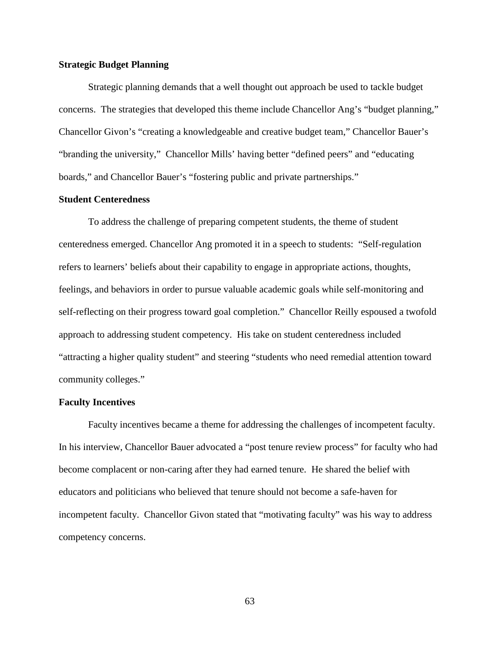### **Strategic Budget Planning**

Strategic planning demands that a well thought out approach be used to tackle budget concerns. The strategies that developed this theme include Chancellor Ang's "budget planning," Chancellor Givon's "creating a knowledgeable and creative budget team," Chancellor Bauer's "branding the university," Chancellor Mills' having better "defined peers" and "educating boards," and Chancellor Bauer's "fostering public and private partnerships."

## **Student Centeredness**

To address the challenge of preparing competent students, the theme of student centeredness emerged. Chancellor Ang promoted it in a speech to students: "Self-regulation refers to learners' beliefs about their capability to engage in appropriate actions, thoughts, feelings, and behaviors in order to pursue valuable academic goals while self-monitoring and self-reflecting on their progress toward goal completion." Chancellor Reilly espoused a twofold approach to addressing student competency. His take on student centeredness included "attracting a higher quality student" and steering "students who need remedial attention toward community colleges."

# **Faculty Incentives**

Faculty incentives became a theme for addressing the challenges of incompetent faculty. In his interview, Chancellor Bauer advocated a "post tenure review process" for faculty who had become complacent or non-caring after they had earned tenure. He shared the belief with educators and politicians who believed that tenure should not become a safe-haven for incompetent faculty. Chancellor Givon stated that "motivating faculty" was his way to address competency concerns.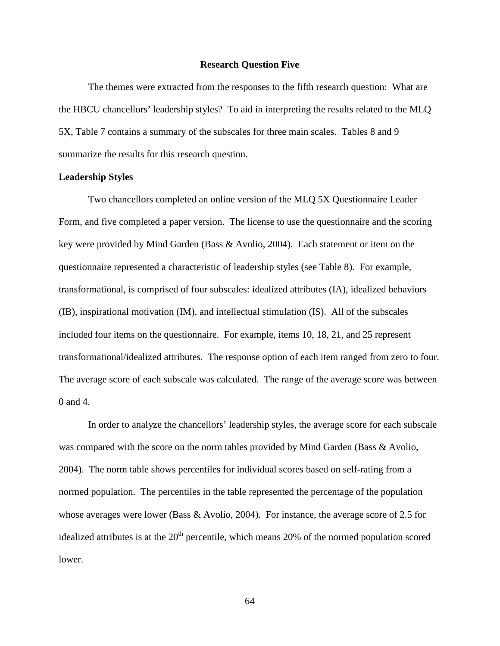#### **Research Question Five**

The themes were extracted from the responses to the fifth research question: What are the HBCU chancellors' leadership styles? To aid in interpreting the results related to the MLQ 5X, Table 7 contains a summary of the subscales for three main scales. Tables 8 and 9 summarize the results for this research question.

#### **Leadership Styles**

Two chancellors completed an online version of the MLQ 5X Questionnaire Leader Form, and five completed a paper version. The license to use the questionnaire and the scoring key were provided by Mind Garden (Bass & Avolio, 2004). Each statement or item on the questionnaire represented a characteristic of leadership styles (see Table 8). For example, transformational, is comprised of four subscales: idealized attributes (IA), idealized behaviors (IB), inspirational motivation (IM), and intellectual stimulation (IS). All of the subscales included four items on the questionnaire. For example, items 10, 18, 21, and 25 represent transformational/idealized attributes. The response option of each item ranged from zero to four. The average score of each subscale was calculated. The range of the average score was between 0 and 4.

In order to analyze the chancellors' leadership styles, the average score for each subscale was compared with the score on the norm tables provided by Mind Garden (Bass & Avolio, 2004). The norm table shows percentiles for individual scores based on self-rating from a normed population. The percentiles in the table represented the percentage of the population whose averages were lower (Bass & Avolio, 2004). For instance, the average score of 2.5 for idealized attributes is at the  $20<sup>th</sup>$  percentile, which means 20% of the normed population scored lower.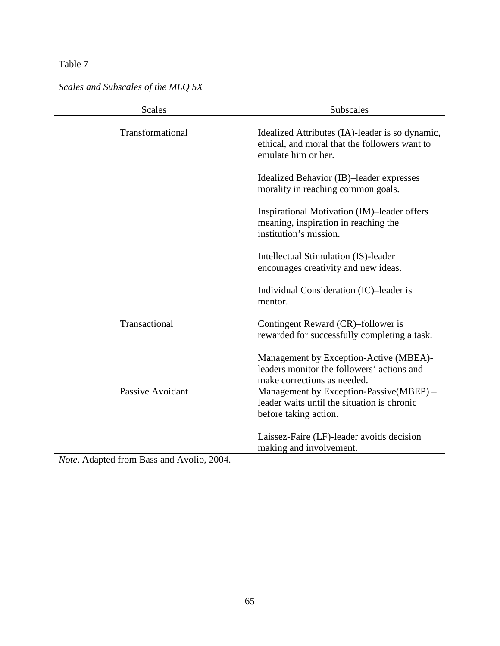*Scales and Subscales of the MLQ 5X*

| <b>Scales</b>    | <b>Subscales</b>                                                                                                                                                                                                                       |
|------------------|----------------------------------------------------------------------------------------------------------------------------------------------------------------------------------------------------------------------------------------|
| Transformational | Idealized Attributes (IA)-leader is so dynamic,<br>ethical, and moral that the followers want to<br>emulate him or her.                                                                                                                |
|                  | Idealized Behavior (IB)-leader expresses<br>morality in reaching common goals.                                                                                                                                                         |
|                  | Inspirational Motivation (IM)-leader offers<br>meaning, inspiration in reaching the<br>institution's mission.                                                                                                                          |
|                  | Intellectual Stimulation (IS)-leader<br>encourages creativity and new ideas.                                                                                                                                                           |
|                  | Individual Consideration (IC)-leader is<br>mentor.                                                                                                                                                                                     |
| Transactional    | Contingent Reward (CR)-follower is<br>rewarded for successfully completing a task.                                                                                                                                                     |
| Passive Avoidant | Management by Exception-Active (MBEA)-<br>leaders monitor the followers' actions and<br>make corrections as needed.<br>Management by Exception-Passive(MBEP) –<br>leader waits until the situation is chronic<br>before taking action. |
|                  | Laissez-Faire (LF)-leader avoids decision<br>making and involvement.                                                                                                                                                                   |

*Note*. Adapted from Bass and Avolio, 2004.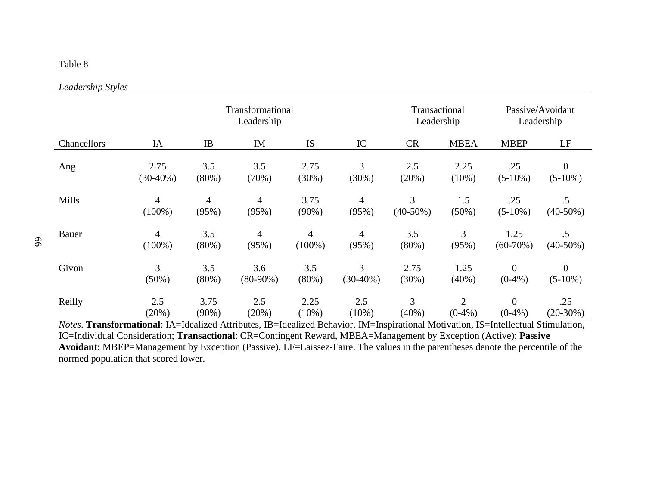## *Leadership Styles*

|             |                |                | Transformational<br>Leadership |                |                | Transactional<br>Leadership |             |                  | Passive/Avoidant<br>Leadership |
|-------------|----------------|----------------|--------------------------------|----------------|----------------|-----------------------------|-------------|------------------|--------------------------------|
| Chancellors | IA             | IB             | IM                             | IS             | IC             | <b>CR</b>                   | <b>MBEA</b> | <b>MBEP</b>      | LF                             |
| Ang         | 2.75           | 3.5            | 3.5                            | 2.75           | 3              | 2.5                         | 2.25        | .25              | $\overline{0}$                 |
|             | $(30-40\%)$    | $(80\%)$       | (70%)                          | (30%)          | (30%)          | (20%)                       | $(10\%)$    | $(5-10\%)$       | $(5-10\%)$                     |
| Mills       | $\overline{4}$ | $\overline{4}$ | $\overline{4}$                 | 3.75           | 4              | 3                           | 1.5         | .25              | $.5\,$                         |
|             | $(100\%)$      | (95%)          | (95%)                          | $(90\%)$       | (95%)          | $(40-50\%)$                 | (50%)       | $(5-10\%)$       | $(40-50%)$                     |
| Bauer       | $\overline{4}$ | 3.5            | $\overline{4}$                 | $\overline{4}$ | $\overline{4}$ | 3.5                         | 3           | 1.25             | $.5\,$                         |
|             | $(100\%)$      | $(80\%)$       | (95%)                          | $(100\%)$      | (95%)          | $(80\%)$                    | (95%)       | $(60-70%)$       | $(40-50\%)$                    |
| Givon       | 3              | 3.5            | 3.6                            | 3.5            | 3              | 2.75                        | 1.25        | $\theta$         | $\boldsymbol{0}$               |
|             | $(50\%)$       | $(80\%)$       | $(80-90\%)$                    | $(80\%)$       | $(30-40%)$     | $(30\%)$                    | (40%)       | $(0-4\%)$        | $(5-10\%)$                     |
| Reilly      | 2.5            | 3.75           | 2.5                            | 2.25           | 2.5            | 3                           | 2           | $\boldsymbol{0}$ | .25                            |
|             | (20%)          | $(90\%)$       | (20%)                          | $(10\%)$       | (10%)          | (40%)                       | $(0-4% )$   | $(0-4%$          | $(20-30%)$                     |

*Notes*. **Transformational**: IA=Idealized Attributes, IB=Idealized Behavior, IM=Inspirational Motivation, IS=Intellectual Stimulation, IC=Individual Consideration; **Transactional**: CR=Contingent Reward, MBEA=Management by Exception (Active); **Passive Avoidant**: MBEP=Management by Exception (Passive), LF=Laissez-Faire. The values in the parentheses denote the percentile of the normed population that scored lower.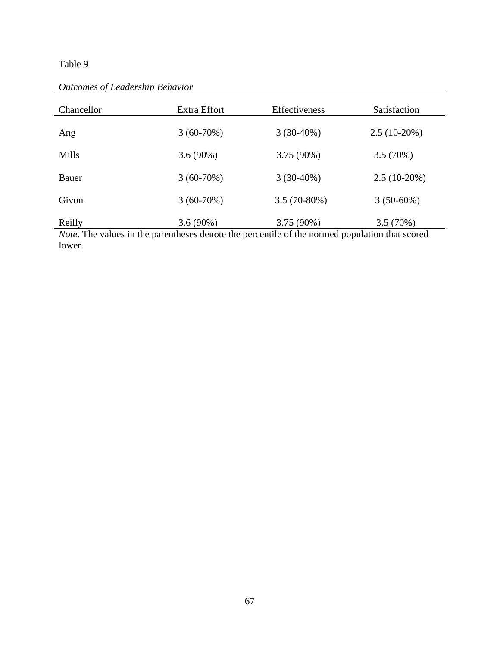| Chancellor   | Extra Effort | <b>Effectiveness</b> | Satisfaction   |
|--------------|--------------|----------------------|----------------|
| Ang          | $3(60-70\%)$ | $3(30-40\%)$         | $2.5(10-20\%)$ |
| <b>Mills</b> | $3.6(90\%)$  | $3.75(90\%)$         | 3.5(70%)       |
| <b>Bauer</b> | $3(60-70%)$  | $3(30-40\%)$         | $2.5(10-20\%)$ |
| Givon        | $3(60-70\%)$ | $3.5(70-80\%)$       | $3(50-60\%)$   |
| Reilly       | $3.6(90\%)$  | $3.75(90\%)$         | 3.5(70%)       |

*Outcomes of Leadership Behavior*

*Note*. The values in the parentheses denote the percentile of the normed population that scored lower.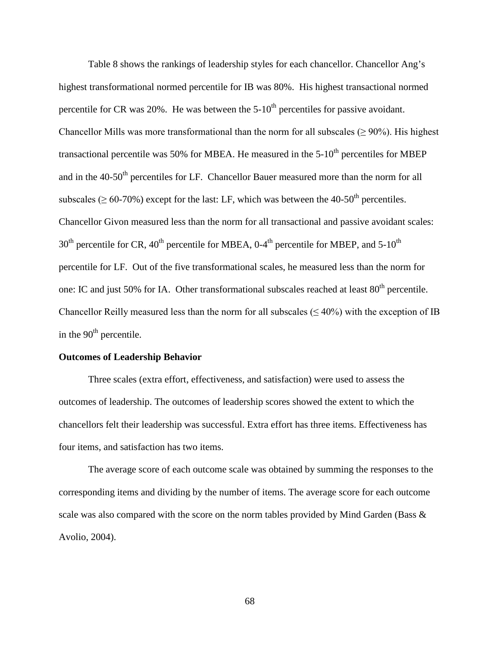Table 8 shows the rankings of leadership styles for each chancellor. Chancellor Ang's highest transformational normed percentile for IB was 80%. His highest transactional normed percentile for CR was  $20\%$ . He was between the  $5{\text -}10^{\text{th}}$  percentiles for passive avoidant. Chancellor Mills was more transformational than the norm for all subscales ( $\geq$  90%). His highest transactional percentile was 50% for MBEA. He measured in the  $5{\text -}10^{\text{th}}$  percentiles for MBEP and in the 40-50<sup>th</sup> percentiles for LF. Chancellor Bauer measured more than the norm for all subscales ( $\geq 60$ -70%) except for the last: LF, which was between the 40-50<sup>th</sup> percentiles. Chancellor Givon measured less than the norm for all transactional and passive avoidant scales:  $30<sup>th</sup>$  percentile for CR,  $40<sup>th</sup>$  percentile for MBEA, 0-4<sup>th</sup> percentile for MBEP, and 5-10<sup>th</sup> percentile for LF. Out of the five transformational scales, he measured less than the norm for one: IC and just 50% for IA. Other transformational subscales reached at least 80<sup>th</sup> percentile. Chancellor Reilly measured less than the norm for all subscales ( $\leq 40\%$ ) with the exception of IB in the  $90<sup>th</sup>$  percentile.

#### **Outcomes of Leadership Behavior**

Three scales (extra effort, effectiveness, and satisfaction) were used to assess the outcomes of leadership. The outcomes of leadership scores showed the extent to which the chancellors felt their leadership was successful. Extra effort has three items. Effectiveness has four items, and satisfaction has two items.

The average score of each outcome scale was obtained by summing the responses to the corresponding items and dividing by the number of items. The average score for each outcome scale was also compared with the score on the norm tables provided by Mind Garden (Bass  $\&$ Avolio, 2004).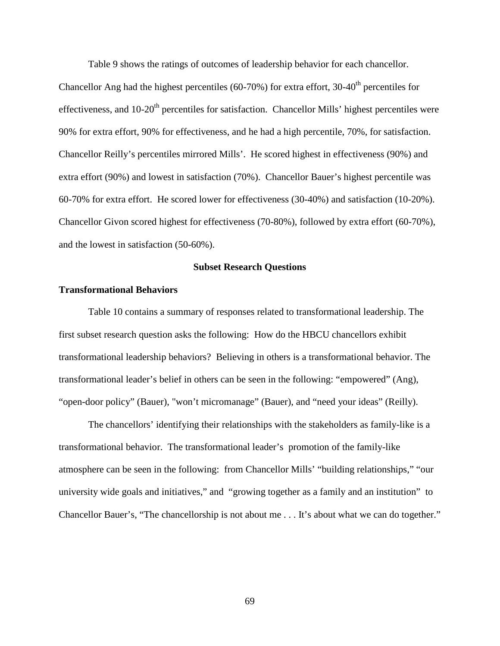Table 9 shows the ratings of outcomes of leadership behavior for each chancellor.

Chancellor Ang had the highest percentiles (60-70%) for extra effort, 30-40<sup>th</sup> percentiles for effectiveness, and 10-20<sup>th</sup> percentiles for satisfaction. Chancellor Mills' highest percentiles were 90% for extra effort, 90% for effectiveness, and he had a high percentile, 70%, for satisfaction. Chancellor Reilly's percentiles mirrored Mills'. He scored highest in effectiveness (90%) and extra effort (90%) and lowest in satisfaction (70%). Chancellor Bauer's highest percentile was 60-70% for extra effort. He scored lower for effectiveness (30-40%) and satisfaction (10-20%). Chancellor Givon scored highest for effectiveness (70-80%), followed by extra effort (60-70%), and the lowest in satisfaction (50-60%).

## **Subset Research Questions**

#### **Transformational Behaviors**

Table 10 contains a summary of responses related to transformational leadership. The first subset research question asks the following: How do the HBCU chancellors exhibit transformational leadership behaviors? Believing in others is a transformational behavior. The transformational leader's belief in others can be seen in the following: "empowered" (Ang), "open-door policy" (Bauer), "won't micromanage" (Bauer), and "need your ideas" (Reilly).

The chancellors' identifying their relationships with the stakeholders as family-like is a transformational behavior. The transformational leader's promotion of the family-like atmosphere can be seen in the following: from Chancellor Mills' "building relationships," "our university wide goals and initiatives," and "growing together as a family and an institution" to Chancellor Bauer's, "The chancellorship is not about me . . . It's about what we can do together."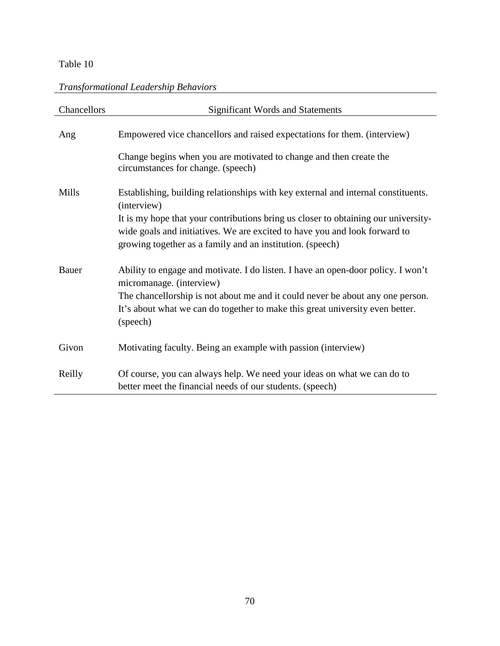# *Transformational Leadership Behaviors*

| Chancellors | <b>Significant Words and Statements</b>                                                                                                                                                                                       |
|-------------|-------------------------------------------------------------------------------------------------------------------------------------------------------------------------------------------------------------------------------|
| Ang         | Empowered vice chancellors and raised expectations for them. (interview)                                                                                                                                                      |
|             | Change begins when you are motivated to change and then create the<br>circumstances for change. (speech)                                                                                                                      |
| Mills       | Establishing, building relationships with key external and internal constituents.<br>(interview)                                                                                                                              |
|             | It is my hope that your contributions bring us closer to obtaining our university-<br>wide goals and initiatives. We are excited to have you and look forward to<br>growing together as a family and an institution. (speech) |
| Bauer       | Ability to engage and motivate. I do listen. I have an open-door policy. I won't<br>micromanage. (interview)                                                                                                                  |
|             | The chancellorship is not about me and it could never be about any one person.<br>It's about what we can do together to make this great university even better.<br>(speech)                                                   |
| Givon       | Motivating faculty. Being an example with passion (interview)                                                                                                                                                                 |
| Reilly      | Of course, you can always help. We need your ideas on what we can do to<br>better meet the financial needs of our students. (speech)                                                                                          |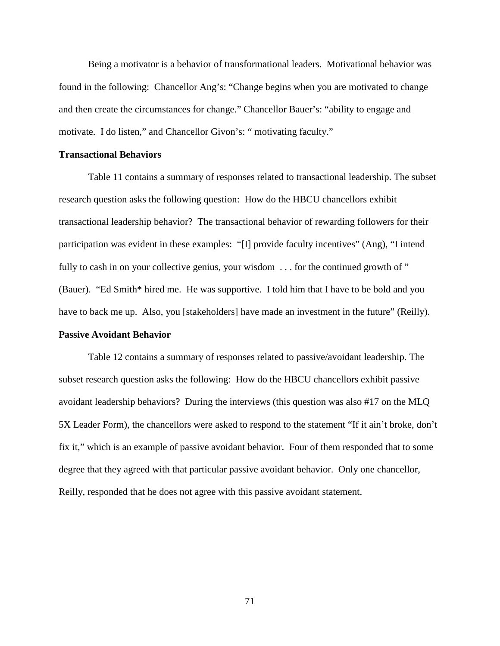Being a motivator is a behavior of transformational leaders. Motivational behavior was found in the following: Chancellor Ang's: "Change begins when you are motivated to change and then create the circumstances for change." Chancellor Bauer's: "ability to engage and motivate. I do listen," and Chancellor Givon's: " motivating faculty."

## **Transactional Behaviors**

Table 11 contains a summary of responses related to transactional leadership. The subset research question asks the following question: How do the HBCU chancellors exhibit transactional leadership behavior? The transactional behavior of rewarding followers for their participation was evident in these examples: "[I] provide faculty incentives" (Ang), "I intend fully to cash in on your collective genius, your wisdom . . . for the continued growth of " (Bauer). "Ed Smith\* hired me. He was supportive. I told him that I have to be bold and you have to back me up. Also, you [stakeholders] have made an investment in the future" (Reilly).

#### **Passive Avoidant Behavior**

Table 12 contains a summary of responses related to passive/avoidant leadership. The subset research question asks the following: How do the HBCU chancellors exhibit passive avoidant leadership behaviors? During the interviews (this question was also #17 on the MLQ 5X Leader Form), the chancellors were asked to respond to the statement "If it ain't broke, don't fix it," which is an example of passive avoidant behavior. Four of them responded that to some degree that they agreed with that particular passive avoidant behavior. Only one chancellor, Reilly, responded that he does not agree with this passive avoidant statement.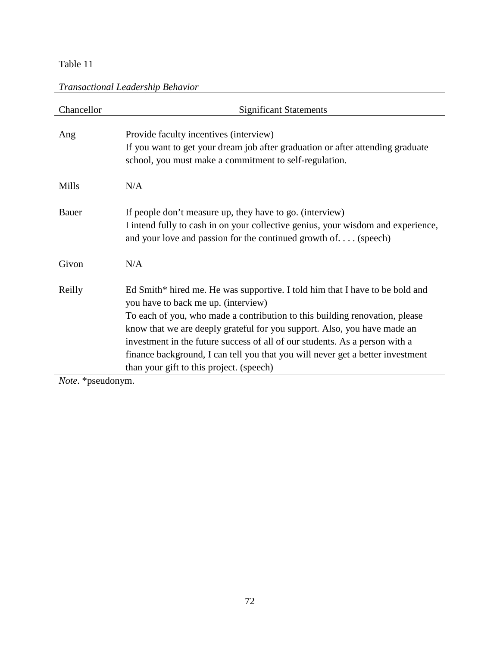| Chancellor        | <b>Significant Statements</b>                                                                                                                                                                                                                                                                                                                                                                                                                                                               |
|-------------------|---------------------------------------------------------------------------------------------------------------------------------------------------------------------------------------------------------------------------------------------------------------------------------------------------------------------------------------------------------------------------------------------------------------------------------------------------------------------------------------------|
| Ang               | Provide faculty incentives (interview)<br>If you want to get your dream job after graduation or after attending graduate<br>school, you must make a commitment to self-regulation.                                                                                                                                                                                                                                                                                                          |
| Mills             | N/A                                                                                                                                                                                                                                                                                                                                                                                                                                                                                         |
| Bauer             | If people don't measure up, they have to go. (interview)<br>I intend fully to cash in on your collective genius, your wisdom and experience,<br>and your love and passion for the continued growth of (speech)                                                                                                                                                                                                                                                                              |
| Givon             | N/A                                                                                                                                                                                                                                                                                                                                                                                                                                                                                         |
| Reilly            | Ed Smith* hired me. He was supportive. I told him that I have to be bold and<br>you have to back me up. (interview)<br>To each of you, who made a contribution to this building renovation, please<br>know that we are deeply grateful for you support. Also, you have made an<br>investment in the future success of all of our students. As a person with a<br>finance background, I can tell you that you will never get a better investment<br>than your gift to this project. (speech) |
| $Noto *nequdonym$ |                                                                                                                                                                                                                                                                                                                                                                                                                                                                                             |

*Note*. \*pseudonym.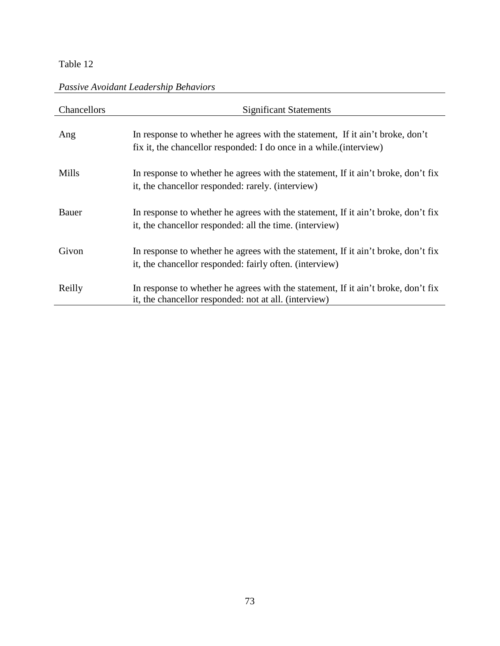# *Passive Avoidant Leadership Behaviors*

| Chancellors | <b>Significant Statements</b>                                                                                                                       |
|-------------|-----------------------------------------------------------------------------------------------------------------------------------------------------|
| Ang         | In response to whether he agrees with the statement. If it ain't broke, don't<br>fix it, the chancellor responded: I do once in a while (interview) |
| Mills       | In response to whether he agrees with the statement, If it ain't broke, don't fix<br>it, the chancellor responded: rarely. (interview)              |
| Bauer       | In response to whether he agrees with the statement, If it ain't broke, don't fix<br>it, the chancellor responded: all the time. (interview)        |
| Givon       | In response to whether he agrees with the statement, If it ain't broke, don't fix<br>it, the chancellor responded: fairly often. (interview)        |
| Reilly      | In response to whether he agrees with the statement, If it ain't broke, don't fix<br>it, the chancellor responded: not at all. (interview)          |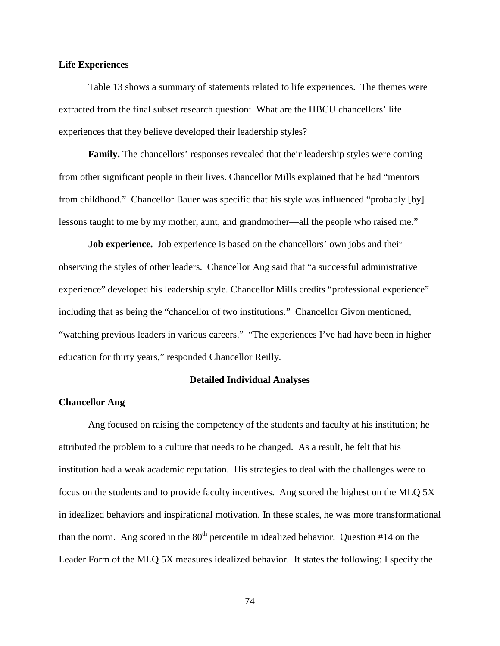## **Life Experiences**

Table 13 shows a summary of statements related to life experiences. The themes were extracted from the final subset research question: What are the HBCU chancellors' life experiences that they believe developed their leadership styles?

**Family.** The chancellors' responses revealed that their leadership styles were coming from other significant people in their lives. Chancellor Mills explained that he had "mentors from childhood." Chancellor Bauer was specific that his style was influenced "probably [by] lessons taught to me by my mother, aunt, and grandmother—all the people who raised me."

**Job experience.** Job experience is based on the chancellors' own jobs and their observing the styles of other leaders. Chancellor Ang said that "a successful administrative experience" developed his leadership style. Chancellor Mills credits "professional experience" including that as being the "chancellor of two institutions." Chancellor Givon mentioned, "watching previous leaders in various careers." "The experiences I've had have been in higher education for thirty years," responded Chancellor Reilly.

#### **Detailed Individual Analyses**

### **Chancellor Ang**

Ang focused on raising the competency of the students and faculty at his institution; he attributed the problem to a culture that needs to be changed. As a result, he felt that his institution had a weak academic reputation. His strategies to deal with the challenges were to focus on the students and to provide faculty incentives. Ang scored the highest on the MLQ 5X in idealized behaviors and inspirational motivation. In these scales, he was more transformational than the norm. Ang scored in the  $80<sup>th</sup>$  percentile in idealized behavior. Question #14 on the Leader Form of the MLQ 5X measures idealized behavior. It states the following: I specify the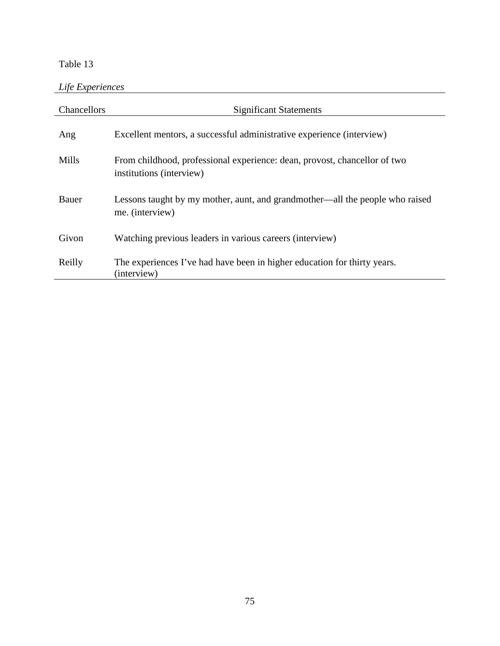# *Life Experiences*

| Chancellors | <b>Significant Statements</b>                                                                         |
|-------------|-------------------------------------------------------------------------------------------------------|
| Ang         | Excellent mentors, a successful administrative experience (interview)                                 |
| Mills       | From childhood, professional experience: dean, provost, chancellor of two<br>institutions (interview) |
| Bauer       | Lessons taught by my mother, aunt, and grandmother—all the people who raised<br>me. (interview)       |
| Givon       | Watching previous leaders in various careers (interview)                                              |
| Reilly      | The experiences I've had have been in higher education for thirty years.<br>(interview)               |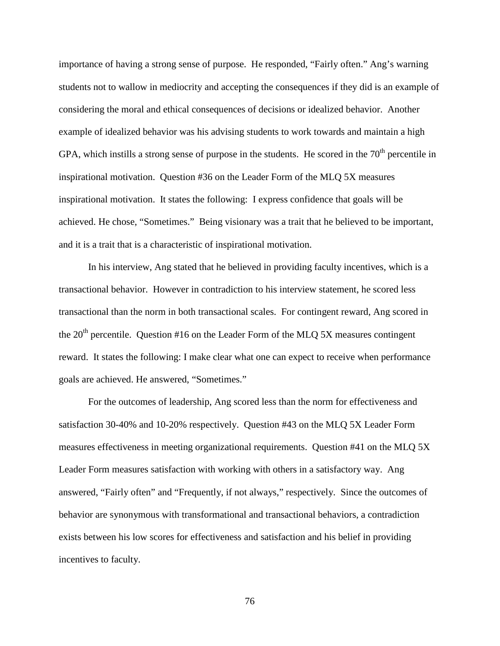importance of having a strong sense of purpose. He responded, "Fairly often." Ang's warning students not to wallow in mediocrity and accepting the consequences if they did is an example of considering the moral and ethical consequences of decisions or idealized behavior. Another example of idealized behavior was his advising students to work towards and maintain a high GPA, which instills a strong sense of purpose in the students. He scored in the  $70<sup>th</sup>$  percentile in inspirational motivation. Question #36 on the Leader Form of the MLQ 5X measures inspirational motivation. It states the following: I express confidence that goals will be achieved. He chose, "Sometimes." Being visionary was a trait that he believed to be important, and it is a trait that is a characteristic of inspirational motivation.

In his interview, Ang stated that he believed in providing faculty incentives, which is a transactional behavior. However in contradiction to his interview statement, he scored less transactional than the norm in both transactional scales. For contingent reward, Ang scored in the  $20<sup>th</sup>$  percentile. Question #16 on the Leader Form of the MLQ 5X measures contingent reward. It states the following: I make clear what one can expect to receive when performance goals are achieved. He answered, "Sometimes."

For the outcomes of leadership, Ang scored less than the norm for effectiveness and satisfaction 30-40% and 10-20% respectively. Question #43 on the MLQ 5X Leader Form measures effectiveness in meeting organizational requirements. Question #41 on the MLQ 5X Leader Form measures satisfaction with working with others in a satisfactory way. Ang answered, "Fairly often" and "Frequently, if not always," respectively. Since the outcomes of behavior are synonymous with transformational and transactional behaviors, a contradiction exists between his low scores for effectiveness and satisfaction and his belief in providing incentives to faculty.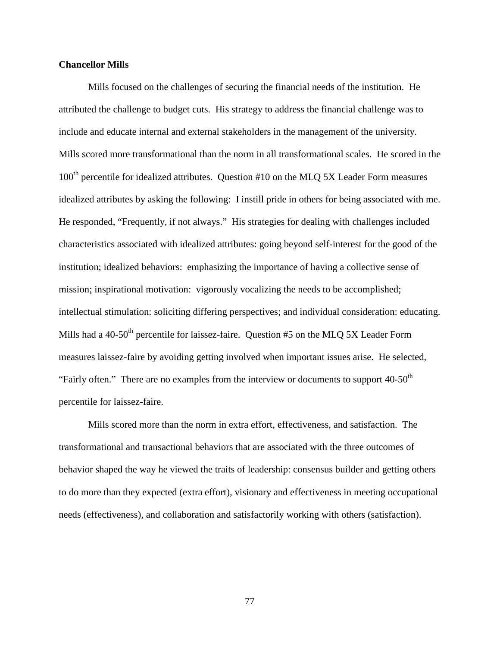### **Chancellor Mills**

Mills focused on the challenges of securing the financial needs of the institution. He attributed the challenge to budget cuts. His strategy to address the financial challenge was to include and educate internal and external stakeholders in the management of the university. Mills scored more transformational than the norm in all transformational scales. He scored in the  $100<sup>th</sup>$  percentile for idealized attributes. Question #10 on the MLQ 5X Leader Form measures idealized attributes by asking the following: I instill pride in others for being associated with me. He responded, "Frequently, if not always." His strategies for dealing with challenges included characteristics associated with idealized attributes: going beyond self-interest for the good of the institution; idealized behaviors: emphasizing the importance of having a collective sense of mission; inspirational motivation: vigorously vocalizing the needs to be accomplished; intellectual stimulation: soliciting differing perspectives; and individual consideration: educating. Mills had a 40-50<sup>th</sup> percentile for laissez-faire. Question  $#5$  on the MLQ 5X Leader Form measures laissez-faire by avoiding getting involved when important issues arise. He selected, "Fairly often." There are no examples from the interview or documents to support  $40-50<sup>th</sup>$ percentile for laissez-faire.

Mills scored more than the norm in extra effort, effectiveness, and satisfaction. The transformational and transactional behaviors that are associated with the three outcomes of behavior shaped the way he viewed the traits of leadership: consensus builder and getting others to do more than they expected (extra effort), visionary and effectiveness in meeting occupational needs (effectiveness), and collaboration and satisfactorily working with others (satisfaction).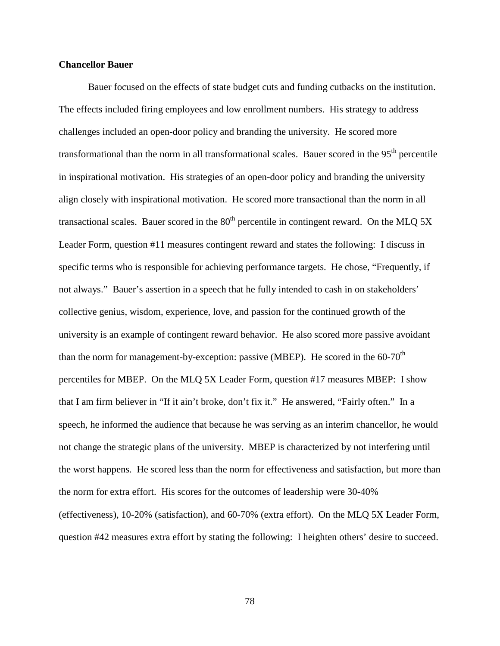## **Chancellor Bauer**

Bauer focused on the effects of state budget cuts and funding cutbacks on the institution. The effects included firing employees and low enrollment numbers. His strategy to address challenges included an open-door policy and branding the university. He scored more transformational than the norm in all transformational scales. Bauer scored in the  $95<sup>th</sup>$  percentile in inspirational motivation. His strategies of an open-door policy and branding the university align closely with inspirational motivation. He scored more transactional than the norm in all transactional scales. Bauer scored in the  $80<sup>th</sup>$  percentile in contingent reward. On the MLQ 5X Leader Form, question #11 measures contingent reward and states the following: I discuss in specific terms who is responsible for achieving performance targets. He chose, "Frequently, if not always." Bauer's assertion in a speech that he fully intended to cash in on stakeholders' collective genius, wisdom, experience, love, and passion for the continued growth of the university is an example of contingent reward behavior. He also scored more passive avoidant than the norm for management-by-exception: passive (MBEP). He scored in the  $60-70<sup>th</sup>$ percentiles for MBEP. On the MLQ 5X Leader Form, question #17 measures MBEP: I show that I am firm believer in "If it ain't broke, don't fix it." He answered, "Fairly often." In a speech, he informed the audience that because he was serving as an interim chancellor, he would not change the strategic plans of the university. MBEP is characterized by not interfering until the worst happens. He scored less than the norm for effectiveness and satisfaction, but more than the norm for extra effort. His scores for the outcomes of leadership were 30-40% (effectiveness), 10-20% (satisfaction), and 60-70% (extra effort). On the MLQ 5X Leader Form, question #42 measures extra effort by stating the following: I heighten others' desire to succeed.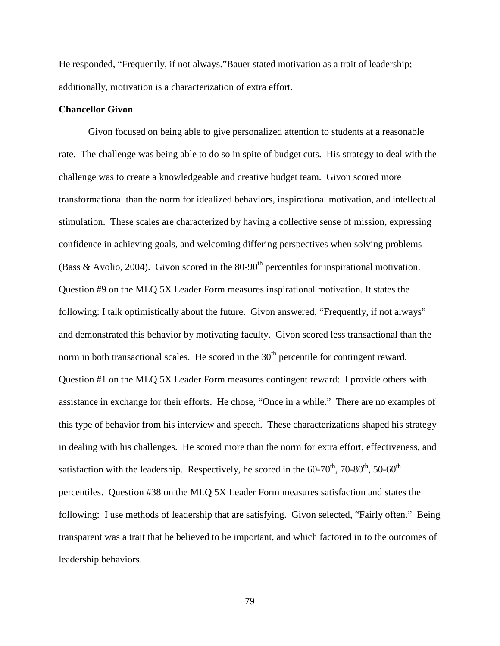He responded, "Frequently, if not always."Bauer stated motivation as a trait of leadership; additionally, motivation is a characterization of extra effort.

### **Chancellor Givon**

Givon focused on being able to give personalized attention to students at a reasonable rate. The challenge was being able to do so in spite of budget cuts. His strategy to deal with the challenge was to create a knowledgeable and creative budget team. Givon scored more transformational than the norm for idealized behaviors, inspirational motivation, and intellectual stimulation. These scales are characterized by having a collective sense of mission, expressing confidence in achieving goals, and welcoming differing perspectives when solving problems (Bass & Avolio, 2004). Givon scored in the  $80-90<sup>th</sup>$  percentiles for inspirational motivation. Question #9 on the MLQ 5X Leader Form measures inspirational motivation. It states the following: I talk optimistically about the future. Givon answered, "Frequently, if not always" and demonstrated this behavior by motivating faculty. Givon scored less transactional than the norm in both transactional scales. He scored in the  $30<sup>th</sup>$  percentile for contingent reward. Question #1 on the MLQ 5X Leader Form measures contingent reward: I provide others with assistance in exchange for their efforts. He chose, "Once in a while." There are no examples of this type of behavior from his interview and speech. These characterizations shaped his strategy in dealing with his challenges. He scored more than the norm for extra effort, effectiveness, and satisfaction with the leadership. Respectively, he scored in the  $60-70^{th}$ ,  $70-80^{th}$ ,  $50-60^{th}$ percentiles. Question #38 on the MLQ 5X Leader Form measures satisfaction and states the following: I use methods of leadership that are satisfying. Givon selected, "Fairly often." Being transparent was a trait that he believed to be important, and which factored in to the outcomes of leadership behaviors.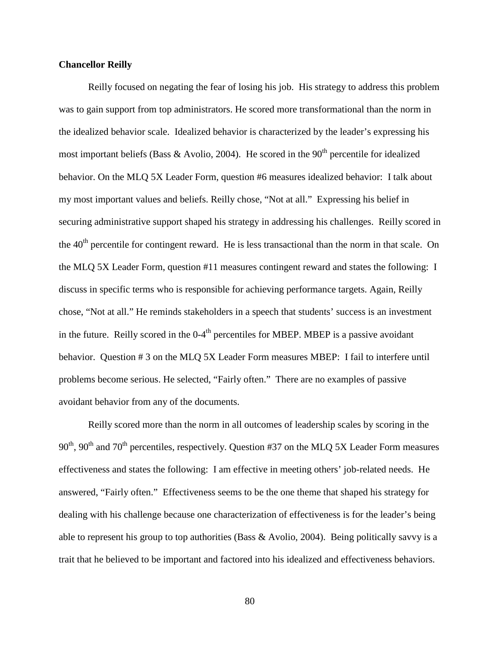## **Chancellor Reilly**

Reilly focused on negating the fear of losing his job. His strategy to address this problem was to gain support from top administrators. He scored more transformational than the norm in the idealized behavior scale. Idealized behavior is characterized by the leader's expressing his most important beliefs (Bass & Avolio, 2004). He scored in the  $90<sup>th</sup>$  percentile for idealized behavior. On the MLQ 5X Leader Form, question #6 measures idealized behavior: I talk about my most important values and beliefs. Reilly chose, "Not at all." Expressing his belief in securing administrative support shaped his strategy in addressing his challenges. Reilly scored in the 40<sup>th</sup> percentile for contingent reward. He is less transactional than the norm in that scale. On the MLQ 5X Leader Form, question #11 measures contingent reward and states the following: I discuss in specific terms who is responsible for achieving performance targets. Again, Reilly chose, "Not at all." He reminds stakeholders in a speech that students' success is an investment in the future. Reilly scored in the  $0-4<sup>th</sup>$  percentiles for MBEP. MBEP is a passive avoidant behavior. Question # 3 on the MLQ 5X Leader Form measures MBEP: I fail to interfere until problems become serious. He selected, "Fairly often." There are no examples of passive avoidant behavior from any of the documents.

Reilly scored more than the norm in all outcomes of leadership scales by scoring in the  $90<sup>th</sup>$ ,  $90<sup>th</sup>$  and  $70<sup>th</sup>$  percentiles, respectively. Question #37 on the MLQ 5X Leader Form measures effectiveness and states the following: I am effective in meeting others' job-related needs. He answered, "Fairly often." Effectiveness seems to be the one theme that shaped his strategy for dealing with his challenge because one characterization of effectiveness is for the leader's being able to represent his group to top authorities (Bass & Avolio, 2004). Being politically savvy is a trait that he believed to be important and factored into his idealized and effectiveness behaviors.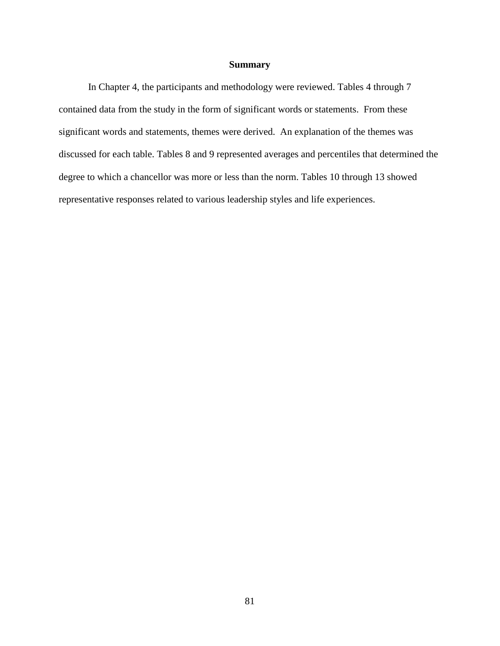## **Summary**

In Chapter 4, the participants and methodology were reviewed. Tables 4 through 7 contained data from the study in the form of significant words or statements. From these significant words and statements, themes were derived. An explanation of the themes was discussed for each table. Tables 8 and 9 represented averages and percentiles that determined the degree to which a chancellor was more or less than the norm. Tables 10 through 13 showed representative responses related to various leadership styles and life experiences.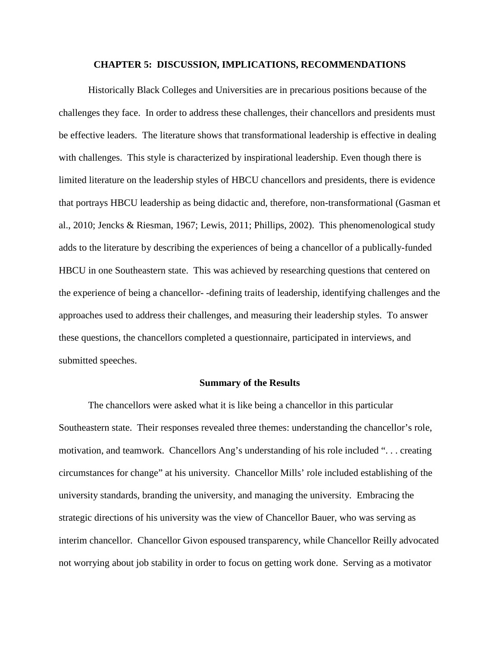#### **CHAPTER 5: DISCUSSION, IMPLICATIONS, RECOMMENDATIONS**

Historically Black Colleges and Universities are in precarious positions because of the challenges they face. In order to address these challenges, their chancellors and presidents must be effective leaders. The literature shows that transformational leadership is effective in dealing with challenges. This style is characterized by inspirational leadership. Even though there is limited literature on the leadership styles of HBCU chancellors and presidents, there is evidence that portrays HBCU leadership as being didactic and, therefore, non-transformational (Gasman et al., 2010; Jencks & Riesman, 1967; Lewis, 2011; Phillips, 2002). This phenomenological study adds to the literature by describing the experiences of being a chancellor of a publically-funded HBCU in one Southeastern state. This was achieved by researching questions that centered on the experience of being a chancellor- -defining traits of leadership, identifying challenges and the approaches used to address their challenges, and measuring their leadership styles. To answer these questions, the chancellors completed a questionnaire, participated in interviews, and submitted speeches.

#### **Summary of the Results**

The chancellors were asked what it is like being a chancellor in this particular Southeastern state. Their responses revealed three themes: understanding the chancellor's role, motivation, and teamwork. Chancellors Ang's understanding of his role included ". . . creating circumstances for change" at his university. Chancellor Mills' role included establishing of the university standards, branding the university, and managing the university. Embracing the strategic directions of his university was the view of Chancellor Bauer, who was serving as interim chancellor. Chancellor Givon espoused transparency, while Chancellor Reilly advocated not worrying about job stability in order to focus on getting work done. Serving as a motivator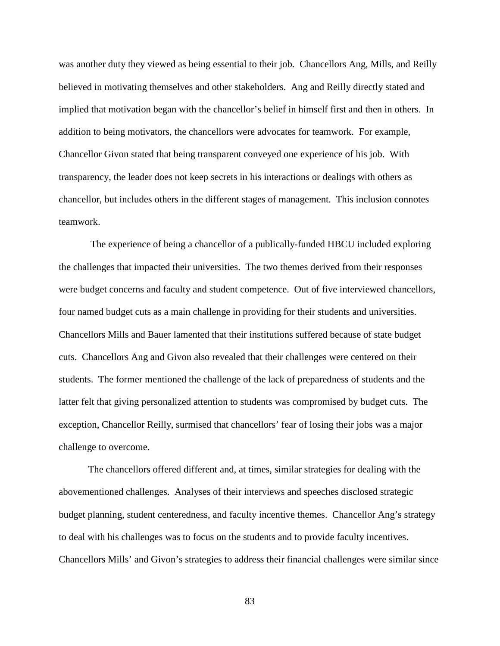was another duty they viewed as being essential to their job. Chancellors Ang, Mills, and Reilly believed in motivating themselves and other stakeholders. Ang and Reilly directly stated and implied that motivation began with the chancellor's belief in himself first and then in others. In addition to being motivators, the chancellors were advocates for teamwork. For example, Chancellor Givon stated that being transparent conveyed one experience of his job. With transparency, the leader does not keep secrets in his interactions or dealings with others as chancellor, but includes others in the different stages of management. This inclusion connotes teamwork.

The experience of being a chancellor of a publically-funded HBCU included exploring the challenges that impacted their universities. The two themes derived from their responses were budget concerns and faculty and student competence. Out of five interviewed chancellors, four named budget cuts as a main challenge in providing for their students and universities. Chancellors Mills and Bauer lamented that their institutions suffered because of state budget cuts. Chancellors Ang and Givon also revealed that their challenges were centered on their students. The former mentioned the challenge of the lack of preparedness of students and the latter felt that giving personalized attention to students was compromised by budget cuts. The exception, Chancellor Reilly, surmised that chancellors' fear of losing their jobs was a major challenge to overcome.

The chancellors offered different and, at times, similar strategies for dealing with the abovementioned challenges. Analyses of their interviews and speeches disclosed strategic budget planning, student centeredness, and faculty incentive themes. Chancellor Ang's strategy to deal with his challenges was to focus on the students and to provide faculty incentives. Chancellors Mills' and Givon's strategies to address their financial challenges were similar since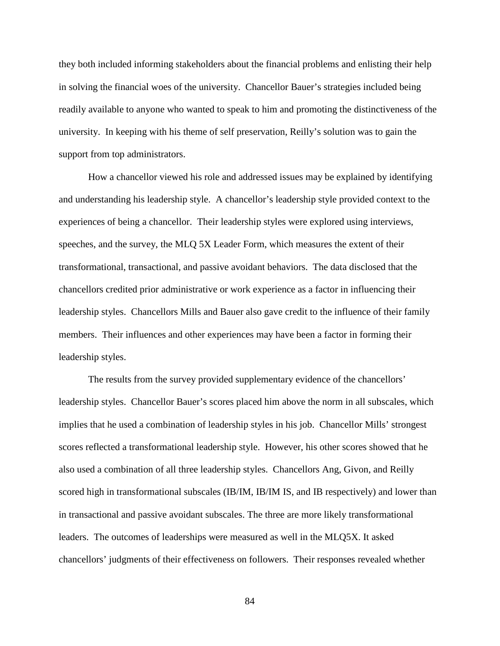they both included informing stakeholders about the financial problems and enlisting their help in solving the financial woes of the university. Chancellor Bauer's strategies included being readily available to anyone who wanted to speak to him and promoting the distinctiveness of the university. In keeping with his theme of self preservation, Reilly's solution was to gain the support from top administrators.

How a chancellor viewed his role and addressed issues may be explained by identifying and understanding his leadership style. A chancellor's leadership style provided context to the experiences of being a chancellor. Their leadership styles were explored using interviews, speeches, and the survey, the MLQ 5X Leader Form, which measures the extent of their transformational, transactional, and passive avoidant behaviors. The data disclosed that the chancellors credited prior administrative or work experience as a factor in influencing their leadership styles. Chancellors Mills and Bauer also gave credit to the influence of their family members. Their influences and other experiences may have been a factor in forming their leadership styles.

The results from the survey provided supplementary evidence of the chancellors' leadership styles. Chancellor Bauer's scores placed him above the norm in all subscales, which implies that he used a combination of leadership styles in his job. Chancellor Mills' strongest scores reflected a transformational leadership style. However, his other scores showed that he also used a combination of all three leadership styles. Chancellors Ang, Givon, and Reilly scored high in transformational subscales (IB/IM, IB/IM IS, and IB respectively) and lower than in transactional and passive avoidant subscales. The three are more likely transformational leaders. The outcomes of leaderships were measured as well in the MLQ5X. It asked chancellors' judgments of their effectiveness on followers. Their responses revealed whether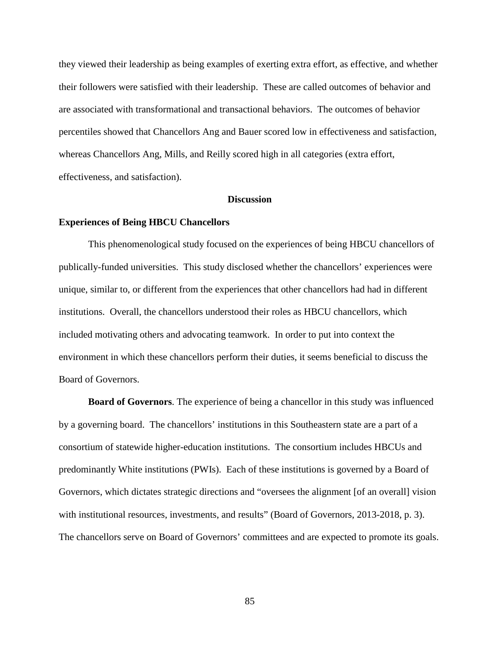they viewed their leadership as being examples of exerting extra effort, as effective, and whether their followers were satisfied with their leadership. These are called outcomes of behavior and are associated with transformational and transactional behaviors. The outcomes of behavior percentiles showed that Chancellors Ang and Bauer scored low in effectiveness and satisfaction, whereas Chancellors Ang, Mills, and Reilly scored high in all categories (extra effort, effectiveness, and satisfaction).

### **Discussion**

#### **Experiences of Being HBCU Chancellors**

This phenomenological study focused on the experiences of being HBCU chancellors of publically-funded universities. This study disclosed whether the chancellors' experiences were unique, similar to, or different from the experiences that other chancellors had had in different institutions. Overall, the chancellors understood their roles as HBCU chancellors, which included motivating others and advocating teamwork. In order to put into context the environment in which these chancellors perform their duties, it seems beneficial to discuss the Board of Governors.

**Board of Governors**. The experience of being a chancellor in this study was influenced by a governing board. The chancellors' institutions in this Southeastern state are a part of a consortium of statewide higher-education institutions. The consortium includes HBCUs and predominantly White institutions (PWIs). Each of these institutions is governed by a Board of Governors, which dictates strategic directions and "oversees the alignment [of an overall] vision with institutional resources, investments, and results" (Board of Governors, 2013-2018, p. 3). The chancellors serve on Board of Governors' committees and are expected to promote its goals.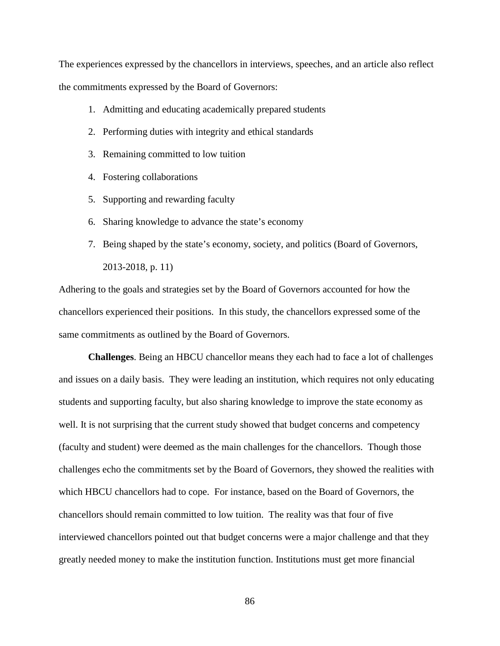The experiences expressed by the chancellors in interviews, speeches, and an article also reflect the commitments expressed by the Board of Governors:

- 1. Admitting and educating academically prepared students
- 2. Performing duties with integrity and ethical standards
- 3. Remaining committed to low tuition
- 4. Fostering collaborations
- 5. Supporting and rewarding faculty
- 6. Sharing knowledge to advance the state's economy
- 7. Being shaped by the state's economy, society, and politics (Board of Governors, 2013-2018, p. 11)

Adhering to the goals and strategies set by the Board of Governors accounted for how the chancellors experienced their positions. In this study, the chancellors expressed some of the same commitments as outlined by the Board of Governors.

**Challenges**. Being an HBCU chancellor means they each had to face a lot of challenges and issues on a daily basis. They were leading an institution, which requires not only educating students and supporting faculty, but also sharing knowledge to improve the state economy as well. It is not surprising that the current study showed that budget concerns and competency (faculty and student) were deemed as the main challenges for the chancellors. Though those challenges echo the commitments set by the Board of Governors, they showed the realities with which HBCU chancellors had to cope. For instance, based on the Board of Governors, the chancellors should remain committed to low tuition. The reality was that four of five interviewed chancellors pointed out that budget concerns were a major challenge and that they greatly needed money to make the institution function. Institutions must get more financial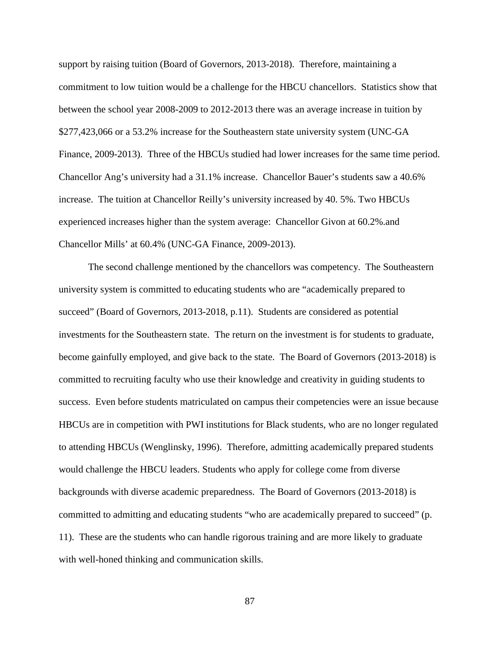support by raising tuition (Board of Governors, 2013-2018). Therefore, maintaining a commitment to low tuition would be a challenge for the HBCU chancellors. Statistics show that between the school year 2008-2009 to 2012-2013 there was an average increase in tuition by \$277,423,066 or a 53.2% increase for the Southeastern state university system (UNC-GA Finance, 2009-2013). Three of the HBCUs studied had lower increases for the same time period. Chancellor Ang's university had a 31.1% increase. Chancellor Bauer's students saw a 40.6% increase. The tuition at Chancellor Reilly's university increased by 40. 5%. Two HBCUs experienced increases higher than the system average: Chancellor Givon at 60.2%.and Chancellor Mills' at 60.4% (UNC-GA Finance, 2009-2013).

The second challenge mentioned by the chancellors was competency. The Southeastern university system is committed to educating students who are "academically prepared to succeed" (Board of Governors, 2013-2018, p.11). Students are considered as potential investments for the Southeastern state. The return on the investment is for students to graduate, become gainfully employed, and give back to the state. The Board of Governors (2013-2018) is committed to recruiting faculty who use their knowledge and creativity in guiding students to success. Even before students matriculated on campus their competencies were an issue because HBCUs are in competition with PWI institutions for Black students, who are no longer regulated to attending HBCUs (Wenglinsky, 1996). Therefore, admitting academically prepared students would challenge the HBCU leaders. Students who apply for college come from diverse backgrounds with diverse academic preparedness. The Board of Governors (2013-2018) is committed to admitting and educating students "who are academically prepared to succeed" (p. 11). These are the students who can handle rigorous training and are more likely to graduate with well-honed thinking and communication skills.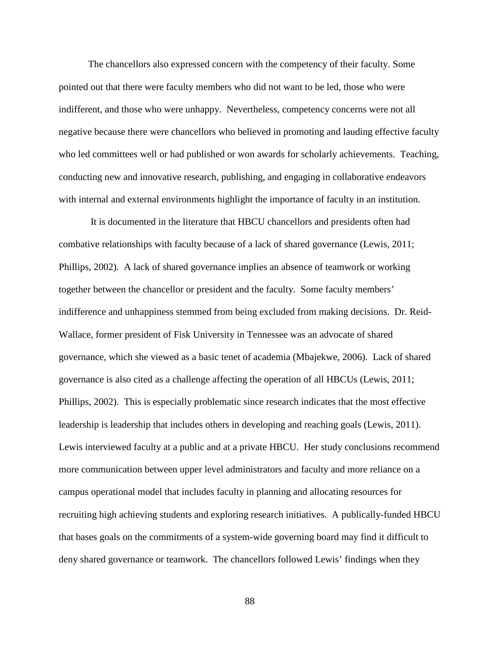The chancellors also expressed concern with the competency of their faculty. Some pointed out that there were faculty members who did not want to be led, those who were indifferent, and those who were unhappy. Nevertheless, competency concerns were not all negative because there were chancellors who believed in promoting and lauding effective faculty who led committees well or had published or won awards for scholarly achievements. Teaching, conducting new and innovative research, publishing, and engaging in collaborative endeavors with internal and external environments highlight the importance of faculty in an institution.

It is documented in the literature that HBCU chancellors and presidents often had combative relationships with faculty because of a lack of shared governance (Lewis, 2011; Phillips, 2002). A lack of shared governance implies an absence of teamwork or working together between the chancellor or president and the faculty. Some faculty members' indifference and unhappiness stemmed from being excluded from making decisions. Dr. Reid-Wallace, former president of Fisk University in Tennessee was an advocate of shared governance, which she viewed as a basic tenet of academia (Mbajekwe, 2006). Lack of shared governance is also cited as a challenge affecting the operation of all HBCUs (Lewis, 2011; Phillips, 2002). This is especially problematic since research indicates that the most effective leadership is leadership that includes others in developing and reaching goals (Lewis, 2011). Lewis interviewed faculty at a public and at a private HBCU. Her study conclusions recommend more communication between upper level administrators and faculty and more reliance on a campus operational model that includes faculty in planning and allocating resources for recruiting high achieving students and exploring research initiatives. A publically-funded HBCU that bases goals on the commitments of a system-wide governing board may find it difficult to deny shared governance or teamwork. The chancellors followed Lewis' findings when they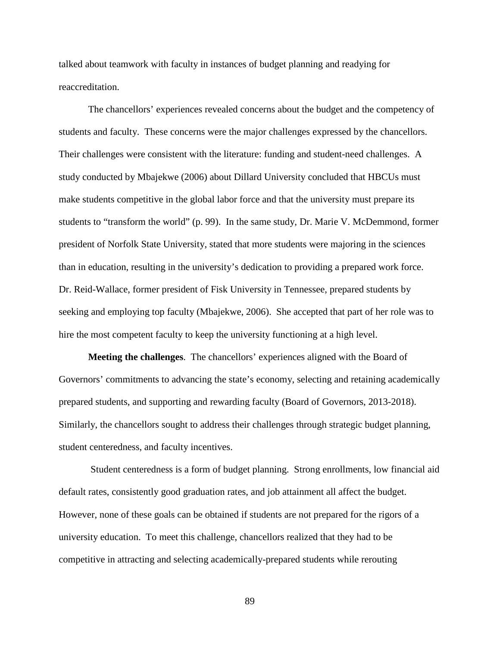talked about teamwork with faculty in instances of budget planning and readying for reaccreditation.

The chancellors' experiences revealed concerns about the budget and the competency of students and faculty. These concerns were the major challenges expressed by the chancellors. Their challenges were consistent with the literature: funding and student-need challenges. A study conducted by Mbajekwe (2006) about Dillard University concluded that HBCUs must make students competitive in the global labor force and that the university must prepare its students to "transform the world" (p. 99). In the same study, Dr. Marie V. McDemmond, former president of Norfolk State University, stated that more students were majoring in the sciences than in education, resulting in the university's dedication to providing a prepared work force. Dr. Reid-Wallace, former president of Fisk University in Tennessee, prepared students by seeking and employing top faculty (Mbajekwe, 2006). She accepted that part of her role was to hire the most competent faculty to keep the university functioning at a high level.

**Meeting the challenges**. The chancellors' experiences aligned with the Board of Governors' commitments to advancing the state's economy, selecting and retaining academically prepared students, and supporting and rewarding faculty (Board of Governors, 2013-2018). Similarly, the chancellors sought to address their challenges through strategic budget planning, student centeredness, and faculty incentives.

Student centeredness is a form of budget planning. Strong enrollments, low financial aid default rates, consistently good graduation rates, and job attainment all affect the budget. However, none of these goals can be obtained if students are not prepared for the rigors of a university education. To meet this challenge, chancellors realized that they had to be competitive in attracting and selecting academically-prepared students while rerouting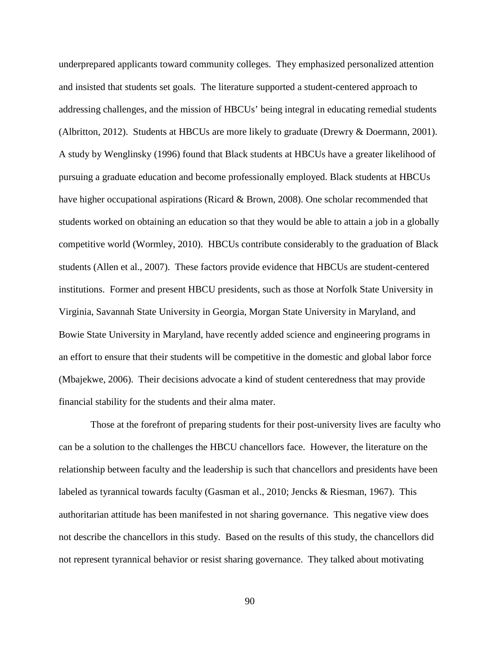underprepared applicants toward community colleges. They emphasized personalized attention and insisted that students set goals. The literature supported a student-centered approach to addressing challenges, and the mission of HBCUs' being integral in educating remedial students (Albritton, 2012). Students at HBCUs are more likely to graduate (Drewry & Doermann, 2001). A study by Wenglinsky (1996) found that Black students at HBCUs have a greater likelihood of pursuing a graduate education and become professionally employed. Black students at HBCUs have higher occupational aspirations (Ricard & Brown, 2008). One scholar recommended that students worked on obtaining an education so that they would be able to attain a job in a globally competitive world (Wormley, 2010). HBCUs contribute considerably to the graduation of Black students (Allen et al., 2007). These factors provide evidence that HBCUs are student-centered institutions. Former and present HBCU presidents, such as those at Norfolk State University in Virginia, Savannah State University in Georgia, Morgan State University in Maryland, and Bowie State University in Maryland, have recently added science and engineering programs in an effort to ensure that their students will be competitive in the domestic and global labor force (Mbajekwe, 2006). Their decisions advocate a kind of student centeredness that may provide financial stability for the students and their alma mater.

Those at the forefront of preparing students for their post-university lives are faculty who can be a solution to the challenges the HBCU chancellors face. However, the literature on the relationship between faculty and the leadership is such that chancellors and presidents have been labeled as tyrannical towards faculty (Gasman et al., 2010; Jencks & Riesman, 1967). This authoritarian attitude has been manifested in not sharing governance. This negative view does not describe the chancellors in this study. Based on the results of this study, the chancellors did not represent tyrannical behavior or resist sharing governance. They talked about motivating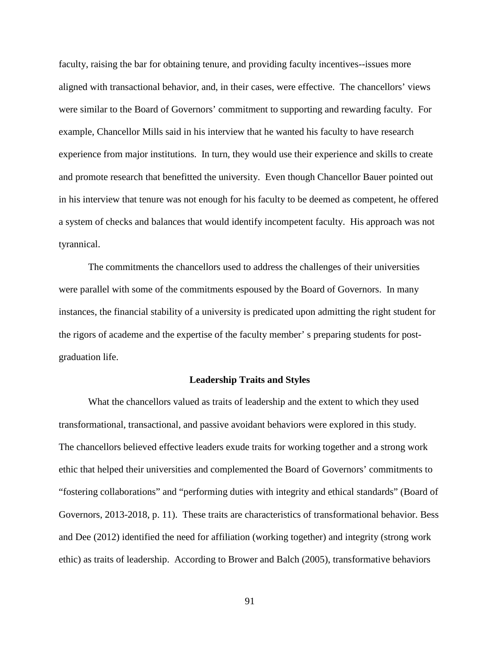faculty, raising the bar for obtaining tenure, and providing faculty incentives--issues more aligned with transactional behavior, and, in their cases, were effective. The chancellors' views were similar to the Board of Governors' commitment to supporting and rewarding faculty. For example, Chancellor Mills said in his interview that he wanted his faculty to have research experience from major institutions. In turn, they would use their experience and skills to create and promote research that benefitted the university. Even though Chancellor Bauer pointed out in his interview that tenure was not enough for his faculty to be deemed as competent, he offered a system of checks and balances that would identify incompetent faculty. His approach was not tyrannical.

The commitments the chancellors used to address the challenges of their universities were parallel with some of the commitments espoused by the Board of Governors. In many instances, the financial stability of a university is predicated upon admitting the right student for the rigors of academe and the expertise of the faculty member' s preparing students for postgraduation life.

#### **Leadership Traits and Styles**

What the chancellors valued as traits of leadership and the extent to which they used transformational, transactional, and passive avoidant behaviors were explored in this study. The chancellors believed effective leaders exude traits for working together and a strong work ethic that helped their universities and complemented the Board of Governors' commitments to "fostering collaborations" and "performing duties with integrity and ethical standards" (Board of Governors, 2013-2018, p. 11). These traits are characteristics of transformational behavior. Bess and Dee (2012) identified the need for affiliation (working together) and integrity (strong work ethic) as traits of leadership. According to Brower and Balch (2005), transformative behaviors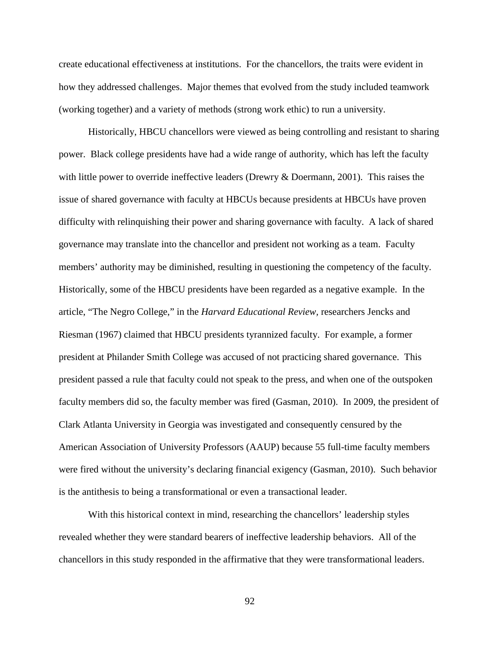create educational effectiveness at institutions. For the chancellors, the traits were evident in how they addressed challenges. Major themes that evolved from the study included teamwork (working together) and a variety of methods (strong work ethic) to run a university.

Historically, HBCU chancellors were viewed as being controlling and resistant to sharing power. Black college presidents have had a wide range of authority, which has left the faculty with little power to override ineffective leaders (Drewry & Doermann, 2001). This raises the issue of shared governance with faculty at HBCUs because presidents at HBCUs have proven difficulty with relinquishing their power and sharing governance with faculty. A lack of shared governance may translate into the chancellor and president not working as a team. Faculty members' authority may be diminished, resulting in questioning the competency of the faculty. Historically, some of the HBCU presidents have been regarded as a negative example. In the article, "The Negro College," in the *Harvard Educational Review,* researchers Jencks and Riesman (1967) claimed that HBCU presidents tyrannized faculty. For example, a former president at Philander Smith College was accused of not practicing shared governance. This president passed a rule that faculty could not speak to the press, and when one of the outspoken faculty members did so, the faculty member was fired (Gasman, 2010). In 2009, the president of Clark Atlanta University in Georgia was investigated and consequently censured by the American Association of University Professors (AAUP) because 55 full-time faculty members were fired without the university's declaring financial exigency (Gasman, 2010). Such behavior is the antithesis to being a transformational or even a transactional leader.

With this historical context in mind, researching the chancellors' leadership styles revealed whether they were standard bearers of ineffective leadership behaviors. All of the chancellors in this study responded in the affirmative that they were transformational leaders.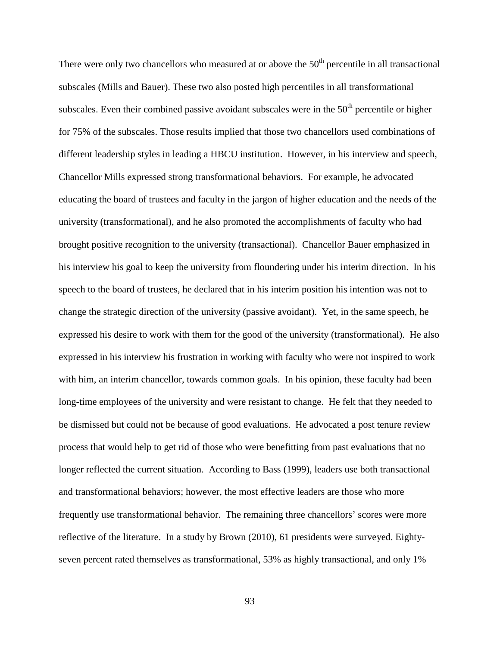There were only two chancellors who measured at or above the  $50<sup>th</sup>$  percentile in all transactional subscales (Mills and Bauer). These two also posted high percentiles in all transformational subscales. Even their combined passive avoidant subscales were in the  $50<sup>th</sup>$  percentile or higher for 75% of the subscales. Those results implied that those two chancellors used combinations of different leadership styles in leading a HBCU institution. However, in his interview and speech, Chancellor Mills expressed strong transformational behaviors. For example, he advocated educating the board of trustees and faculty in the jargon of higher education and the needs of the university (transformational), and he also promoted the accomplishments of faculty who had brought positive recognition to the university (transactional). Chancellor Bauer emphasized in his interview his goal to keep the university from floundering under his interim direction. In his speech to the board of trustees, he declared that in his interim position his intention was not to change the strategic direction of the university (passive avoidant). Yet, in the same speech, he expressed his desire to work with them for the good of the university (transformational). He also expressed in his interview his frustration in working with faculty who were not inspired to work with him, an interim chancellor, towards common goals. In his opinion, these faculty had been long-time employees of the university and were resistant to change. He felt that they needed to be dismissed but could not be because of good evaluations. He advocated a post tenure review process that would help to get rid of those who were benefitting from past evaluations that no longer reflected the current situation. According to Bass (1999), leaders use both transactional and transformational behaviors; however, the most effective leaders are those who more frequently use transformational behavior. The remaining three chancellors' scores were more reflective of the literature. In a study by Brown (2010), 61 presidents were surveyed. Eightyseven percent rated themselves as transformational, 53% as highly transactional, and only 1%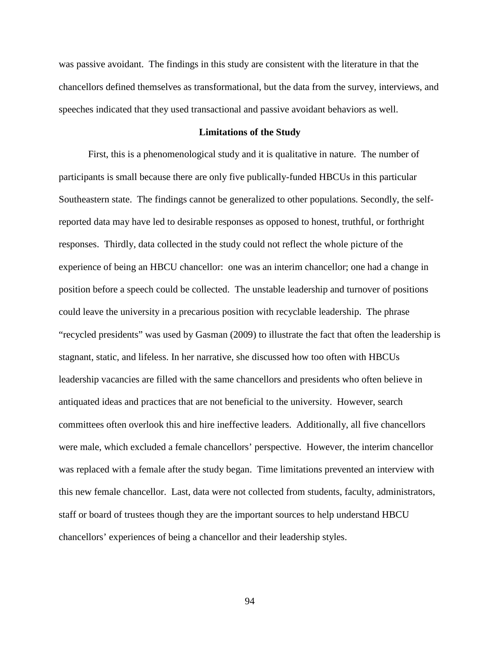was passive avoidant. The findings in this study are consistent with the literature in that the chancellors defined themselves as transformational, but the data from the survey, interviews, and speeches indicated that they used transactional and passive avoidant behaviors as well.

#### **Limitations of the Study**

First, this is a phenomenological study and it is qualitative in nature. The number of participants is small because there are only five publically-funded HBCUs in this particular Southeastern state. The findings cannot be generalized to other populations. Secondly, the selfreported data may have led to desirable responses as opposed to honest, truthful, or forthright responses. Thirdly, data collected in the study could not reflect the whole picture of the experience of being an HBCU chancellor: one was an interim chancellor; one had a change in position before a speech could be collected. The unstable leadership and turnover of positions could leave the university in a precarious position with recyclable leadership. The phrase "recycled presidents" was used by Gasman (2009) to illustrate the fact that often the leadership is stagnant, static, and lifeless. In her narrative, she discussed how too often with HBCUs leadership vacancies are filled with the same chancellors and presidents who often believe in antiquated ideas and practices that are not beneficial to the university. However, search committees often overlook this and hire ineffective leaders. Additionally, all five chancellors were male, which excluded a female chancellors' perspective. However, the interim chancellor was replaced with a female after the study began. Time limitations prevented an interview with this new female chancellor. Last, data were not collected from students, faculty, administrators, staff or board of trustees though they are the important sources to help understand HBCU chancellors' experiences of being a chancellor and their leadership styles.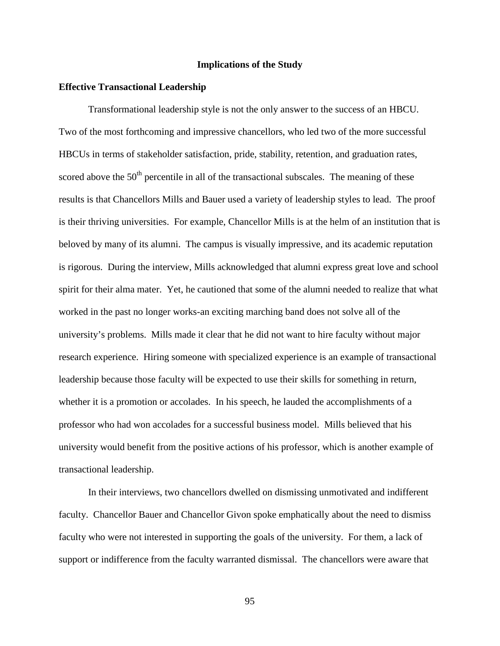## **Implications of the Study**

#### **Effective Transactional Leadership**

Transformational leadership style is not the only answer to the success of an HBCU. Two of the most forthcoming and impressive chancellors, who led two of the more successful HBCUs in terms of stakeholder satisfaction, pride, stability, retention, and graduation rates, scored above the  $50<sup>th</sup>$  percentile in all of the transactional subscales. The meaning of these results is that Chancellors Mills and Bauer used a variety of leadership styles to lead. The proof is their thriving universities. For example, Chancellor Mills is at the helm of an institution that is beloved by many of its alumni. The campus is visually impressive, and its academic reputation is rigorous. During the interview, Mills acknowledged that alumni express great love and school spirit for their alma mater. Yet, he cautioned that some of the alumni needed to realize that what worked in the past no longer works-an exciting marching band does not solve all of the university's problems. Mills made it clear that he did not want to hire faculty without major research experience. Hiring someone with specialized experience is an example of transactional leadership because those faculty will be expected to use their skills for something in return, whether it is a promotion or accolades. In his speech, he lauded the accomplishments of a professor who had won accolades for a successful business model. Mills believed that his university would benefit from the positive actions of his professor, which is another example of transactional leadership.

In their interviews, two chancellors dwelled on dismissing unmotivated and indifferent faculty. Chancellor Bauer and Chancellor Givon spoke emphatically about the need to dismiss faculty who were not interested in supporting the goals of the university. For them, a lack of support or indifference from the faculty warranted dismissal. The chancellors were aware that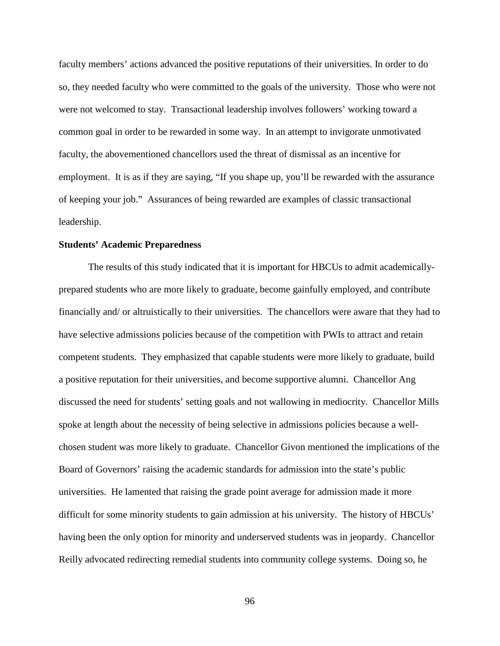faculty members' actions advanced the positive reputations of their universities. In order to do so, they needed faculty who were committed to the goals of the university. Those who were not were not welcomed to stay. Transactional leadership involves followers' working toward a common goal in order to be rewarded in some way. In an attempt to invigorate unmotivated faculty, the abovementioned chancellors used the threat of dismissal as an incentive for employment. It is as if they are saying, "If you shape up, you'll be rewarded with the assurance of keeping your job." Assurances of being rewarded are examples of classic transactional leadership.

#### **Students' Academic Preparedness**

The results of this study indicated that it is important for HBCUs to admit academicallyprepared students who are more likely to graduate, become gainfully employed, and contribute financially and/ or altruistically to their universities. The chancellors were aware that they had to have selective admissions policies because of the competition with PWIs to attract and retain competent students. They emphasized that capable students were more likely to graduate, build a positive reputation for their universities, and become supportive alumni. Chancellor Ang discussed the need for students' setting goals and not wallowing in mediocrity. Chancellor Mills spoke at length about the necessity of being selective in admissions policies because a wellchosen student was more likely to graduate. Chancellor Givon mentioned the implications of the Board of Governors' raising the academic standards for admission into the state's public universities. He lamented that raising the grade point average for admission made it more difficult for some minority students to gain admission at his university. The history of HBCUs' having been the only option for minority and underserved students was in jeopardy. Chancellor Reilly advocated redirecting remedial students into community college systems. Doing so, he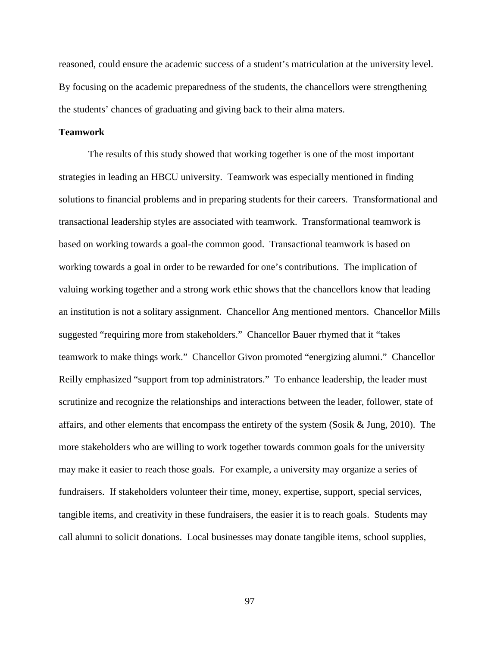reasoned, could ensure the academic success of a student's matriculation at the university level. By focusing on the academic preparedness of the students, the chancellors were strengthening the students' chances of graduating and giving back to their alma maters.

#### **Teamwork**

The results of this study showed that working together is one of the most important strategies in leading an HBCU university. Teamwork was especially mentioned in finding solutions to financial problems and in preparing students for their careers. Transformational and transactional leadership styles are associated with teamwork. Transformational teamwork is based on working towards a goal-the common good. Transactional teamwork is based on working towards a goal in order to be rewarded for one's contributions. The implication of valuing working together and a strong work ethic shows that the chancellors know that leading an institution is not a solitary assignment. Chancellor Ang mentioned mentors. Chancellor Mills suggested "requiring more from stakeholders." Chancellor Bauer rhymed that it "takes teamwork to make things work." Chancellor Givon promoted "energizing alumni." Chancellor Reilly emphasized "support from top administrators." To enhance leadership, the leader must scrutinize and recognize the relationships and interactions between the leader, follower, state of affairs, and other elements that encompass the entirety of the system (Sosik & Jung, 2010). The more stakeholders who are willing to work together towards common goals for the university may make it easier to reach those goals. For example, a university may organize a series of fundraisers. If stakeholders volunteer their time, money, expertise, support, special services, tangible items, and creativity in these fundraisers, the easier it is to reach goals. Students may call alumni to solicit donations. Local businesses may donate tangible items, school supplies,

97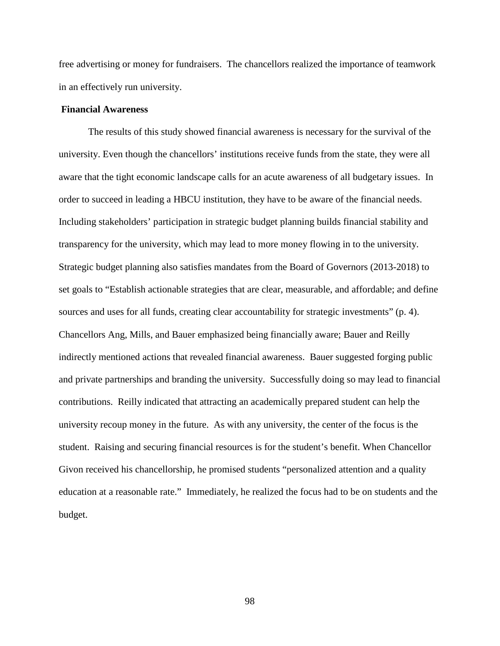free advertising or money for fundraisers. The chancellors realized the importance of teamwork in an effectively run university.

### **Financial Awareness**

The results of this study showed financial awareness is necessary for the survival of the university. Even though the chancellors' institutions receive funds from the state, they were all aware that the tight economic landscape calls for an acute awareness of all budgetary issues. In order to succeed in leading a HBCU institution, they have to be aware of the financial needs. Including stakeholders' participation in strategic budget planning builds financial stability and transparency for the university, which may lead to more money flowing in to the university. Strategic budget planning also satisfies mandates from the Board of Governors (2013-2018) to set goals to "Establish actionable strategies that are clear, measurable, and affordable; and define sources and uses for all funds, creating clear accountability for strategic investments" (p. 4). Chancellors Ang, Mills, and Bauer emphasized being financially aware; Bauer and Reilly indirectly mentioned actions that revealed financial awareness. Bauer suggested forging public and private partnerships and branding the university. Successfully doing so may lead to financial contributions. Reilly indicated that attracting an academically prepared student can help the university recoup money in the future. As with any university, the center of the focus is the student. Raising and securing financial resources is for the student's benefit. When Chancellor Givon received his chancellorship, he promised students "personalized attention and a quality education at a reasonable rate." Immediately, he realized the focus had to be on students and the budget.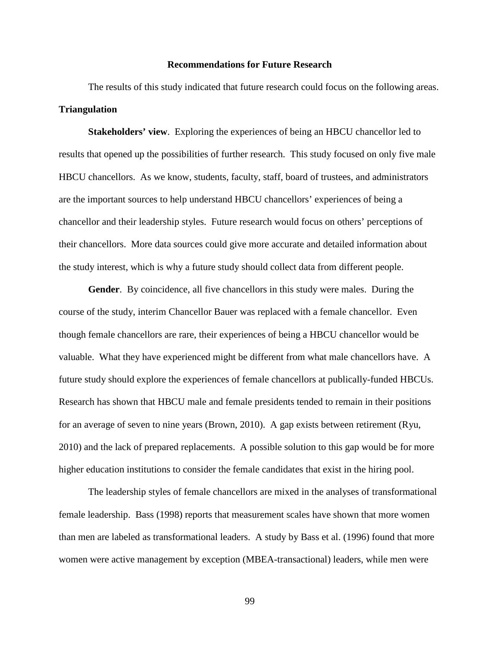#### **Recommendations for Future Research**

The results of this study indicated that future research could focus on the following areas. **Triangulation**

**Stakeholders' view**. Exploring the experiences of being an HBCU chancellor led to results that opened up the possibilities of further research. This study focused on only five male HBCU chancellors. As we know, students, faculty, staff, board of trustees, and administrators are the important sources to help understand HBCU chancellors' experiences of being a chancellor and their leadership styles. Future research would focus on others' perceptions of their chancellors. More data sources could give more accurate and detailed information about the study interest, which is why a future study should collect data from different people.

**Gender**. By coincidence, all five chancellors in this study were males. During the course of the study, interim Chancellor Bauer was replaced with a female chancellor. Even though female chancellors are rare, their experiences of being a HBCU chancellor would be valuable. What they have experienced might be different from what male chancellors have. A future study should explore the experiences of female chancellors at publically-funded HBCUs. Research has shown that HBCU male and female presidents tended to remain in their positions for an average of seven to nine years (Brown, 2010). A gap exists between retirement (Ryu, 2010) and the lack of prepared replacements. A possible solution to this gap would be for more higher education institutions to consider the female candidates that exist in the hiring pool.

The leadership styles of female chancellors are mixed in the analyses of transformational female leadership. Bass (1998) reports that measurement scales have shown that more women than men are labeled as transformational leaders. A study by Bass et al. (1996) found that more women were active management by exception (MBEA-transactional) leaders, while men were

99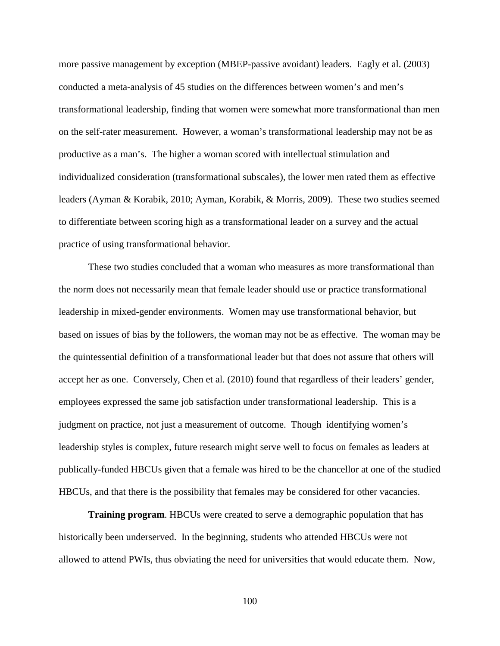more passive management by exception (MBEP-passive avoidant) leaders. Eagly et al. (2003) conducted a meta-analysis of 45 studies on the differences between women's and men's transformational leadership, finding that women were somewhat more transformational than men on the self-rater measurement. However, a woman's transformational leadership may not be as productive as a man's. The higher a woman scored with intellectual stimulation and individualized consideration (transformational subscales), the lower men rated them as effective leaders (Ayman & Korabik, 2010; Ayman, Korabik, & Morris, 2009). These two studies seemed to differentiate between scoring high as a transformational leader on a survey and the actual practice of using transformational behavior.

These two studies concluded that a woman who measures as more transformational than the norm does not necessarily mean that female leader should use or practice transformational leadership in mixed-gender environments. Women may use transformational behavior, but based on issues of bias by the followers, the woman may not be as effective. The woman may be the quintessential definition of a transformational leader but that does not assure that others will accept her as one. Conversely, Chen et al. (2010) found that regardless of their leaders' gender, employees expressed the same job satisfaction under transformational leadership. This is a judgment on practice, not just a measurement of outcome. Though identifying women's leadership styles is complex, future research might serve well to focus on females as leaders at publically-funded HBCUs given that a female was hired to be the chancellor at one of the studied HBCUs, and that there is the possibility that females may be considered for other vacancies.

**Training program.** HBCUs were created to serve a demographic population that has historically been underserved. In the beginning, students who attended HBCUs were not allowed to attend PWIs, thus obviating the need for universities that would educate them. Now,

100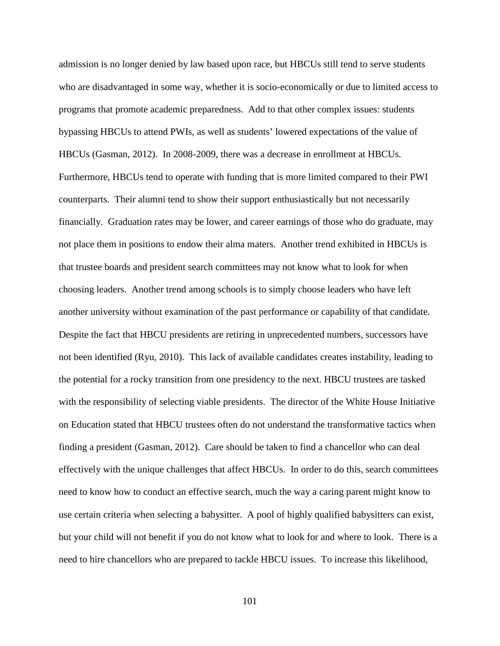admission is no longer denied by law based upon race, but HBCUs still tend to serve students who are disadvantaged in some way, whether it is socio-economically or due to limited access to programs that promote academic preparedness. Add to that other complex issues: students bypassing HBCUs to attend PWIs, as well as students' lowered expectations of the value of HBCUs (Gasman, 2012). In 2008-2009, there was a decrease in enrollment at HBCUs. Furthermore, HBCUs tend to operate with funding that is more limited compared to their PWI counterparts. Their alumni tend to show their support enthusiastically but not necessarily financially. Graduation rates may be lower, and career earnings of those who do graduate, may not place them in positions to endow their alma maters. Another trend exhibited in HBCUs is that trustee boards and president search committees may not know what to look for when choosing leaders. Another trend among schools is to simply choose leaders who have left another university without examination of the past performance or capability of that candidate. Despite the fact that HBCU presidents are retiring in unprecedented numbers, successors have not been identified (Ryu, 2010). This lack of available candidates creates instability, leading to the potential for a rocky transition from one presidency to the next. HBCU trustees are tasked with the responsibility of selecting viable presidents. The director of the White House Initiative on Education stated that HBCU trustees often do not understand the transformative tactics when finding a president (Gasman, 2012). Care should be taken to find a chancellor who can deal effectively with the unique challenges that affect HBCUs. In order to do this, search committees need to know how to conduct an effective search, much the way a caring parent might know to use certain criteria when selecting a babysitter. A pool of highly qualified babysitters can exist, but your child will not benefit if you do not know what to look for and where to look. There is a need to hire chancellors who are prepared to tackle HBCU issues. To increase this likelihood,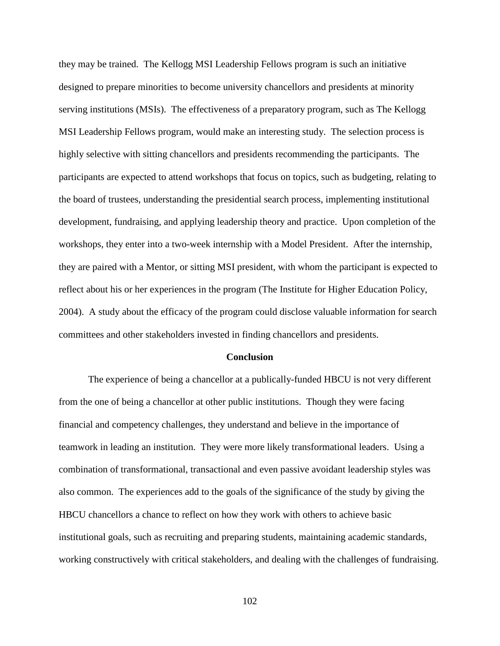they may be trained. The Kellogg MSI Leadership Fellows program is such an initiative designed to prepare minorities to become university chancellors and presidents at minority serving institutions (MSIs). The effectiveness of a preparatory program, such as The Kellogg MSI Leadership Fellows program, would make an interesting study. The selection process is highly selective with sitting chancellors and presidents recommending the participants. The participants are expected to attend workshops that focus on topics, such as budgeting, relating to the board of trustees, understanding the presidential search process, implementing institutional development, fundraising, and applying leadership theory and practice. Upon completion of the workshops, they enter into a two-week internship with a Model President. After the internship, they are paired with a Mentor, or sitting MSI president, with whom the participant is expected to reflect about his or her experiences in the program (The Institute for Higher Education Policy, 2004). A study about the efficacy of the program could disclose valuable information for search committees and other stakeholders invested in finding chancellors and presidents.

#### **Conclusion**

The experience of being a chancellor at a publically-funded HBCU is not very different from the one of being a chancellor at other public institutions. Though they were facing financial and competency challenges, they understand and believe in the importance of teamwork in leading an institution. They were more likely transformational leaders. Using a combination of transformational, transactional and even passive avoidant leadership styles was also common. The experiences add to the goals of the significance of the study by giving the HBCU chancellors a chance to reflect on how they work with others to achieve basic institutional goals, such as recruiting and preparing students, maintaining academic standards, working constructively with critical stakeholders, and dealing with the challenges of fundraising.

102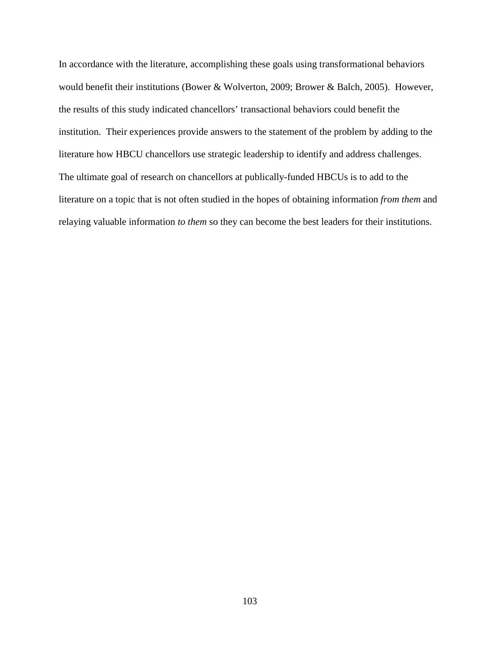In accordance with the literature, accomplishing these goals using transformational behaviors would benefit their institutions (Bower & Wolverton, 2009; Brower & Balch, 2005). However, the results of this study indicated chancellors' transactional behaviors could benefit the institution. Their experiences provide answers to the statement of the problem by adding to the literature how HBCU chancellors use strategic leadership to identify and address challenges. The ultimate goal of research on chancellors at publically-funded HBCUs is to add to the literature on a topic that is not often studied in the hopes of obtaining information *from them* and relaying valuable information *to them* so they can become the best leaders for their institutions.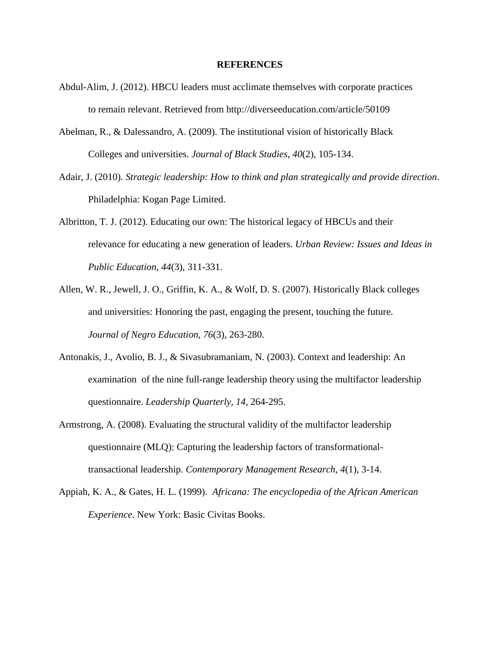#### **REFERENCES**

- Abdul-Alim, J. (2012). HBCU leaders must acclimate themselves with corporate practices to remain relevant. Retrieved from http://diverseeducation.com/article/50109
- Abelman, R., & Dalessandro, A. (2009). The institutional vision of historically Black Colleges and universities. *Journal of Black Studies*, *40*(2), 105-134.
- Adair, J. (2010). *Strategic leadership: How to think and plan strategically and provide direction*. Philadelphia: Kogan Page Limited.
- Albritton, T. J. (2012). Educating our own: The historical legacy of HBCUs and their relevance for educating a new generation of leaders. *Urban Review: Issues and Ideas in Public Education*, *44*(3), 311-331.
- Allen, W. R., Jewell, J. O., Griffin, K. A., & Wolf, D. S. (2007). Historically Black colleges and universities: Honoring the past, engaging the present, touching the future. *Journal of Negro Education*, *76*(3), 263-280.
- Antonakis, J., Avolio, B. J., & Sivasubramaniam, N. (2003). Context and leadership: An examination of the nine full-range leadership theory using the multifactor leadership questionnaire. *Leadership Quarterly, 14*, 264-295.
- Armstrong, A. (2008). Evaluating the structural validity of the multifactor leadership questionnaire (MLQ): Capturing the leadership factors of transformationaltransactional leadership. *Contemporary Management Research*, *4*(1), 3-14.
- Appiah, K. A., & Gates, H. L. (1999). *Africana: The encyclopedia of the African American Experience*. New York: Basic Civitas Books.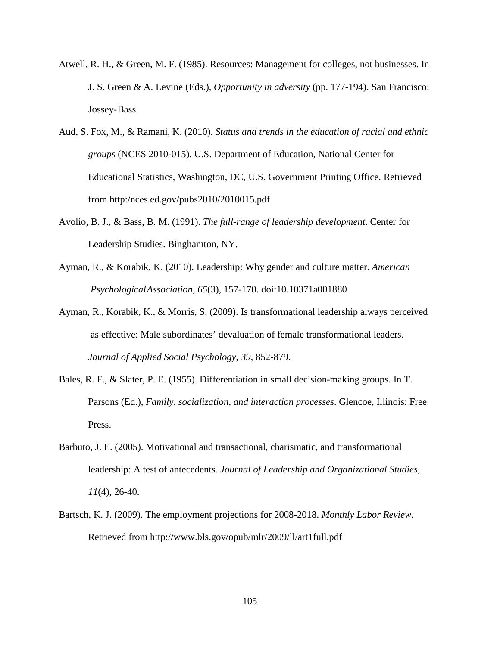- Atwell, R. H., & Green, M. F. (1985). Resources: Management for colleges, not businesses. In J. S. Green & A. Levine (Eds.), *Opportunity in adversity* (pp. 177-194). San Francisco: Jossey-Bass.
- Aud, S. Fox, M., & Ramani, K. (2010). *Status and trends in the education of racial and ethnic groups* (NCES 2010-015). U.S. Department of Education, National Center for Educational Statistics, Washington, DC, U.S. Government Printing Office. Retrieved from http:/nces.ed.gov/pubs2010/2010015.pdf
- Avolio, B. J., & Bass, B. M. (1991). *The full-range of leadership development*. Center for Leadership Studies. Binghamton, NY.
- Ayman, R., & Korabik, K. (2010). Leadership: Why gender and culture matter. *American PsychologicalAssociation*, *65*(3), 157-170. doi:10.10371a001880
- Ayman, R., Korabik, K., & Morris, S. (2009). Is transformational leadership always perceived as effective: Male subordinates' devaluation of female transformational leaders. *Journal of Applied Social Psychology*, *39*, 852-879.
- Bales, R. F., & Slater, P. E. (1955). Differentiation in small decision-making groups. In T. Parsons (Ed.), *Family, socialization, and interaction processes*. Glencoe, Illinois: Free Press.
- Barbuto, J. E. (2005). Motivational and transactional, charismatic, and transformational leadership: A test of antecedents*. Journal of Leadership and Organizational Studies, 11*(4), 26-40.
- Bartsch, K. J. (2009). The employment projections for 2008-2018. *Monthly Labor Review*. Retrieved from http://www.bls.gov/opub/mlr/2009/ll/art1full.pdf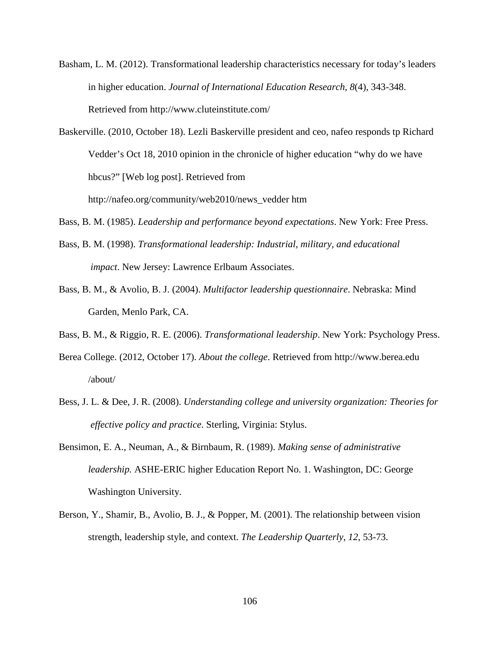Basham, L. M. (2012). Transformational leadership characteristics necessary for today's leaders in higher education. *Journal of International Education Research*, *8*(4), 343-348. Retrieved from http://www.cluteinstitute.com/

Baskerville. (2010, October 18). Lezli Baskerville president and ceo, nafeo responds tp Richard Vedder's Oct 18, 2010 opinion in the chronicle of higher education "why do we have hbcus?" [Web log post]. Retrieved from

http://nafeo.org/community/web2010/news\_vedder htm

- Bass, B. M. (1985). *Leadership and performance beyond expectations*. New York: Free Press.
- Bass, B. M. (1998). *Transformational leadership: Industrial, military, and educational impact*. New Jersey: Lawrence Erlbaum Associates.
- Bass, B. M., & Avolio, B. J. (2004). *Multifactor leadership questionnaire*. Nebraska: Mind Garden, Menlo Park, CA.
- Bass, B. M., & Riggio, R. E. (2006). *Transformational leadership*. New York: Psychology Press.
- Berea College. (2012, October 17). *About the college*. Retrieved from http://www.berea.edu /about/
- Bess, J. L. & Dee, J. R. (2008). *Understanding college and university organization: Theories for effective policy and practice*. Sterling, Virginia: Stylus.
- Bensimon, E. A., Neuman, A., & Birnbaum, R. (1989). *Making sense of administrative leadership.* ASHE-ERIC higher Education Report No. 1. Washington, DC: George Washington University.
- Berson, Y., Shamir, B., Avolio, B. J., & Popper, M. (2001). The relationship between vision strength, leadership style, and context. *The Leadership Quarterly*, *12*, 53-73.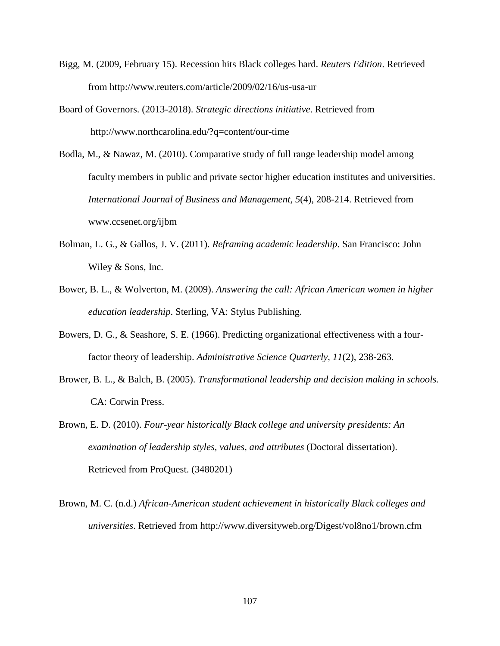- Bigg, M. (2009, February 15). Recession hits Black colleges hard. *Reuters Edition*. Retrieved from http://www.reuters.com/article/2009/02/16/us-usa-ur
- Board of Governors. (2013-2018). *Strategic directions initiative*. Retrieved from http://www.northcarolina.edu/?q=content/our-time
- Bodla, M., & Nawaz, M. (2010). Comparative study of full range leadership model among faculty members in public and private sector higher education institutes and universities. *International Journal of Business and Management, 5*(4), 208-214. Retrieved from www.ccsenet.org/ijbm
- Bolman, L. G., & Gallos, J. V. (2011). *Reframing academic leadership*. San Francisco: John Wiley & Sons, Inc.
- Bower, B. L., & Wolverton, M. (2009). *Answering the call: African American women in higher education leadership*. Sterling, VA: Stylus Publishing.
- Bowers, D. G., & Seashore, S. E. (1966). Predicting organizational effectiveness with a fourfactor theory of leadership. *Administrative Science Quarterly*, *11*(2), 238-263.
- Brower, B. L., & Balch, B. (2005). *Transformational leadership and decision making in schools.* CA: Corwin Press.
- Brown, E. D. (2010). *Four-year historically Black college and university presidents: An examination of leadership styles, values, and attributes* (Doctoral dissertation). Retrieved from ProQuest. (3480201)
- Brown, M. C. (n.d.) *African-American student achievement in historically Black colleges and universities*. Retrieved from http://www.diversityweb.org/Digest/vol8no1/brown.cfm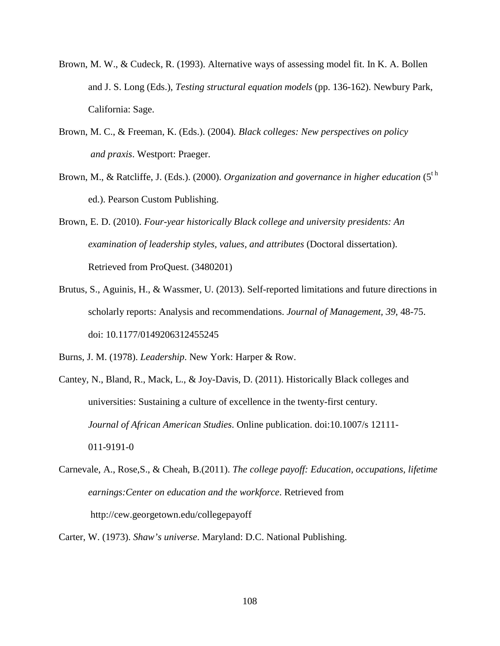- Brown, M. W., & Cudeck, R. (1993). Alternative ways of assessing model fit. In K. A. Bollen and J. S. Long (Eds.), *Testing structural equation models* (pp. 136-162). Newbury Park, California: Sage.
- Brown, M. C., & Freeman, K. (Eds.). (2004)*. Black colleges: New perspectives on policy and praxis*. Westport: Praeger.
- Brown, M., & Ratcliffe, J. (Eds.). (2000). *Organization and governance in higher education* (5<sup>th</sup> ed.). Pearson Custom Publishing.

Brown, E. D. (2010). *Four-year historically Black college and university presidents: An examination of leadership styles, values, and attributes* (Doctoral dissertation). Retrieved from ProQuest. (3480201)

- Brutus, S., Aguinis, H., & Wassmer, U. (2013). Self-reported limitations and future directions in scholarly reports: Analysis and recommendations. *Journal of Management, 39*, 48-75. doi: 10.1177/0149206312455245
- Burns, J. M. (1978). *Leadership*. New York: Harper & Row.

Cantey, N., Bland, R., Mack, L., & Joy-Davis, D. (2011). Historically Black colleges and universities: Sustaining a culture of excellence in the twenty-first century. *Journal of African American Studies*. Online publication. doi:10.1007/s 12111- 011-9191-0

- Carnevale, A., Rose,S., & Cheah, B.(2011). *The college payoff: Education, occupations, lifetime earnings:Center on education and the workforce*. Retrieved from http://cew.georgetown.edu/collegepayoff
- Carter, W. (1973). *Shaw's universe*. Maryland: D.C. National Publishing.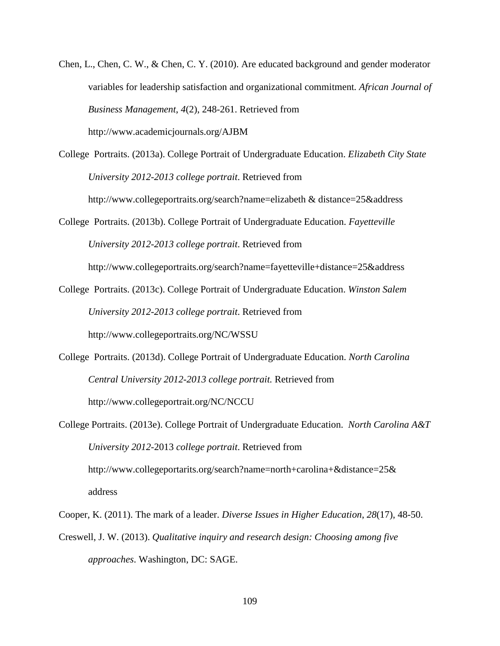Chen, L., Chen, C. W., & Chen, C. Y. (2010). Are educated background and gender moderator variables for leadership satisfaction and organizational commitment*. African Journal of Business Management*, *4*(2), 248-261. Retrieved from http://www.academicjournals.org/AJBM

College Portraits. (2013a). College Portrait of Undergraduate Education. *Elizabeth City State University 2012-2013 college portrait*. Retrieved from

http://www.collegeportraits.org/search?name=elizabeth & distance=25&address

College Portraits. (2013b). College Portrait of Undergraduate Education. *Fayetteville University 2012-2013 college portrait*. Retrieved from

http://www.collegeportraits.org/search?name=fayetteville+distance=25&address

College Portraits. (2013c). College Portrait of Undergraduate Education. *Winston Salem University 2012-2013 college portrait*. Retrieved from

http://www.collegeportraits.org/NC/WSSU

College Portraits. (2013d). College Portrait of Undergraduate Education. *North Carolina Central University 2012-2013 college portrait.* Retrieved from http://www.collegeportrait.org/NC/NCCU

College Portraits. (2013e). College Portrait of Undergraduate Education. *North Carolina A&T University 2012*-2013 *college portrait*. Retrieved from http://www.collegeportarits.org/search?name=north+carolina+&distance=25& address

Cooper, K. (2011). The mark of a leader. *Diverse Issues in Higher Education*, *28*(17), 48-50.

Creswell, J. W. (2013). *Qualitative inquiry and research design: Choosing among five approaches*. Washington, DC: SAGE.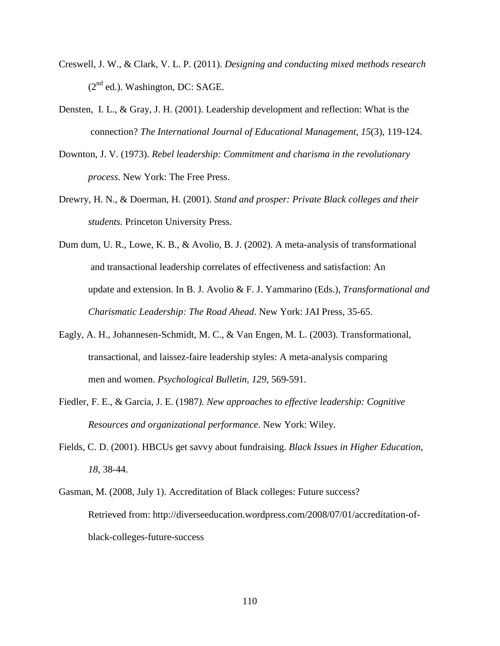- Creswell, J. W., & Clark, V. L. P. (2011). *Designing and conducting mixed methods research*  $(2<sup>nd</sup>$  ed.). Washington, DC: SAGE.
- Densten, I. L., & Gray, J. H. (2001). Leadership development and reflection: What is the connection? *The International Journal of Educational Management, 15*(3), 119-124.
- Downton, J. V. (1973). *Rebel leadership: Commitment and charisma in the revolutionary process*. New York: The Free Press.
- Drewry, H. N., & Doerman, H. (2001). *Stand and prosper: Private Black colleges and their students.* Princeton University Press.
- Dum dum, U. R., Lowe, K. B., & Avolio, B. J. (2002). A meta-analysis of transformational and transactional leadership correlates of effectiveness and satisfaction: An update and extension. In B. J. Avolio & F. J. Yammarino (Eds.), *Transformational and Charismatic Leadership: The Road Ahead*. New York: JAI Press, 35-65.
- Eagly, A. H., Johannesen-Schmidt, M. C., & Van Engen, M. L. (2003). Transformational, transactional, and laissez-faire leadership styles: A meta-analysis comparing men and women. *Psychological Bulletin*, *129*, 569-591.
- Fiedler, F. E., & Garcia, J. E. (1987*). New approaches to effective leadership: Cognitive Resources and organizational performance*. New York: Wiley.
- Fields, C. D. (2001). HBCUs get savvy about fundraising. *Black Issues in Higher Education*, *18*, 38-44.
- Gasman, M. (2008, July 1). Accreditation of Black colleges: Future success? Retrieved from: http://diverseeducation.wordpress.com/2008/07/01/accreditation-ofblack-colleges-future-success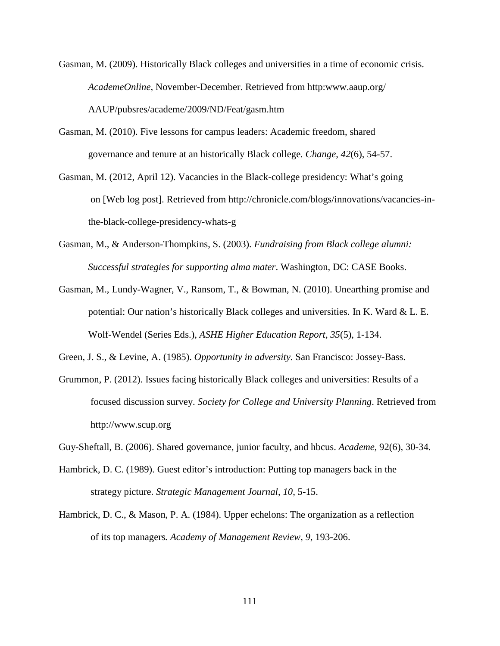- Gasman, M. (2009). Historically Black colleges and universities in a time of economic crisis. *AcademeOnline*, November-December. Retrieved from http:www.aaup.org/ AAUP/pubsres/academe/2009/ND/Feat/gasm.htm
- Gasman, M. (2010). Five lessons for campus leaders: Academic freedom, shared governance and tenure at an historically Black college*. Change*, *42*(6), 54-57.
- Gasman, M. (2012, April 12). Vacancies in the Black-college presidency: What's going on [Web log post]. Retrieved from http://chronicle.com/blogs/innovations/vacancies-inthe-black-college-presidency-whats-g
- Gasman, M., & Anderson-Thompkins, S. (2003). *Fundraising from Black college alumni: Successful strategies for supporting alma mater*. Washington, DC: CASE Books.
- Gasman, M., Lundy-Wagner, V., Ransom, T., & Bowman, N. (2010). Unearthing promise and potential: Our nation's historically Black colleges and universities. In K. Ward & L. E. Wolf-Wendel (Series Eds.), *ASHE Higher Education Report*, *35*(5), 1-134.
- Green, J. S., & Levine, A. (1985). *Opportunity in adversity.* San Francisco: Jossey-Bass.
- Grummon, P. (2012). Issues facing historically Black colleges and universities: Results of a focused discussion survey. *Society for College and University Planning*. Retrieved from http://www.scup.org
- Guy-Sheftall, B. (2006). Shared governance, junior faculty, and hbcus. *Academe*, 92(6), 30-34.
- Hambrick, D. C. (1989). Guest editor's introduction: Putting top managers back in the strategy picture. *Strategic Management Journal*, *10*, 5-15.
- Hambrick, D. C., & Mason, P. A. (1984). Upper echelons: The organization as a reflection of its top managers*. Academy of Management Review*, *9*, 193-206.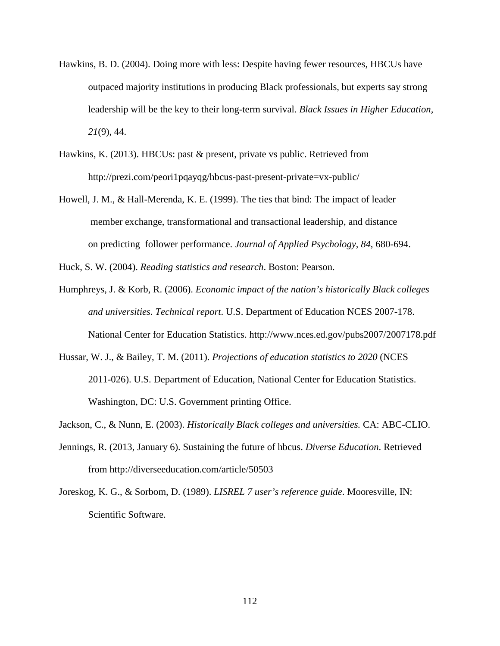- Hawkins, B. D. (2004). Doing more with less: Despite having fewer resources, HBCUs have outpaced majority institutions in producing Black professionals, but experts say strong leadership will be the key to their long-term survival. *Black Issues in Higher Education, 21*(9), 44.
- Hawkins, K. (2013). HBCUs: past  $\&$  present, private vs public. Retrieved from http://prezi.com/peori1pqayqg/hbcus-past-present-private=vx-public/
- Howell, J. M., & Hall-Merenda, K. E. (1999). The ties that bind: The impact of leader member exchange, transformational and transactional leadership, and distance on predicting follower performance. *Journal of Applied Psychology*, *84*, 680-694.
- Huck, S. W. (2004). *Reading statistics and research*. Boston: Pearson.
- Humphreys, J. & Korb, R. (2006). *Economic impact of the nation's historically Black colleges and universities. Technical report*. U.S. Department of Education NCES 2007-178. National Center for Education Statistics. http://www.nces.ed.gov/pubs2007/2007178.pdf
- Hussar, W. J., & Bailey, T. M. (2011). *Projections of education statistics to 2020* (NCES 2011-026). U.S. Department of Education, National Center for Education Statistics. Washington, DC: U.S. Government printing Office.
- Jackson, C., & Nunn, E. (2003). *Historically Black colleges and universities.* CA: ABC-CLIO.
- Jennings, R. (2013, January 6). Sustaining the future of hbcus. *Diverse Education*. Retrieved from http://diverseeducation.com/article/50503
- Joreskog, K. G., & Sorbom, D. (1989). *LISREL 7 user's reference guide*. Mooresville, IN: Scientific Software.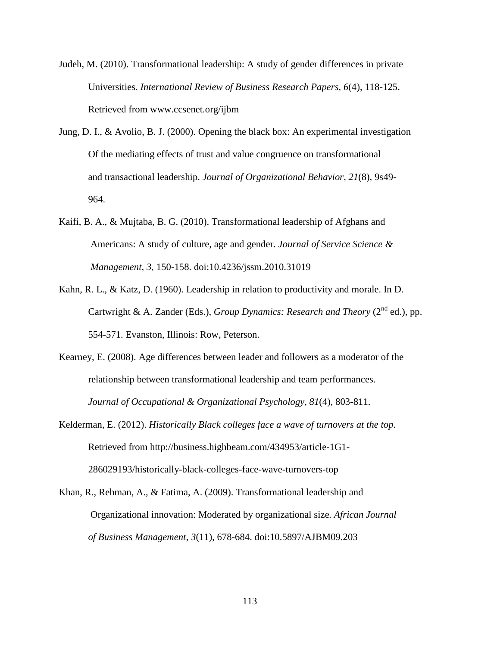Judeh, M. (2010). Transformational leadership: A study of gender differences in private Universities. *International Review of Business Research Papers*, *6*(4), 118-125. Retrieved from www.ccsenet.org/ijbm

- Jung, D. I., & Avolio, B. J. (2000). Opening the black box: An experimental investigation Of the mediating effects of trust and value congruence on transformational and transactional leadership. *Journal of Organizational Behavior*, *21*(8), 9s49- 964.
- Kaifi, B. A., & Mujtaba, B. G. (2010). Transformational leadership of Afghans and Americans: A study of culture, age and gender. *Journal of Service Science & Management*, *3*, 150-158. doi:10.4236/jssm.2010.31019
- Kahn, R. L., & Katz, D. (1960). Leadership in relation to productivity and morale. In D. Cartwright & A. Zander (Eds.), *Group Dynamics: Research and Theory* (2<sup>nd</sup> ed.), pp. 554-571. Evanston, Illinois: Row, Peterson.
- Kearney, E. (2008). Age differences between leader and followers as a moderator of the relationship between transformational leadership and team performances. *Journal of Occupational & Organizational Psychology*, *81*(4), 803-811.
- Kelderman, E. (2012). *Historically Black colleges face a wave of turnovers at the top*. Retrieved from http://business.highbeam.com/434953/article-1G1- 286029193/historically-black-colleges-face-wave-turnovers-top
- Khan, R., Rehman, A., & Fatima, A. (2009). Transformational leadership and Organizational innovation: Moderated by organizational size*. African Journal of Business Management*, *3*(11), 678-684. doi:10.5897/AJBM09.203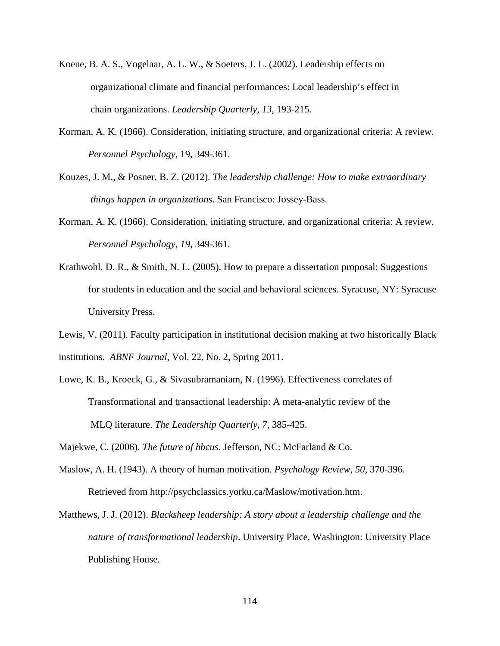- Koene, B. A. S., Vogelaar, A. L. W., & Soeters, J. L. (2002). Leadership effects on organizational climate and financial performances: Local leadership's effect in chain organizations. *Leadership Quarterly, 13*, 193-215.
- Korman, A. K. (1966). Consideration, initiating structure, and organizational criteria: A review. *Personnel Psychology*, 19, 349-361.
- Kouzes, J. M., & Posner, B. Z. (2012). *The leadership challenge: How to make extraordinary things happen in organizations*. San Francisco: Jossey-Bass.
- Korman, A. K. (1966). Consideration, initiating structure, and organizational criteria: A review. *Personnel Psychology*, *19*, 349-361.
- Krathwohl, D. R., & Smith, N. L. (2005). How to prepare a dissertation proposal: Suggestions for students in education and the social and behavioral sciences. Syracuse, NY: Syracuse University Press.
- Lewis, V. (2011). Faculty participation in institutional decision making at two historically Black institutions. *ABNF Journal*, Vol. 22, No. 2, Spring 2011.
- Lowe, K. B., Kroeck, G., & Sivasubramaniam, N. (1996). Effectiveness correlates of Transformational and transactional leadership: A meta-analytic review of the MLQ literature. *The Leadership Quarterly, 7,* 385-425.

Majekwe, C. (2006). *The future of hbcus.* Jefferson, NC: McFarland & Co.

- Maslow, A. H. (1943). A theory of human motivation. *Psychology Review*, *50*, 370-396. Retrieved from http://psychclassics.yorku.ca/Maslow/motivation.htm.
- Matthews, J. J. (2012). *Blacksheep leadership: A story about a leadership challenge and the nature of transformational leadership*. University Place, Washington: University Place Publishing House.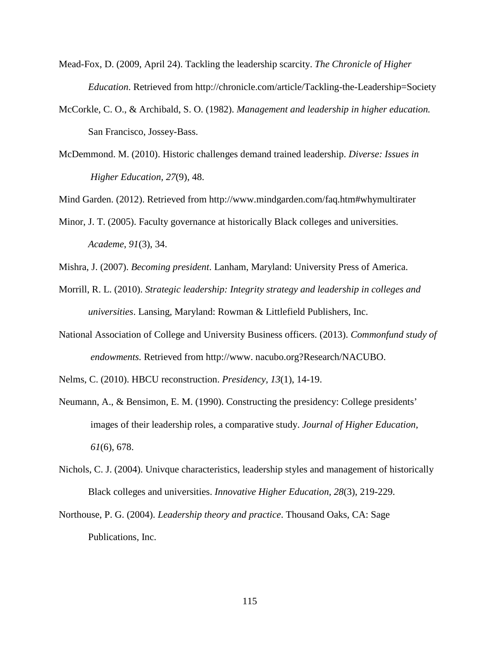- Mead-Fox, D. (2009, April 24). Tackling the leadership scarcity. *The Chronicle of Higher Education*. Retrieved from http://chronicle.com/article/Tackling-the-Leadership=Society
- McCorkle, C. O., & Archibald, S. O. (1982). *Management and leadership in higher education.*  San Francisco, Jossey-Bass.
- McDemmond. M. (2010). Historic challenges demand trained leadership. *Diverse: Issues in Higher Education, 27*(9), 48.

Mind Garden. (2012). Retrieved from http://www.mindgarden.com/faq.htm#whymultirater

- Minor, J. T. (2005). Faculty governance at historically Black colleges and universities. *Academe*, *91*(3), 34.
- Mishra, J. (2007). *Becoming president*. Lanham, Maryland: University Press of America.
- Morrill, R. L. (2010). *Strategic leadership: Integrity strategy and leadership in colleges and universities*. Lansing, Maryland: Rowman & Littlefield Publishers, Inc.
- National Association of College and University Business officers. (2013). *Commonfund study of endowments.* Retrieved from http://www. nacubo.org?Research/NACUBO.
- Nelms, C. (2010). HBCU reconstruction. *Presidency, 13*(1), 14-19.
- Neumann, A., & Bensimon, E. M. (1990). Constructing the presidency: College presidents' images of their leadership roles, a comparative study. *Journal of Higher Education, 61*(6), 678.
- Nichols, C. J. (2004). Univque characteristics, leadership styles and management of historically Black colleges and universities. *Innovative Higher Education, 28*(3), 219-229.
- Northouse, P. G. (2004). *Leadership theory and practice*. Thousand Oaks, CA: Sage Publications, Inc.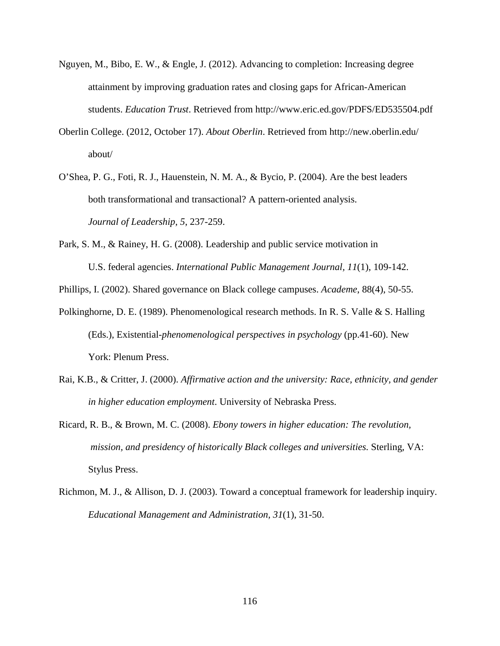- Nguyen, M., Bibo, E. W., & Engle, J. (2012). Advancing to completion: Increasing degree attainment by improving graduation rates and closing gaps for African-American students. *Education Trust*. Retrieved from http://www.eric.ed.gov/PDFS/ED535504.pdf
- Oberlin College. (2012, October 17). *About Oberlin*. Retrieved from http://new.oberlin.edu/ about/
- O'Shea, P. G., Foti, R. J., Hauenstein, N. M. A., & Bycio, P. (2004). Are the best leaders both transformational and transactional? A pattern-oriented analysis. *Journal of Leadership*, *5*, 237-259.
- Park, S. M., & Rainey, H. G. (2008). Leadership and public service motivation in U.S. federal agencies. *International Public Management Journal, 11*(1), 109-142.

Phillips, I. (2002). Shared governance on Black college campuses. *Academe*, 88(4), 50-55.

- Polkinghorne, D. E. (1989). Phenomenological research methods. In R. S. Valle & S. Halling (Eds.), Existential*-phenomenological perspectives in psychology* (pp.41-60). New York: Plenum Press.
- Rai, K.B., & Critter, J. (2000). *Affirmative action and the university: Race, ethnicity, and gender in higher education employment*. University of Nebraska Press.
- Ricard, R. B., & Brown, M. C. (2008). *Ebony towers in higher education: The revolution, mission, and presidency of historically Black colleges and universities.* Sterling, VA: Stylus Press.
- Richmon, M. J., & Allison, D. J. (2003). Toward a conceptual framework for leadership inquiry. *Educational Management and Administration, 31*(1), 31-50.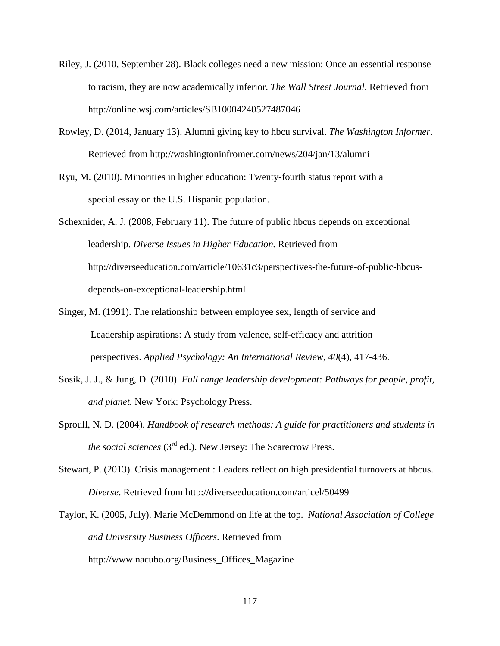- Riley, J. (2010, September 28). Black colleges need a new mission: Once an essential response to racism, they are now academically inferior. *The Wall Street Journal*. Retrieved from http://online.wsj.com/articles/SB10004240527487046
- Rowley, D. (2014, January 13). Alumni giving key to hbcu survival. *The Washington Informer*. Retrieved from http://washingtoninfromer.com/news/204/jan/13/alumni
- Ryu, M. (2010). Minorities in higher education: Twenty-fourth status report with a special essay on the U.S. Hispanic population.

Schexnider, A. J. (2008, February 11). The future of public hbcus depends on exceptional leadership. *Diverse Issues in Higher Education.* Retrieved from http://diverseeducation.com/article/10631c3/perspectives-the-future-of-public-hbcusdepends-on-exceptional-leadership.html

- Singer, M. (1991). The relationship between employee sex, length of service and Leadership aspirations: A study from valence, self-efficacy and attrition perspectives. *Applied Psychology: An International Review*, *40*(4), 417-436.
- Sosik, J. J., & Jung, D. (2010). *Full range leadership development: Pathways for people, profit, and planet.* New York: Psychology Press.
- Sproull, N. D. (2004). *Handbook of research methods: A guide for practitioners and students in the social sciences* (3rd ed.). New Jersey: The Scarecrow Press.
- Stewart, P. (2013). Crisis management : Leaders reflect on high presidential turnovers at hbcus. *Diverse*. Retrieved from http://diverseeducation.com/articel/50499
- Taylor, K. (2005, July). Marie McDemmond on life at the top. *National Association of College and University Business Officers*. Retrieved from http://www.nacubo.org/Business\_Offices\_Magazine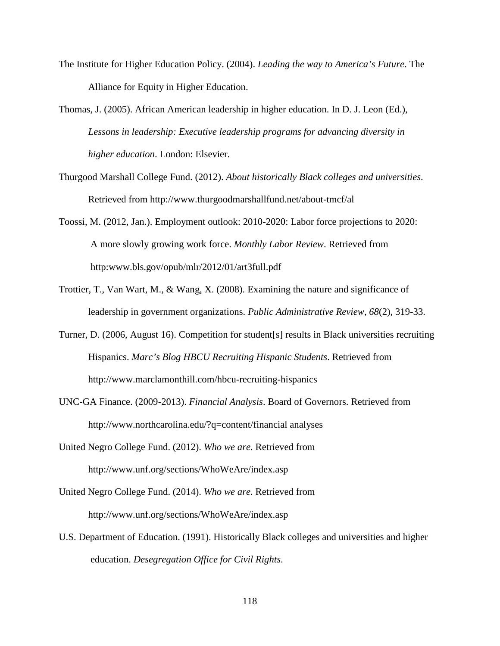- The Institute for Higher Education Policy. (2004). *Leading the way to America's Future*. The Alliance for Equity in Higher Education.
- Thomas, J. (2005). African American leadership in higher education. In D. J. Leon (Ed.), *Lessons in leadership: Executive leadership programs for advancing diversity in higher education*. London: Elsevier.
- Thurgood Marshall College Fund. (2012). *About historically Black colleges and universities*. Retrieved from http://www.thurgoodmarshallfund.net/about-tmcf/al
- Toossi, M. (2012, Jan.). Employment outlook: 2010-2020: Labor force projections to 2020: A more slowly growing work force. *Monthly Labor Review*. Retrieved from http:www.bls.gov/opub/mlr/2012/01/art3full.pdf
- Trottier, T., Van Wart, M., & Wang, X. (2008). Examining the nature and significance of leadership in government organizations. *Public Administrative Review*, *68*(2), 319-33.
- Turner, D. (2006, August 16). Competition for student[s] results in Black universities recruiting Hispanics. *Marc's Blog HBCU Recruiting Hispanic Students*. Retrieved from http://www.marclamonthill.com/hbcu-recruiting-hispanics
- UNC-GA Finance. (2009-2013). *Financial Analysis*. Board of Governors. Retrieved from http://www.northcarolina.edu/?q=content/financial analyses
- United Negro College Fund. (2012). *Who we are*. Retrieved from http://www.unf.org/sections/WhoWeAre/index.asp
- United Negro College Fund. (2014). *Who we are*. Retrieved from http://www.unf.org/sections/WhoWeAre/index.asp
- U.S. Department of Education. (1991). Historically Black colleges and universities and higher education. *Desegregation Office for Civil Rights*.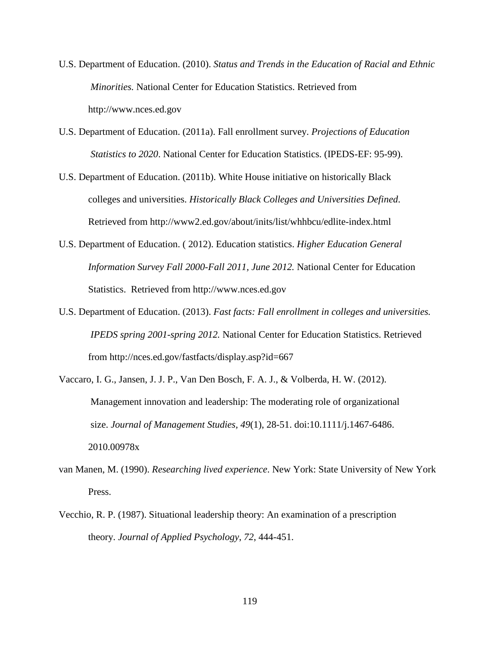- U.S. Department of Education. (2010). *Status and Trends in the Education of Racial and Ethnic Minorities.* National Center for Education Statistics. Retrieved from http://www.nces.ed.gov
- U.S. Department of Education. (2011a). Fall enrollment survey. *Projections of Education Statistics to 2020*. National Center for Education Statistics. (IPEDS-EF: 95-99).
- U.S. Department of Education. (2011b). White House initiative on historically Black colleges and universities. *Historically Black Colleges and Universities Defined*. Retrieved from http://www2.ed.gov/about/inits/list/whhbcu/edlite-index.html
- U.S. Department of Education. ( 2012). Education statistics. *Higher Education General Information Survey Fall 2000-Fall 2011, June 2012.* National Center for Education Statistics. Retrieved from http://www.nces.ed.gov
- U.S. Department of Education. (2013). *Fast facts: Fall enrollment in colleges and universities. IPEDS spring 2001-spring 2012.* National Center for Education Statistics. Retrieved from http://nces.ed.gov/fastfacts/display.asp?id=667
- Vaccaro, I. G., Jansen, J. J. P., Van Den Bosch, F. A. J., & Volberda, H. W. (2012). Management innovation and leadership: The moderating role of organizational size. *Journal of Management Studies, 49*(1), 28-51. doi:10.1111/j.1467-6486. 2010.00978x
- van Manen, M. (1990). *Researching lived experience*. New York: State University of New York Press.
- Vecchio, R. P. (1987). Situational leadership theory: An examination of a prescription theory. *Journal of Applied Psychology*, *72*, 444-451.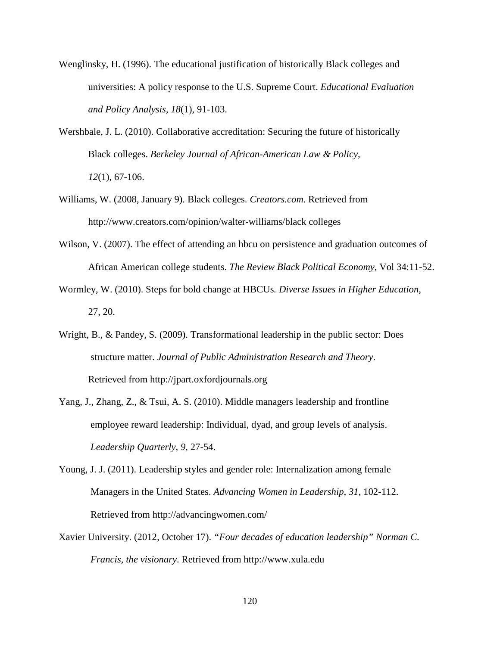- Wenglinsky, H. (1996). The educational justification of historically Black colleges and universities: A policy response to the U.S. Supreme Court. *Educational Evaluation and Policy Analysis*, *18*(1), 91-103.
- Wershbale, J. L. (2010). Collaborative accreditation: Securing the future of historically Black colleges. *Berkeley Journal of African-American Law & Policy, 12*(1), 67-106.
- Williams, W. (2008, January 9). Black colleges. *Creators.com*. Retrieved from http://www.creators.com/opinion/walter-williams/black colleges
- Wilson, V. (2007). The effect of attending an hbcu on persistence and graduation outcomes of African American college students. *The Review Black Political Economy*, Vol 34:11-52.
- Wormley, W. (2010). Steps for bold change at HBCUs*. Diverse Issues in Higher Education*, 27, 20.
- Wright, B., & Pandey, S. (2009). Transformational leadership in the public sector: Does structure matter. *Journal of Public Administration Research and Theory*. Retrieved from http://jpart.oxfordjournals.org
- Yang, J., Zhang, Z., & Tsui, A. S. (2010). Middle managers leadership and frontline employee reward leadership: Individual, dyad, and group levels of analysis. *Leadership Quarterly, 9*, 27-54.
- Young, J. J. (2011). Leadership styles and gender role: Internalization among female Managers in the United States. *Advancing Women in Leadership*, *31*, 102-112. Retrieved from http://advancingwomen.com/
- Xavier University. (2012, October 17). *"Four decades of education leadership" Norman C. Francis, the visionary*. Retrieved from http://www.xula.edu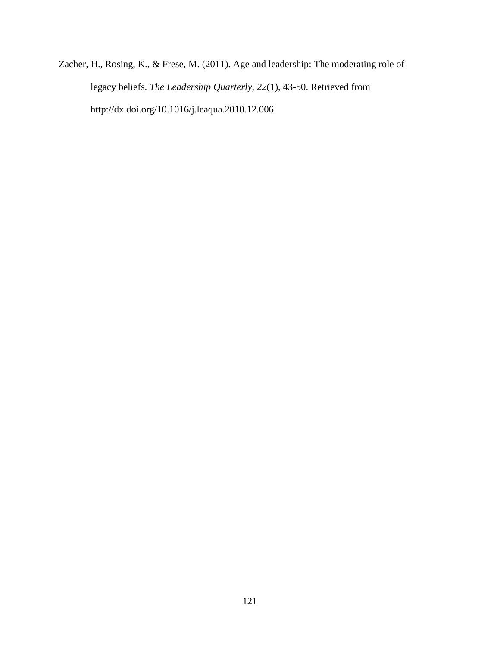Zacher, H., Rosing, K., & Frese, M. (2011). Age and leadership: The moderating role of legacy beliefs. *The Leadership Quarterly, 22*(1), 43-50. Retrieved from http://dx.doi.org/10.1016/j.leaqua.2010.12.006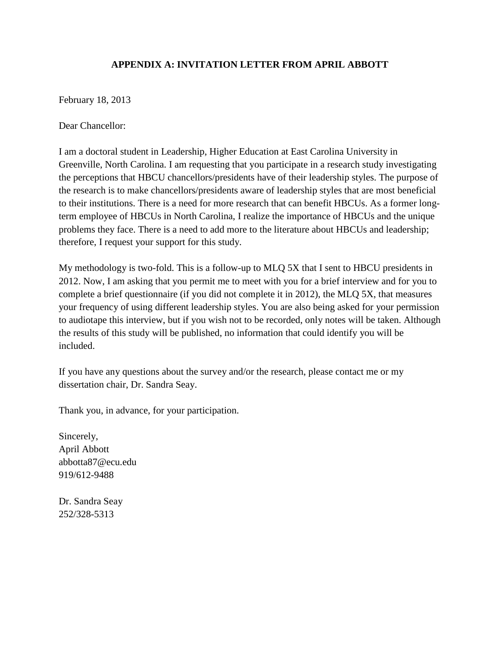## **APPENDIX A: INVITATION LETTER FROM APRIL ABBOTT**

February 18, 2013

Dear Chancellor:

I am a doctoral student in Leadership, Higher Education at East Carolina University in Greenville, North Carolina. I am requesting that you participate in a research study investigating the perceptions that HBCU chancellors/presidents have of their leadership styles. The purpose of the research is to make chancellors/presidents aware of leadership styles that are most beneficial to their institutions. There is a need for more research that can benefit HBCUs. As a former longterm employee of HBCUs in North Carolina, I realize the importance of HBCUs and the unique problems they face. There is a need to add more to the literature about HBCUs and leadership; therefore, I request your support for this study.

My methodology is two-fold. This is a follow-up to MLQ 5X that I sent to HBCU presidents in 2012. Now, I am asking that you permit me to meet with you for a brief interview and for you to complete a brief questionnaire (if you did not complete it in 2012), the MLQ 5X, that measures your frequency of using different leadership styles. You are also being asked for your permission to audiotape this interview, but if you wish not to be recorded, only notes will be taken. Although the results of this study will be published, no information that could identify you will be included.

If you have any questions about the survey and/or the research, please contact me or my dissertation chair, Dr. Sandra Seay.

Thank you, in advance, for your participation.

Sincerely, April Abbott abbotta87@ecu.edu 919/612-9488

Dr. Sandra Seay 252/328-5313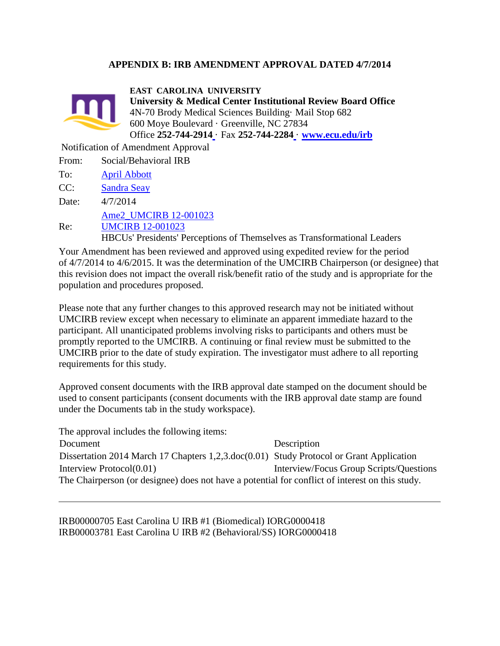### **APPENDIX B: IRB AMENDMENT APPROVAL DATED 4/7/2014**



**EAST CAROLINA UNIVERSITY**

**University & Medical Center Institutional Review Board Office** 4N-70 Brody Medical Sciences Building· Mail Stop 682 600 Moye Boulevard · Greenville, NC 27834 Office **252-744-291[4](http://epirate.ecu.edu/app/Doc/0/CV34BMKEC20KFFUTRB8IE8RDCA/fromString.html)** · Fax **252-744-228[4](http://epirate.ecu.edu/app/Doc/0/CV34BMKEC20KFFUTRB8IE8RDCA/fromString.html)** · **[www.ecu.edu/irb](http://www.ecu.edu/irb)**

Notification of Amendment Approval

| From: | Social/Behavioral IRB                                                           |
|-------|---------------------------------------------------------------------------------|
| To:   | <b>April Abbott</b>                                                             |
| CC:   | <b>Sandra Seay</b>                                                              |
| Date: | 4/7/2014                                                                        |
|       | Ame2_UMCIRB 12-001023                                                           |
| Re:   | <b>UMCIRB 12-001023</b>                                                         |
|       | <b>HBCUs'</b> Presidents' Perceptions of Themselves as Transformational Leaders |

Your Amendment has been reviewed and approved using expedited review for the period of 4/7/2014 to 4/6/2015. It was the determination of the UMCIRB Chairperson (or designee) that this revision does not impact the overall risk/benefit ratio of the study and is appropriate for the population and procedures proposed.

Please note that any further changes to this approved research may not be initiated without UMCIRB review except when necessary to eliminate an apparent immediate hazard to the participant. All unanticipated problems involving risks to participants and others must be promptly reported to the UMCIRB. A continuing or final review must be submitted to the UMCIRB prior to the date of study expiration. The investigator must adhere to all reporting requirements for this study.

Approved consent documents with the IRB approval date stamped on the document should be used to consent participants (consent documents with the IRB approval date stamp are found under the Documents tab in the study workspace).

The approval includes the following items: Document Description Dissertation 2014 March 17 Chapters 1,2,3.doc(0.01) Study Protocol or Grant Application Interview Protocol(0.01) Interview/Focus Group Scripts/Questions The Chairperson (or designee) does not have a potential for conflict of interest on this study.

IRB00000705 East Carolina U IRB #1 (Biomedical) IORG0000418 IRB00003781 East Carolina U IRB #2 (Behavioral/SS) IORG0000418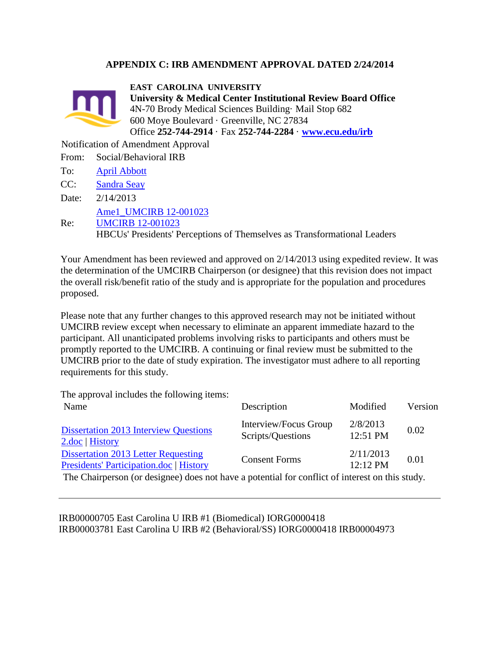### **APPENDIX C: IRB AMENDMENT APPROVAL DATED 2/24/2014**



**EAST CAROLINA UNIVERSITY**

**University & Medical Center Institutional Review Board Office** 4N-70 Brody Medical Sciences Building· Mail Stop 682 600 Moye Boulevard · Greenville, NC 27834 Office **252-744-2914** · Fax **252-744-2284** · **[www.ecu.edu/irb](http://www.ecu.edu/irb)**

Notification of Amendment Approval

- From: Social/Behavioral IRB
- To: [April Abbott](http://epirate.ecu.edu/app/Personalization/MyProfile?Person=com.webridge.account.Person%5BOID%5BAAF98670496895438C3F18AFF2C452BE%5D%5D)
- CC: [Sandra Seay](http://epirate.ecu.edu/app/Personalization/MyProfile?Person=com.webridge.account.Person%5BOID%5B93A9FE5B32E6AB4CBD3F9FA4EE98BBB8%5D%5D)
- Date: 2/14/2013

[Ame1\\_UMCIRB 12-001023](http://epirate.ecu.edu/app/Rooms/DisplayPages/LayoutInitial?Container=com.webridge.entity.Entity%5bOID%5b0CF4AA675DF3A54891ED84589E786261%5d%5d)

Re: [UMCIRB 12-001023](http://epirate.ecu.edu/app/Rooms/DisplayPages/LayoutInitial?Container=com.webridge.entity.Entity%5bOID%5bA89E412BA6F53B4E8EE7E676871BF691%5d%5d)

HBCUs' Presidents' Perceptions of Themselves as Transformational Leaders

Your Amendment has been reviewed and approved on 2/14/2013 using expedited review. It was the determination of the UMCIRB Chairperson (or designee) that this revision does not impact the overall risk/benefit ratio of the study and is appropriate for the population and procedures proposed.

Please note that any further changes to this approved research may not be initiated without UMCIRB review except when necessary to eliminate an apparent immediate hazard to the participant. All unanticipated problems involving risks to participants and others must be promptly reported to the UMCIRB. A continuing or final review must be submitted to the UMCIRB prior to the date of study expiration. The investigator must adhere to all reporting requirements for this study.

The approval includes the following items:

| Name                                                                                          | Description                                | Modified              | Version |
|-----------------------------------------------------------------------------------------------|--------------------------------------------|-----------------------|---------|
| <b>Dissertation 2013 Interview Questions</b><br>2.doc   History                               | Interview/Focus Group<br>Scripts/Questions | 2/8/2013<br>12:51 PM  | 0.02    |
| <b>Dissertation 2013 Letter Requesting</b><br>Presidents' Participation.doc   History         | <b>Consent Forms</b>                       | 2/11/2013<br>12:12 PM | 0.01    |
| The Chaimensen (on designed) does not have a notantial for souflist of interest on this study |                                            |                       |         |

The Chairperson (or designee) does not have a potential for conflict of interest on this study.

IRB00000705 East Carolina U IRB #1 (Biomedical) IORG0000418 IRB00003781 East Carolina U IRB #2 (Behavioral/SS) IORG0000418 IRB00004973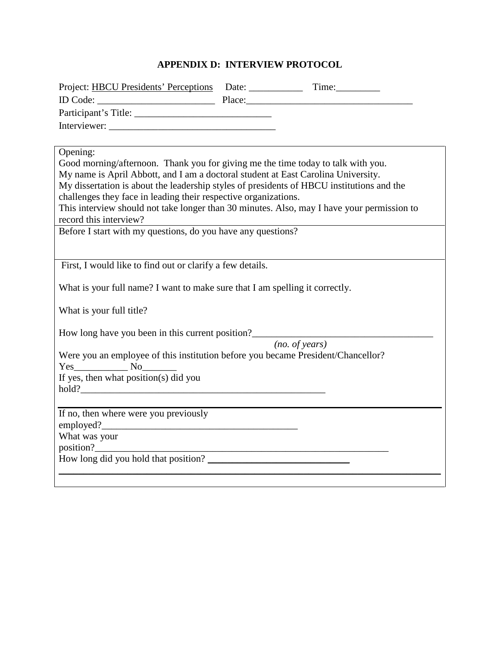# **APPENDIX D: INTERVIEW PROTOCOL**

| Opening:                                                                                                         |                |
|------------------------------------------------------------------------------------------------------------------|----------------|
| Good morning/afternoon. Thank you for giving me the time today to talk with you.                                 |                |
| My name is April Abbott, and I am a doctoral student at East Carolina University.                                |                |
| My dissertation is about the leadership styles of presidents of HBCU institutions and the                        |                |
| challenges they face in leading their respective organizations.                                                  |                |
| This interview should not take longer than 30 minutes. Also, may I have your permission to                       |                |
| record this interview?<br>record this interview?<br>Before I start with my questions, do you have any questions? |                |
|                                                                                                                  |                |
|                                                                                                                  |                |
| First, I would like to find out or clarify a few details.                                                        |                |
|                                                                                                                  |                |
| What is your full name? I want to make sure that I am spelling it correctly.                                     |                |
|                                                                                                                  |                |
| What is your full title?                                                                                         |                |
| How long have you been in this current position?                                                                 |                |
|                                                                                                                  | (no. of years) |
| Were you an employee of this institution before you became President/Chancellor?                                 |                |
| Yes No                                                                                                           |                |
| If yes, then what position(s) did you                                                                            |                |
|                                                                                                                  |                |
|                                                                                                                  |                |
| If no, then where were you previously                                                                            |                |
|                                                                                                                  |                |
| What was your                                                                                                    |                |
|                                                                                                                  |                |
| How long did you hold that position?                                                                             |                |
|                                                                                                                  |                |
|                                                                                                                  |                |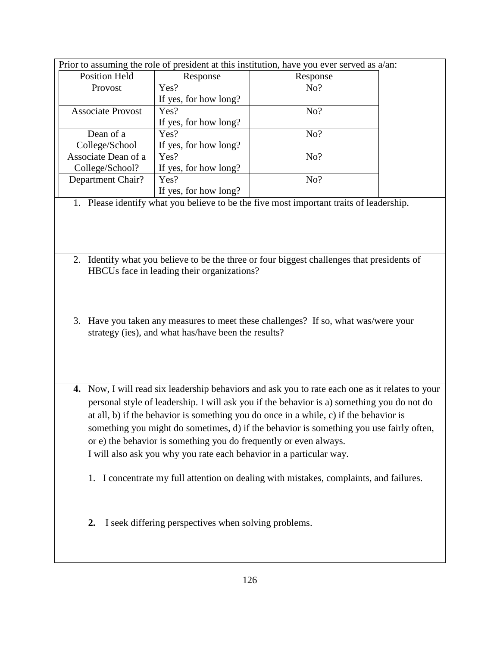|                                                                                         |                                                                                       | Prior to assuming the role of president at this institution, have you ever served as a/an:      |  |  |  |  |  |
|-----------------------------------------------------------------------------------------|---------------------------------------------------------------------------------------|-------------------------------------------------------------------------------------------------|--|--|--|--|--|
| <b>Position Held</b>                                                                    | Response                                                                              | Response                                                                                        |  |  |  |  |  |
| Provost                                                                                 | Yes?                                                                                  | No?                                                                                             |  |  |  |  |  |
|                                                                                         | If yes, for how long?                                                                 |                                                                                                 |  |  |  |  |  |
| <b>Associate Provost</b>                                                                | Yes?                                                                                  | No?                                                                                             |  |  |  |  |  |
|                                                                                         | If yes, for how long?                                                                 |                                                                                                 |  |  |  |  |  |
| Dean of a                                                                               | Yes?                                                                                  | No?                                                                                             |  |  |  |  |  |
| College/School                                                                          | If yes, for how long?                                                                 |                                                                                                 |  |  |  |  |  |
| Associate Dean of a                                                                     | Yes?                                                                                  | No?                                                                                             |  |  |  |  |  |
| College/School?                                                                         | If yes, for how long?                                                                 |                                                                                                 |  |  |  |  |  |
| Department Chair?                                                                       | Yes?                                                                                  | No?                                                                                             |  |  |  |  |  |
|                                                                                         | If yes, for how long?                                                                 |                                                                                                 |  |  |  |  |  |
|                                                                                         |                                                                                       | 1. Please identify what you believe to be the five most important traits of leadership.         |  |  |  |  |  |
|                                                                                         |                                                                                       |                                                                                                 |  |  |  |  |  |
|                                                                                         |                                                                                       |                                                                                                 |  |  |  |  |  |
| 2.                                                                                      |                                                                                       | Identify what you believe to be the three or four biggest challenges that presidents of         |  |  |  |  |  |
|                                                                                         | HBCUs face in leading their organizations?                                            |                                                                                                 |  |  |  |  |  |
|                                                                                         |                                                                                       |                                                                                                 |  |  |  |  |  |
|                                                                                         |                                                                                       |                                                                                                 |  |  |  |  |  |
|                                                                                         |                                                                                       |                                                                                                 |  |  |  |  |  |
|                                                                                         |                                                                                       | 3. Have you taken any measures to meet these challenges? If so, what was/were your              |  |  |  |  |  |
|                                                                                         | strategy (ies), and what has/have been the results?                                   |                                                                                                 |  |  |  |  |  |
|                                                                                         |                                                                                       |                                                                                                 |  |  |  |  |  |
|                                                                                         |                                                                                       |                                                                                                 |  |  |  |  |  |
|                                                                                         |                                                                                       |                                                                                                 |  |  |  |  |  |
|                                                                                         |                                                                                       |                                                                                                 |  |  |  |  |  |
|                                                                                         |                                                                                       |                                                                                                 |  |  |  |  |  |
|                                                                                         |                                                                                       | 4. Now, I will read six leadership behaviors and ask you to rate each one as it relates to your |  |  |  |  |  |
|                                                                                         |                                                                                       | personal style of leadership. I will ask you if the behavior is a) something you do not do      |  |  |  |  |  |
|                                                                                         | at all, b) if the behavior is something you do once in a while, c) if the behavior is |                                                                                                 |  |  |  |  |  |
| something you might do sometimes, d) if the behavior is something you use fairly often, |                                                                                       |                                                                                                 |  |  |  |  |  |
| or e) the behavior is something you do frequently or even always.                       |                                                                                       |                                                                                                 |  |  |  |  |  |
| I will also ask you why you rate each behavior in a particular way.                     |                                                                                       |                                                                                                 |  |  |  |  |  |
|                                                                                         |                                                                                       |                                                                                                 |  |  |  |  |  |
|                                                                                         |                                                                                       |                                                                                                 |  |  |  |  |  |
|                                                                                         |                                                                                       | 1. I concentrate my full attention on dealing with mistakes, complaints, and failures.          |  |  |  |  |  |
|                                                                                         |                                                                                       |                                                                                                 |  |  |  |  |  |
|                                                                                         |                                                                                       |                                                                                                 |  |  |  |  |  |
|                                                                                         |                                                                                       |                                                                                                 |  |  |  |  |  |
| 2.                                                                                      | I seek differing perspectives when solving problems.                                  |                                                                                                 |  |  |  |  |  |
|                                                                                         |                                                                                       |                                                                                                 |  |  |  |  |  |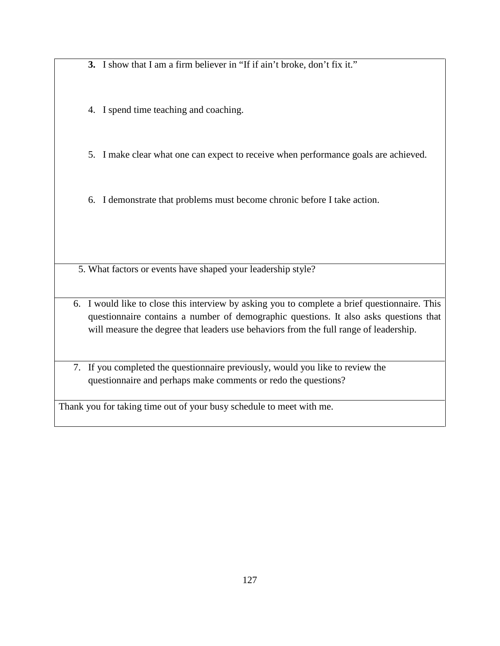**3.** I show that I am a firm believer in "If if ain't broke, don't fix it."

4. I spend time teaching and coaching.

5. I make clear what one can expect to receive when performance goals are achieved.

6. I demonstrate that problems must become chronic before I take action.

5. What factors or events have shaped your leadership style?

6. I would like to close this interview by asking you to complete a brief questionnaire. This questionnaire contains a number of demographic questions. It also asks questions that will measure the degree that leaders use behaviors from the full range of leadership.

7. If you completed the questionnaire previously, would you like to review the questionnaire and perhaps make comments or redo the questions?

Thank you for taking time out of your busy schedule to meet with me.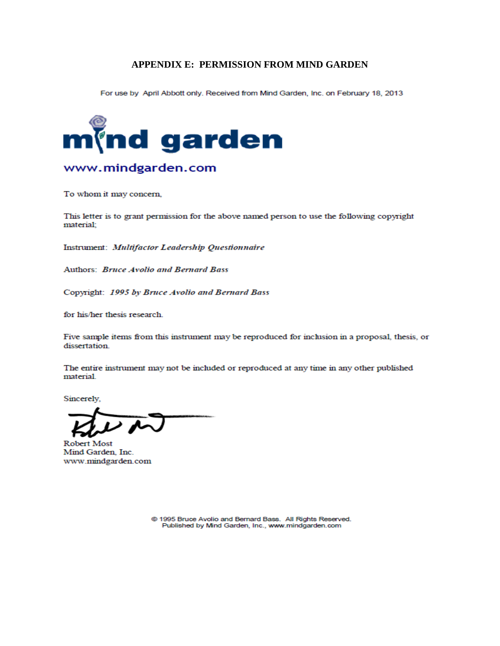#### **APPENDIX E: PERMISSION FROM MIND GARDEN**

For use by April Abbott only. Received from Mind Garden, Inc. on February 18, 2013



## www.mindgarden.com

To whom it may concern,

This letter is to grant permission for the above named person to use the following copyright material;

Instrument: Multifactor Leadership Questionnaire

Authors: Bruce Avolio and Bernard Bass

Copyright: 1995 by Bruce Avolio and Bernard Bass

for his/her thesis research.

Five sample items from this instrument may be reproduced for inclusion in a proposal, thesis, or dissertation.

The entire instrument may not be included or reproduced at any time in any other published material.

Sincerely.

**Robert Most** Mind Garden, Inc. www.mindgarden.com

@ 1995 Bruce Avolio and Bernard Bass. All Rights Reserved. Published by Mind Garden, Inc., www.mindgarden.com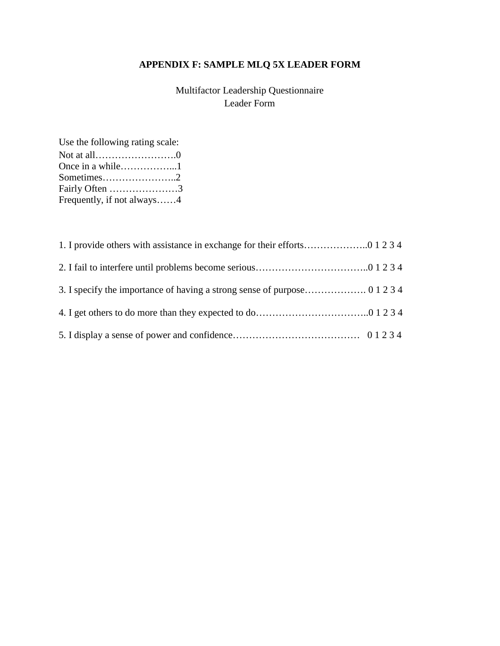# **APPENDIX F: SAMPLE MLQ 5X LEADER FORM**

Multifactor Leadership Questionnaire Leader Form

Use the following rating scale: Not at all…………………….0 Once in a while……………...1 Sometimes…………………..2 Fairly Often …………………3 Frequently, if not always……4